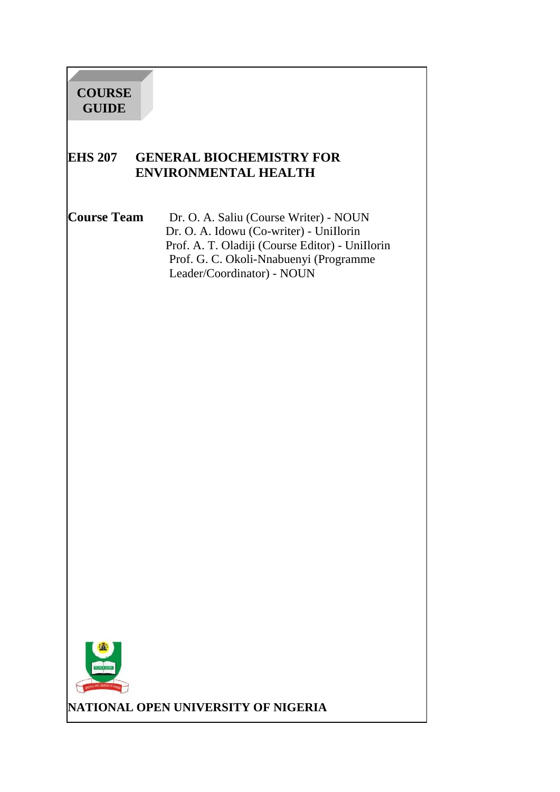## **EHS 207 GENERAL BIOCHEMISTRY FOR ENVIRONMENTAL HEALTH**

**Course Team** Dr. O. A. Saliu (Course Writer) - NOUN Dr. O. A. Idowu (Co-writer) - UniIlorin Prof. A. T. Oladiji (Course Editor) - UniIlorin Prof. G. C. Okoli-Nnabuenyi (Programme Leader/Coordinator) - NOUN



**NATIONAL OPEN UNIVERSITY OF NIGERIA**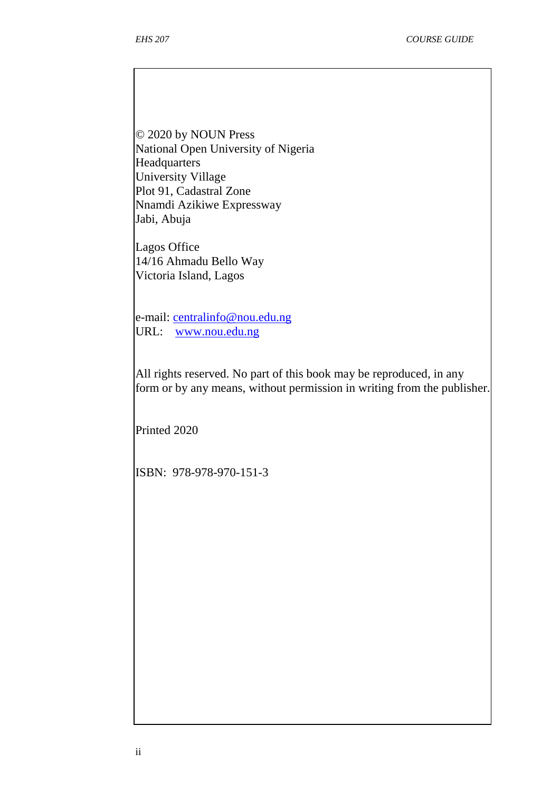© 2020 by NOUN Press National Open University of Nigeria Headquarters University Village Plot 91, Cadastral Zone Nnamdi Azikiwe Expressway Jabi, Abuja

Lagos Office 14/16 Ahmadu Bello Way Victoria Island, Lagos

e-mail: centralinfo@nou.edu.ng URL: www.nou.edu.ng

All rights reserved. No part of this book may be reproduced, in any form or by any means, without permission in writing from the publisher.

Printed 2020

ISBN: 978-978-970-151-3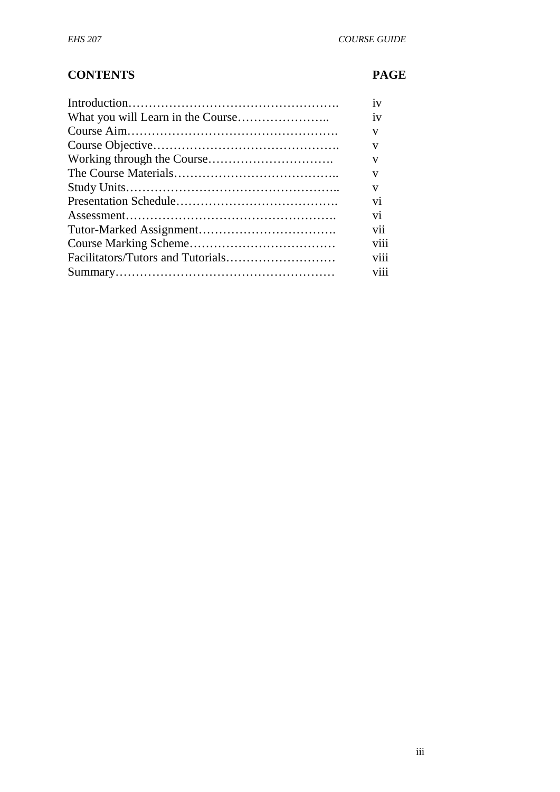# **CONTENTS PAGE**

| 1V             |
|----------------|
| 1V             |
| V              |
| V              |
| V              |
| V              |
| V              |
| V <sub>1</sub> |
| V <sub>1</sub> |
| V11            |
| <b>V111</b>    |
| <b>V111</b>    |
| <b>V111</b>    |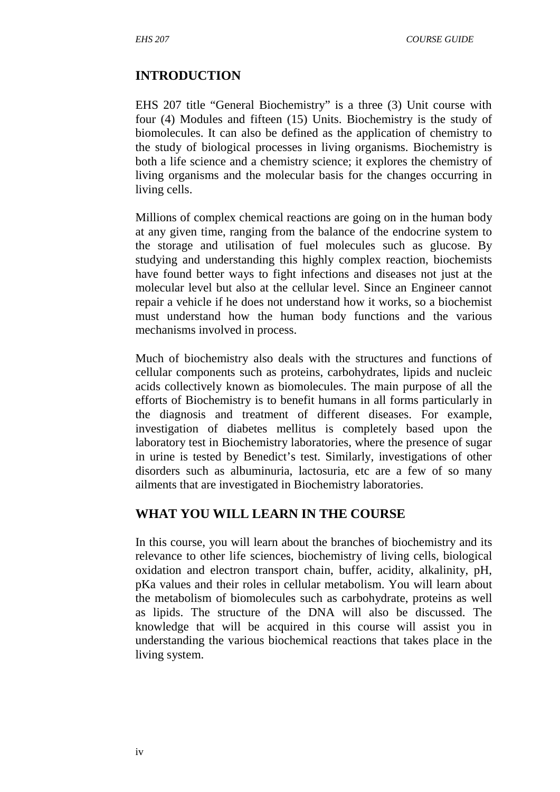#### **INTRODUCTION**

EHS 207 title "General Biochemistry" is a three (3) Unit course with four (4) Modules and fifteen (15) Units. Biochemistry is the study of biomolecules. It can also be defined as the application of chemistry to the study of biological processes in living organisms. Biochemistry is both a life science and a chemistry science; it explores the chemistry of living organisms and the molecular basis for the changes occurring in living cells.

Millions of complex chemical reactions are going on in the human body at any given time, ranging from the balance of the endocrine system to the storage and utilisation of fuel molecules such as glucose. By studying and understanding this highly complex reaction, biochemists have found better ways to fight infections and diseases not just at the molecular level but also at the cellular level. Since an Engineer cannot repair a vehicle if he does not understand how it works, so a biochemist must understand how the human body functions and the various mechanisms involved in process.

Much of biochemistry also deals with the structures and functions of cellular components such as proteins, carbohydrates, lipids and nucleic acids collectively known as biomolecules. The main purpose of all the efforts of Biochemistry is to benefit humans in all forms particularly in the diagnosis and treatment of different diseases. For example, investigation of diabetes mellitus is completely based upon the laboratory test in Biochemistry laboratories, where the presence of sugar in urine is tested by Benedict's test. Similarly, investigations of other disorders such as albuminuria, lactosuria, etc are a few of so many ailments that are investigated in Biochemistry laboratories.

#### **WHAT YOU WILL LEARN IN THE COURSE**

In this course, you will learn about the branches of biochemistry and its relevance to other life sciences, biochemistry of living cells, biological oxidation and electron transport chain, buffer, acidity, alkalinity, pH, pKa values and their roles in cellular metabolism. You will learn about the metabolism of biomolecules such as carbohydrate, proteins as well as lipids. The structure of the DNA will also be discussed. The knowledge that will be acquired in this course will assist you in understanding the various biochemical reactions that takes place in the living system.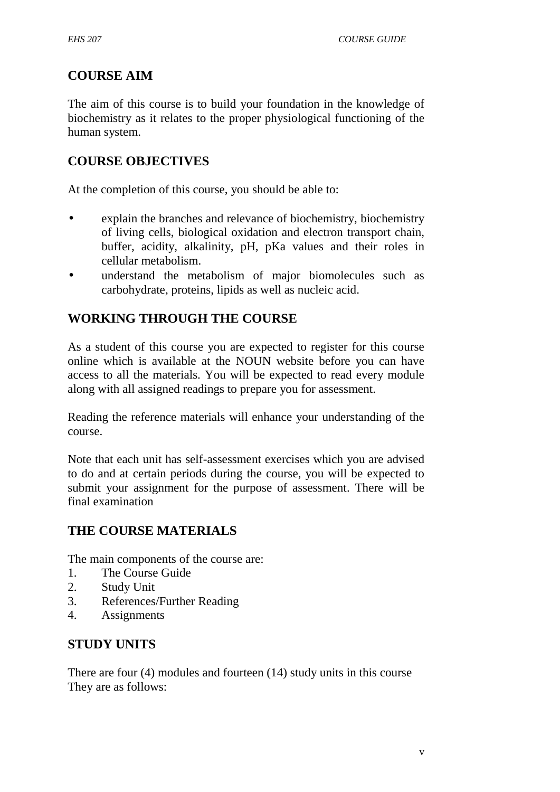# **COURSE AIM**

The aim of this course is to build your foundation in the knowledge of biochemistry as it relates to the proper physiological functioning of the human system.

# **COURSE OBJECTIVES**

At the completion of this course, you should be able to:

- explain the branches and relevance of biochemistry, biochemistry of living cells, biological oxidation and electron transport chain, buffer, acidity, alkalinity, pH, pKa values and their roles in cellular metabolism.
- understand the metabolism of major biomolecules such as carbohydrate, proteins, lipids as well as nucleic acid.

# **WORKING THROUGH THE COURSE**

As a student of this course you are expected to register for this course online which is available at the NOUN website before you can have access to all the materials. You will be expected to read every module along with all assigned readings to prepare you for assessment.

Reading the reference materials will enhance your understanding of the course.

Note that each unit has self-assessment exercises which you are advised to do and at certain periods during the course, you will be expected to submit your assignment for the purpose of assessment. There will be final examination

# **THE COURSE MATERIALS**

The main components of the course are:

- 1. The Course Guide
- 2. Study Unit
- 3. References/Further Reading
- 4. Assignments

# **STUDY UNITS**

There are four (4) modules and fourteen (14) study units in this course They are as follows: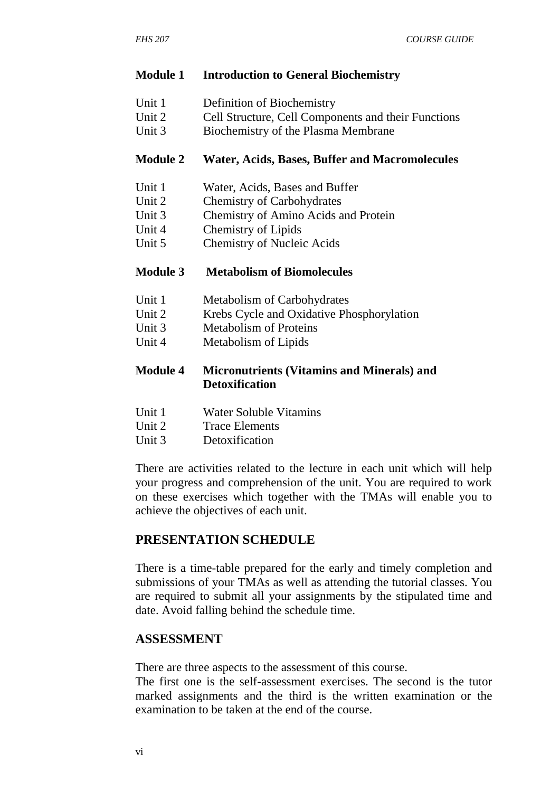#### **Module 1 Introduction to General Biochemistry**

- Unit 1 Definition of Biochemistry
- Unit 2 Cell Structure, Cell Components and their Functions
- Unit 3 Biochemistry of the Plasma Membrane

#### **Module 2 Water, Acids, Bases, Buffer and Macromolecules**

- Unit 1 Water, Acids, Bases and Buffer
- Unit 2 Chemistry of Carbohydrates
- Unit 3 Chemistry of Amino Acids and Protein
- Unit 4 Chemistry of Lipids
- Unit 5 Chemistry of Nucleic Acids

#### **Module 3 Metabolism of Biomolecules**

- Unit 1 Metabolism of Carbohydrates
- Unit 2 Krebs Cycle and Oxidative Phosphorylation
- Unit 3 Metabolism of Proteins
- Unit 4 Metabolism of Lipids

#### **Module 4 Micronutrients (Vitamins and Minerals) and Detoxification**

- Unit 1 Water Soluble Vitamins
- Unit 2 Trace Elements<br>
Unit 3 Detoxification
- Detoxification

There are activities related to the lecture in each unit which will help your progress and comprehension of the unit. You are required to work on these exercises which together with the TMAs will enable you to achieve the objectives of each unit.

## **PRESENTATION SCHEDULE**

There is a time-table prepared for the early and timely completion and submissions of your TMAs as well as attending the tutorial classes. You are required to submit all your assignments by the stipulated time and date. Avoid falling behind the schedule time.

#### **ASSESSMENT**

There are three aspects to the assessment of this course.

The first one is the self-assessment exercises. The second is the tutor marked assignments and the third is the written examination or the examination to be taken at the end of the course.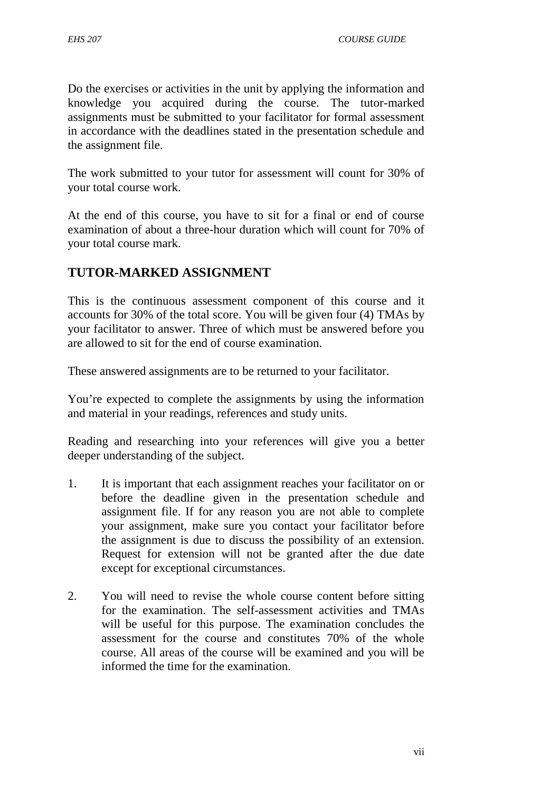Do the exercises or activities in the unit by applying the information and knowledge you acquired during the course. The tutor-marked assignments must be submitted to your facilitator for formal assessment in accordance with the deadlines stated in the presentation schedule and the assignment file.

The work submitted to your tutor for assessment will count for 30% of your total course work.

At the end of this course, you have to sit for a final or end of course examination of about a three-hour duration which will count for 70% of your total course mark.

# **TUTOR-MARKED ASSIGNMENT**

This is the continuous assessment component of this course and it accounts for 30% of the total score. You will be given four (4) TMAs by your facilitator to answer. Three of which must be answered before you are allowed to sit for the end of course examination.

These answered assignments are to be returned to your facilitator.

You're expected to complete the assignments by using the information and material in your readings, references and study units.

Reading and researching into your references will give you a better deeper understanding of the subject.

- 1. It is important that each assignment reaches your facilitator on or before the deadline given in the presentation schedule and assignment file. If for any reason you are not able to complete your assignment, make sure you contact your facilitator before the assignment is due to discuss the possibility of an extension. Request for extension will not be granted after the due date except for exceptional circumstances.
- 2. You will need to revise the whole course content before sitting for the examination. The self-assessment activities and TMAs will be useful for this purpose. The examination concludes the assessment for the course and constitutes 70% of the whole course. All areas of the course will be examined and you will be informed the time for the examination.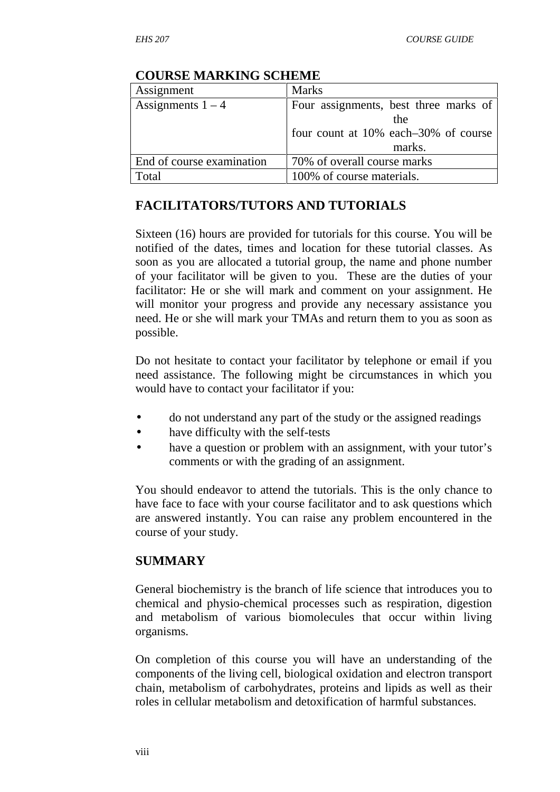| Assignment                | <b>Marks</b>                          |  |  |  |
|---------------------------|---------------------------------------|--|--|--|
| Assignments $1 - 4$       | Four assignments, best three marks of |  |  |  |
|                           | the                                   |  |  |  |
|                           | four count at 10% each–30% of course  |  |  |  |
|                           | marks.                                |  |  |  |
| End of course examination | 70% of overall course marks           |  |  |  |
| Total                     | 100% of course materials.             |  |  |  |

#### **COURSE MARKING SCHEME**

# **FACILITATORS/TUTORS AND TUTORIALS**

Sixteen (16) hours are provided for tutorials for this course. You will be notified of the dates, times and location for these tutorial classes. As soon as you are allocated a tutorial group, the name and phone number of your facilitator will be given to you. These are the duties of your facilitator: He or she will mark and comment on your assignment. He will monitor your progress and provide any necessary assistance you need. He or she will mark your TMAs and return them to you as soon as possible.

Do not hesitate to contact your facilitator by telephone or email if you need assistance. The following might be circumstances in which you would have to contact your facilitator if you:

- do not understand any part of the study or the assigned readings
- have difficulty with the self-tests
- have a question or problem with an assignment, with your tutor's comments or with the grading of an assignment.

You should endeavor to attend the tutorials. This is the only chance to have face to face with your course facilitator and to ask questions which are answered instantly. You can raise any problem encountered in the course of your study.

## **SUMMARY**

General biochemistry is the branch of life science that introduces you to chemical and physio-chemical processes such as respiration, digestion and metabolism of various biomolecules that occur within living organisms.

On completion of this course you will have an understanding of the components of the living cell, biological oxidation and electron transport chain, metabolism of carbohydrates, proteins and lipids as well as their roles in cellular metabolism and detoxification of harmful substances.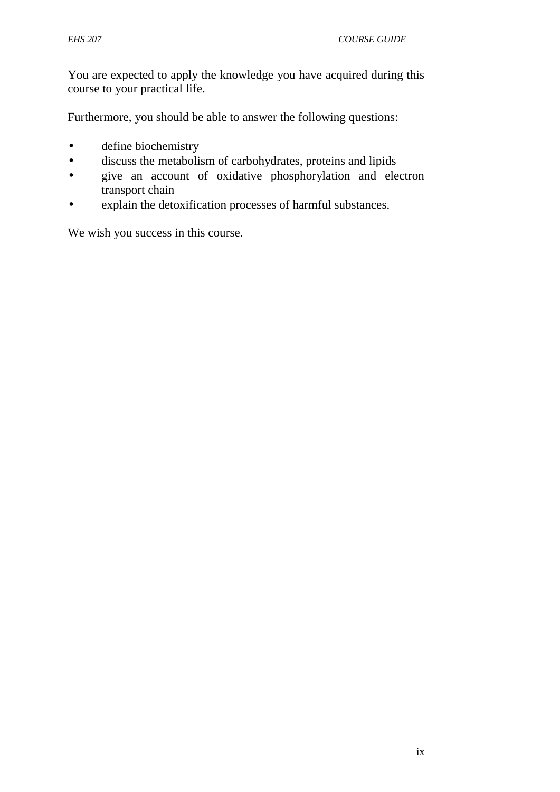You are expected to apply the knowledge you have acquired during this course to your practical life.

Furthermore, you should be able to answer the following questions:

- define biochemistry
- discuss the metabolism of carbohydrates, proteins and lipids
- give an account of oxidative phosphorylation and electron transport chain
- explain the detoxification processes of harmful substances.

We wish you success in this course.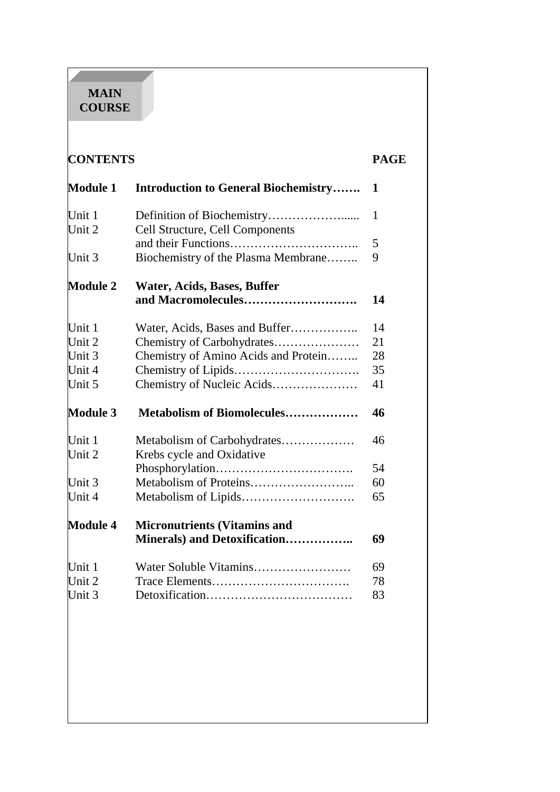#### **MAIN COURSE**

| <b>CONTENTS</b>  |                                                   | <b>PAGE</b> |
|------------------|---------------------------------------------------|-------------|
| <b>Module 1</b>  | <b>Introduction to General Biochemistry</b>       | 1           |
| Unit 1<br>Unit 2 | Cell Structure, Cell Components                   | 1           |
| Unit 3           | Biochemistry of the Plasma Membrane               | 5<br>9      |
| <b>Module 2</b>  | Water, Acids, Bases, Buffer<br>and Macromolecules | 14          |
| Unit 1           |                                                   | 14          |
| Unit 2           | Chemistry of Carbohydrates                        | 21          |
| Unit 3           | Chemistry of Amino Acids and Protein              | 28          |
| Unit 4           |                                                   | 35          |
| Unit 5           |                                                   | 41          |
| <b>Module 3</b>  | Metabolism of Biomolecules                        | 46          |
| Unit 1           | Metabolism of Carbohydrates                       | 46          |
|                  | Krebs cycle and Oxidative                         |             |
| Unit 2           |                                                   |             |
|                  |                                                   | 54          |
|                  |                                                   | 60          |
| Unit 3<br>Unit 4 |                                                   | 65          |
| <b>Module 4</b>  | <b>Micronutrients (Vitamins and</b>               |             |
|                  | Minerals) and Detoxification                      | 69          |
| Unit 1           | Water Soluble Vitamins                            | 69          |
| Unit 2           |                                                   | 78          |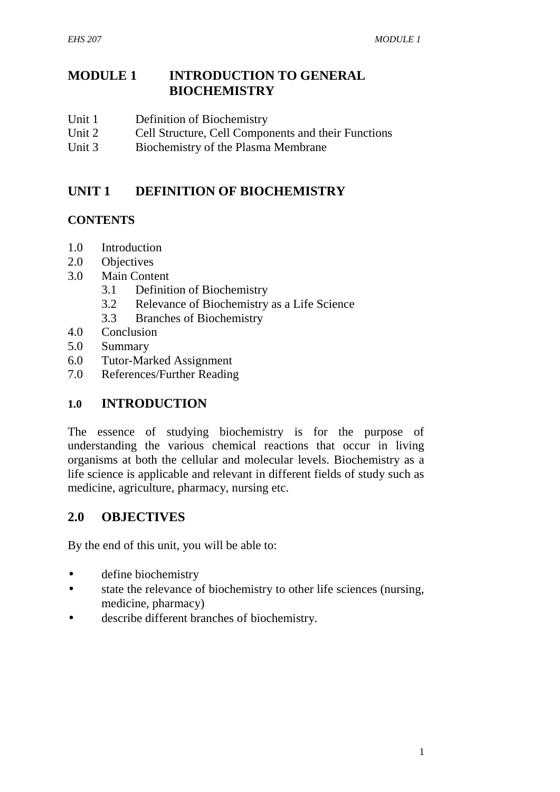## **MODULE 1 INTRODUCTION TO GENERAL BIOCHEMISTRY**

- Unit 1 Definition of Biochemistry
- Unit 2 Cell Structure, Cell Components and their Functions
- Unit 3 Biochemistry of the Plasma Membrane

# **UNIT 1 DEFINITION OF BIOCHEMISTRY**

## **CONTENTS**

- 1.0 Introduction
- 2.0 Objectives
- 3.0 Main Content
	- 3.1 Definition of Biochemistry
	- 3.2 Relevance of Biochemistry as a Life Science
	- 3.3 Branches of Biochemistry
- 4.0 Conclusion
- 5.0 Summary
- 6.0 Tutor-Marked Assignment
- 7.0 References/Further Reading

## **1.0 INTRODUCTION**

The essence of studying biochemistry is for the purpose of understanding the various chemical reactions that occur in living organisms at both the cellular and molecular levels. Biochemistry as a life science is applicable and relevant in different fields of study such as medicine, agriculture, pharmacy, nursing etc.

# **2.0 OBJECTIVES**

By the end of this unit, you will be able to:

- define biochemistry
- state the relevance of biochemistry to other life sciences (nursing, medicine, pharmacy)
- describe different branches of biochemistry.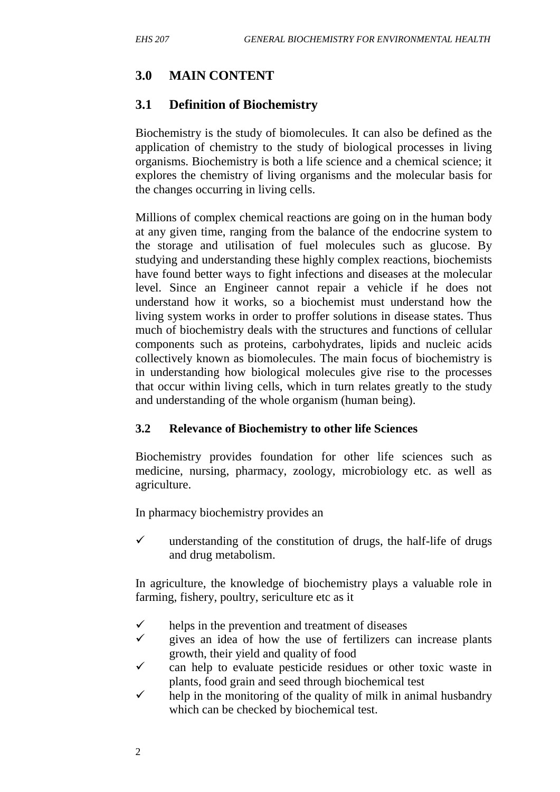# **3.0 MAIN CONTENT**

# **3.1 Definition of Biochemistry**

Biochemistry is the study of biomolecules. It can also be defined as the application of chemistry to the study of biological processes in living organisms. Biochemistry is both a life science and a chemical science; it explores the chemistry of living organisms and the molecular basis for the changes occurring in living cells.

Millions of complex chemical reactions are going on in the human body at any given time, ranging from the balance of the endocrine system to the storage and utilisation of fuel molecules such as glucose. By studying and understanding these highly complex reactions, biochemists have found better ways to fight infections and diseases at the molecular level. Since an Engineer cannot repair a vehicle if he does not understand how it works, so a biochemist must understand how the living system works in order to proffer solutions in disease states. Thus much of biochemistry deals with the structures and functions of cellular components such as proteins, carbohydrates, lipids and nucleic acids collectively known as biomolecules. The main focus of biochemistry is in understanding how biological molecules give rise to the processes that occur within living cells, which in turn relates greatly to the study and understanding of the whole organism (human being).

## **3.2 Relevance of Biochemistry to other life Sciences**

Biochemistry provides foundation for other life sciences such as medicine, nursing, pharmacy, zoology, microbiology etc. as well as agriculture.

In pharmacy biochemistry provides an

 $\checkmark$  understanding of the constitution of drugs, the half-life of drugs and drug metabolism.

In agriculture, the knowledge of biochemistry plays a valuable role in farming, fishery, poultry, sericulture etc as it

- helps in the prevention and treatment of diseases
- gives an idea of how the use of fertilizers can increase plants growth, their yield and quality of food
- $\checkmark$  can help to evaluate pesticide residues or other toxic waste in plants, food grain and seed through biochemical test
- $\checkmark$  help in the monitoring of the quality of milk in animal husbandry which can be checked by biochemical test.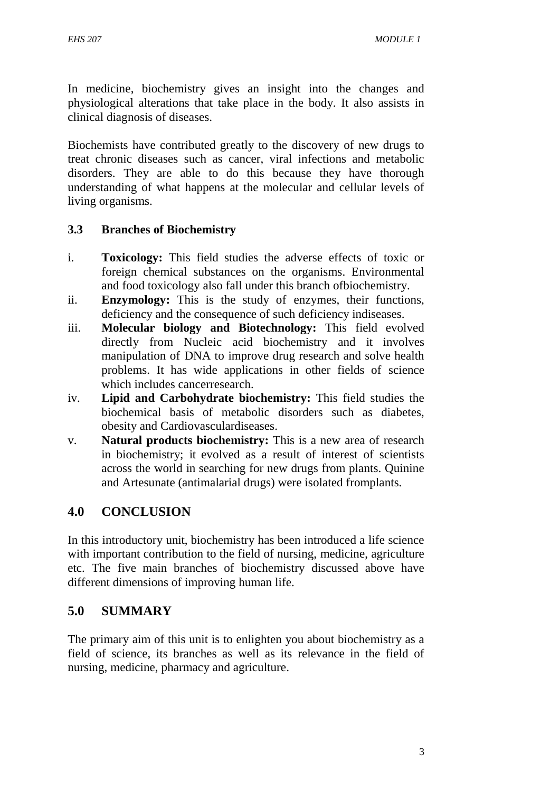In medicine, biochemistry gives an insight into the changes and physiological alterations that take place in the body. It also assists in clinical diagnosis of diseases.

Biochemists have contributed greatly to the discovery of new drugs to treat chronic diseases such as cancer, viral infections and metabolic disorders. They are able to do this because they have thorough understanding of what happens at the molecular and cellular levels of living organisms.

## **3.3 Branches of Biochemistry**

- i. **Toxicology:** This field studies the adverse effects of toxic or foreign chemical substances on the organisms. Environmental and food toxicology also fall under this branch ofbiochemistry.
- ii. **Enzymology:** This is the study of enzymes, their functions, deficiency and the consequence of such deficiency indiseases.
- iii. **Molecular biology and Biotechnology:** This field evolved directly from Nucleic acid biochemistry and it involves manipulation of DNA to improve drug research and solve health problems. It has wide applications in other fields of science which includes cancerresearch.
- iv. **Lipid and Carbohydrate biochemistry:** This field studies the biochemical basis of metabolic disorders such as diabetes, obesity and Cardiovasculardiseases.
- v. **Natural products biochemistry:** This is a new area of research in biochemistry; it evolved as a result of interest of scientists across the world in searching for new drugs from plants. Quinine and Artesunate (antimalarial drugs) were isolated fromplants.

# **4.0 CONCLUSION**

In this introductory unit, biochemistry has been introduced a life science with important contribution to the field of nursing, medicine, agriculture etc. The five main branches of biochemistry discussed above have different dimensions of improving human life.

## **5.0 SUMMARY**

The primary aim of this unit is to enlighten you about biochemistry as a field of science, its branches as well as its relevance in the field of nursing, medicine, pharmacy and agriculture.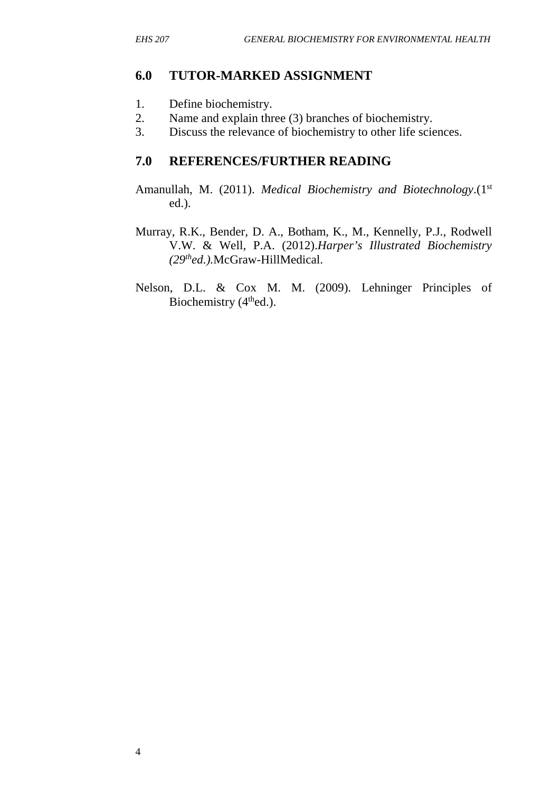#### **6.0 TUTOR-MARKED ASSIGNMENT**

- 1. Define biochemistry.
- 2. Name and explain three (3) branches of biochemistry.
- 3. Discuss the relevance of biochemistry to other life sciences.

## **7.0 REFERENCES/FURTHER READING**

- Amanullah, M. (2011). *Medical Biochemistry and Biotechnology*.(1<sup>st</sup> ed.).
- Murray, R.K., Bender, D. A., Botham, K., M., Kennelly, P.J., Rodwell V.W. & Well, P.A. (2012).*Harper's Illustrated Biochemistry (29thed.).*McGraw-HillMedical.
- Nelson, D.L. & Cox M. M. (2009). Lehninger Principles of Biochemistry (4<sup>th</sup>ed.).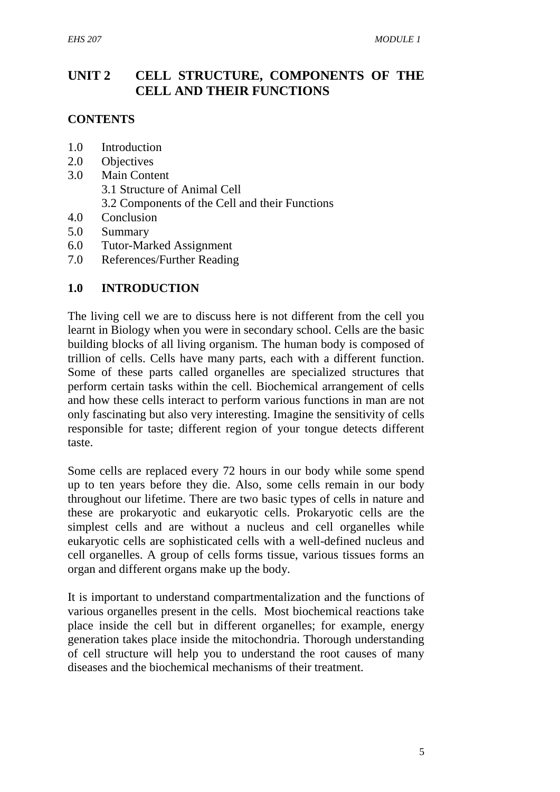# **UNIT 2 CELL STRUCTURE, COMPONENTS OF THE CELL AND THEIR FUNCTIONS**

#### **CONTENTS**

- 1.0 Introduction
- 2.0 Objectives
- 3.0 Main Content 3.1 Structure of Animal Cell 3.2 Components of the Cell and their Functions
- 4.0 Conclusion
- 5.0 Summary
- 6.0 Tutor-Marked Assignment
- 7.0 References/Further Reading

#### **1.0 INTRODUCTION**

The living cell we are to discuss here is not different from the cell you learnt in Biology when you were in secondary school. Cells are the basic building blocks of all living organism. The human body is composed of trillion of cells. Cells have many parts, each with a different function. Some of these parts called organelles are specialized structures that perform certain tasks within the cell. Biochemical arrangement of cells and how these cells interact to perform various functions in man are not only fascinating but also very interesting. Imagine the sensitivity of cells responsible for taste; different region of your tongue detects different taste.

Some cells are replaced every 72 hours in our body while some spend up to ten years before they die. Also, some cells remain in our body throughout our lifetime. There are two basic types of cells in nature and these are prokaryotic and eukaryotic cells. Prokaryotic cells are the simplest cells and are without a nucleus and cell organelles while eukaryotic cells are sophisticated cells with a well-defined nucleus and cell organelles. A group of cells forms tissue, various tissues forms an organ and different organs make up the body.

It is important to understand compartmentalization and the functions of various organelles present in the cells. Most biochemical reactions take place inside the cell but in different organelles; for example, energy generation takes place inside the mitochondria. Thorough understanding of cell structure will help you to understand the root causes of many diseases and the biochemical mechanisms of their treatment.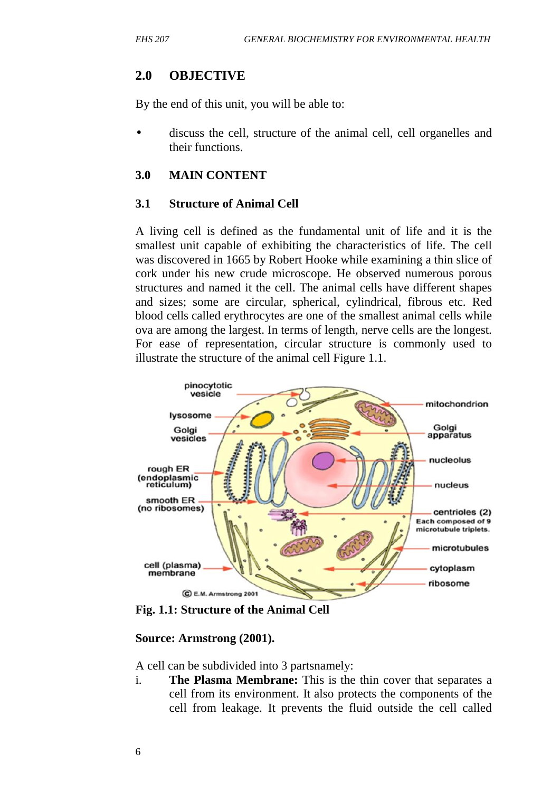#### **2.0 OBJECTIVE**

By the end of this unit, you will be able to:

 discuss the cell, structure of the animal cell, cell organelles and their functions.

#### **3.0 MAIN CONTENT**

#### **3.1 Structure of Animal Cell**

A living cell is defined as the fundamental unit of life and it is the smallest unit capable of exhibiting the characteristics of life. The cell was discovered in 1665 by Robert Hooke while examining a thin slice of cork under his new crude microscope. He observed numerous porous structures and named it the cell. The animal cells have different shapes and sizes; some are circular, spherical, cylindrical, fibrous etc. Red blood cells called erythrocytes are one of the smallest animal cells while ova are among the largest. In terms of length, nerve cells are the longest. For ease of representation, circular structure is commonly used to illustrate the structure of the animal cell Figure 1.1.



**Fig. 1.1: Structure of the Animal Cell**

#### **Source: Armstrong (2001).**

A cell can be subdivided into 3 partsnamely:

i. **The Plasma Membrane:** This is the thin cover that separates a cell from its environment. It also protects the components of the cell from leakage. It prevents the fluid outside the cell called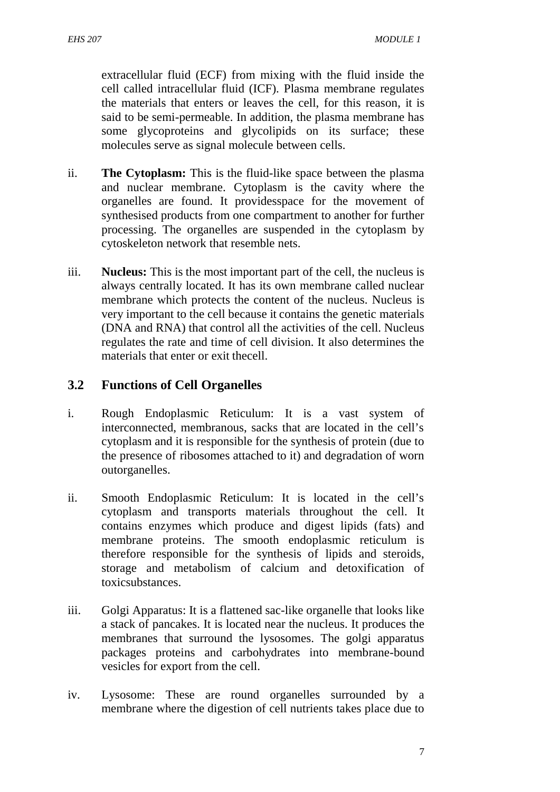extracellular fluid (ECF) from mixing with the fluid inside the cell called intracellular fluid (ICF). Plasma membrane regulates the materials that enters or leaves the cell, for this reason, it is said to be semi-permeable. In addition, the plasma membrane has some glycoproteins and glycolipids on its surface; these molecules serve as signal molecule between cells.

- ii. **The Cytoplasm:** This is the fluid-like space between the plasma and nuclear membrane. Cytoplasm is the cavity where the organelles are found. It providesspace for the movement of synthesised products from one compartment to another for further processing. The organelles are suspended in the cytoplasm by cytoskeleton network that resemble nets.
- iii. **Nucleus:** This is the most important part of the cell, the nucleus is always centrally located. It has its own membrane called nuclear membrane which protects the content of the nucleus. Nucleus is very important to the cell because it contains the genetic materials (DNA and RNA) that control all the activities of the cell. Nucleus regulates the rate and time of cell division. It also determines the materials that enter or exit thecell.

## **3.2 Functions of Cell Organelles**

- i. Rough Endoplasmic Reticulum: It is a vast system of interconnected, membranous, sacks that are located in the cell's cytoplasm and it is responsible for the synthesis of protein (due to the presence of ribosomes attached to it) and degradation of worn outorganelles.
- ii. Smooth Endoplasmic Reticulum: It is located in the cell's cytoplasm and transports materials throughout the cell. It contains enzymes which produce and digest lipids (fats) and membrane proteins. The smooth endoplasmic reticulum is therefore responsible for the synthesis of lipids and steroids, storage and metabolism of calcium and detoxification of toxicsubstances.
- iii. Golgi Apparatus: It is a flattened sac-like organelle that looks like a stack of pancakes. It is located near the nucleus. It produces the membranes that surround the lysosomes. The golgi apparatus packages proteins and carbohydrates into membrane-bound vesicles for export from the cell.
- iv. Lysosome: These are round organelles surrounded by a membrane where the digestion of cell nutrients takes place due to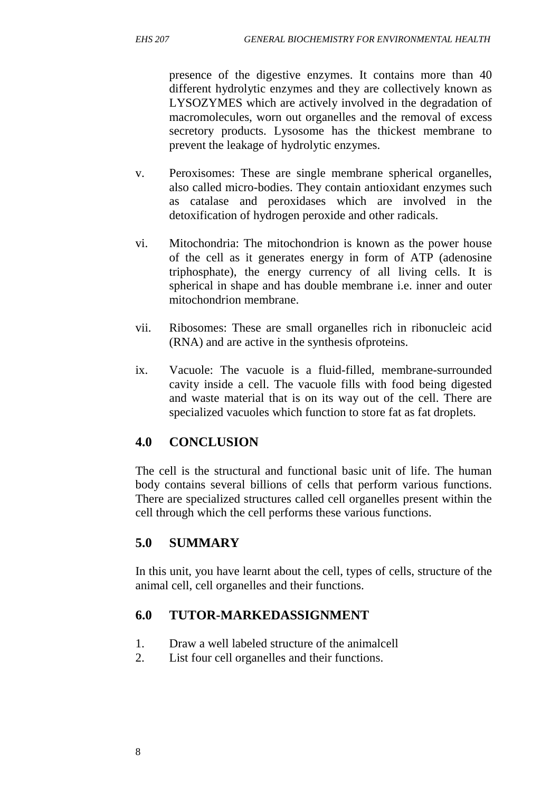presence of the digestive enzymes. It contains more than 40 different hydrolytic enzymes and they are collectively known as LYSOZYMES which are actively involved in the degradation of macromolecules, worn out organelles and the removal of excess secretory products. Lysosome has the thickest membrane to prevent the leakage of hydrolytic enzymes.

- v. Peroxisomes: These are single membrane spherical organelles, also called micro-bodies. They contain antioxidant enzymes such as catalase and peroxidases which are involved in the detoxification of hydrogen peroxide and other radicals.
- vi. Mitochondria: The mitochondrion is known as the power house of the cell as it generates energy in form of ATP (adenosine triphosphate), the energy currency of all living cells. It is spherical in shape and has double membrane i.e. inner and outer mitochondrion membrane.
- vii. Ribosomes: These are small organelles rich in ribonucleic acid (RNA) and are active in the synthesis ofproteins.
- ix. Vacuole: The vacuole is a fluid-filled, membrane-surrounded cavity inside a cell. The vacuole fills with food being digested and waste material that is on its way out of the cell. There are specialized vacuoles which function to store fat as fat droplets.

# **4.0 CONCLUSION**

The cell is the structural and functional basic unit of life. The human body contains several billions of cells that perform various functions. There are specialized structures called cell organelles present within the cell through which the cell performs these various functions.

# **5.0 SUMMARY**

In this unit, you have learnt about the cell, types of cells, structure of the animal cell, cell organelles and their functions.

# **6.0 TUTOR-MARKEDASSIGNMENT**

- 1. Draw a well labeled structure of the animalcell
- 2. List four cell organelles and their functions.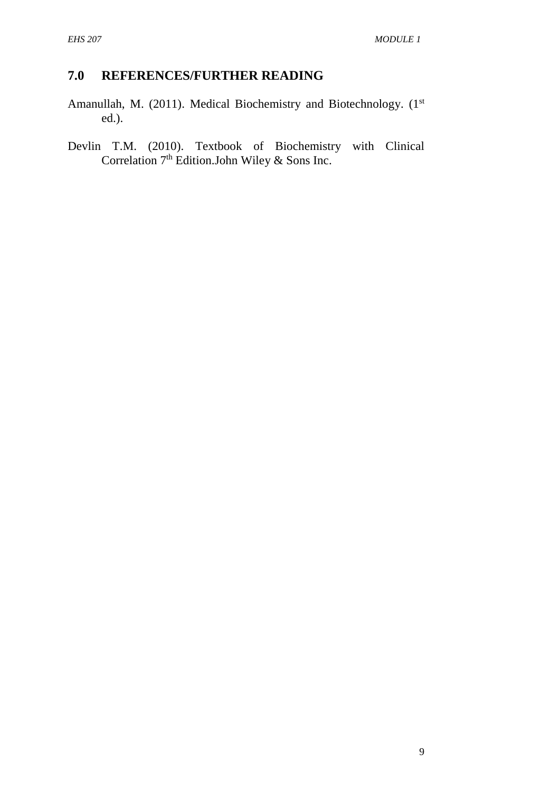# **7.0 REFERENCES/FURTHER READING**

- Amanullah, M. (2011). Medical Biochemistry and Biotechnology. (1<sup>st</sup> ed.).
- Devlin T.M. (2010). Textbook of Biochemistry with Clinical Correlation  $7<sup>th</sup>$  Edition.John Wiley & Sons Inc.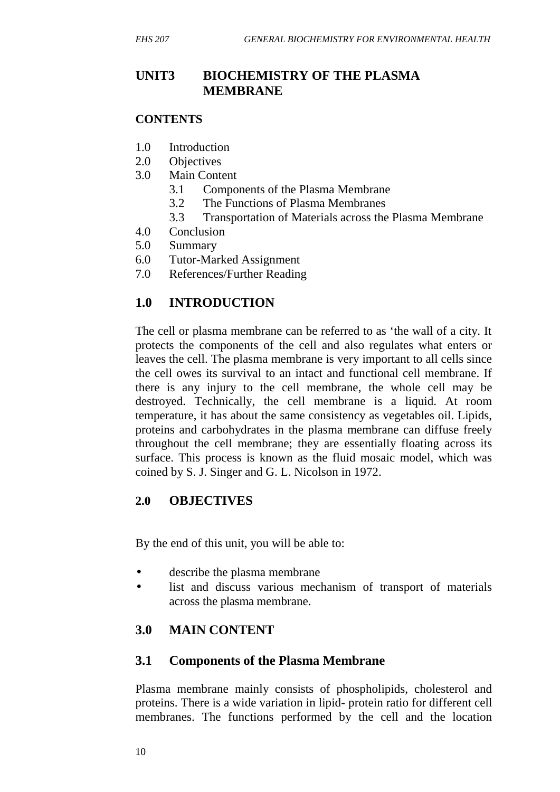# **UNIT3 BIOCHEMISTRY OF THE PLASMA MEMBRANE**

#### **CONTENTS**

- 1.0 Introduction
- 2.0 Objectives
- 3.0 Main Content
	- 3.1 Components of the Plasma Membrane
	- 3.2 The Functions of Plasma Membranes
	- 3.3 Transportation of Materials across the Plasma Membrane
- 4.0 Conclusion
- 5.0 Summary
- 6.0 Tutor-Marked Assignment
- 7.0 References/Further Reading

# **1.0 INTRODUCTION**

The cell or plasma membrane can be referred to as 'the wall of a city. It protects the components of the cell and also regulates what enters or leaves the cell. The plasma membrane is very important to all cells since the cell owes its survival to an intact and functional cell membrane. If there is any injury to the cell membrane, the whole cell may be destroyed. Technically, the cell membrane is a liquid. At room temperature, it has about the same consistency as vegetables oil. Lipids, proteins and carbohydrates in the plasma membrane can diffuse freely throughout the cell membrane; they are essentially floating across its surface. This process is known as the fluid mosaic model, which was coined by S. J. Singer and G. L. Nicolson in 1972.

## **2.0 OBJECTIVES**

By the end of this unit, you will be able to:

- describe the plasma membrane
- list and discuss various mechanism of transport of materials across the plasma membrane.

# **3.0 MAIN CONTENT**

## **3.1 Components of the Plasma Membrane**

Plasma membrane mainly consists of phospholipids, cholesterol and proteins. There is a wide variation in lipid- protein ratio for different cell membranes. The functions performed by the cell and the location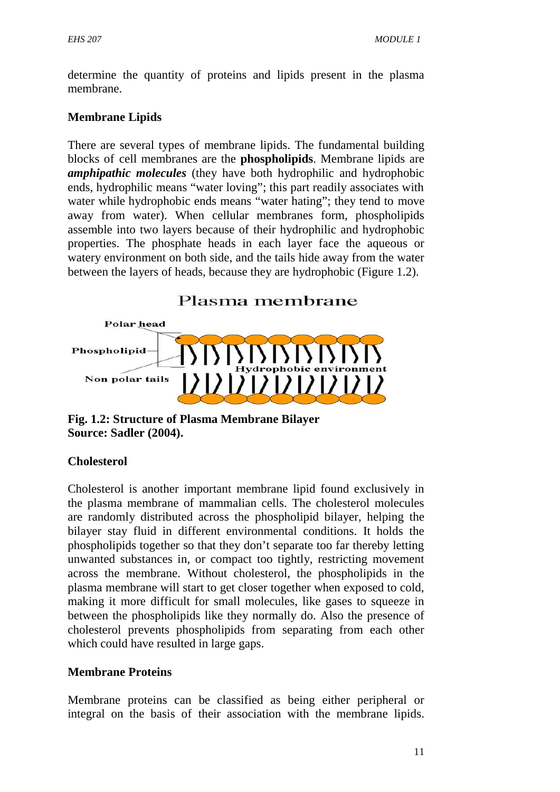determine the quantity of proteins and lipids present in the plasma membrane.

#### **Membrane Lipids**

There are several types of membrane lipids. The fundamental building blocks of cell membranes are the **phospholipids**. Membrane lipids are *amphipathic molecules* (they have both hydrophilic and hydrophobic ends, hydrophilic means "water loving"; this part readily associates with water while hydrophobic ends means "water hating"; they tend to move away from water). When cellular membranes form, phospholipids assemble into two layers because of their hydrophilic and hydrophobic properties. The phosphate heads in each layer face the aqueous or watery environment on both side, and the tails hide away from the water between the layers of heads, because they are hydrophobic (Figure 1.2).



**Fig. 1.2: Structure of Plasma Membrane Bilayer Source: Sadler (2004).**

#### **Cholesterol**

Cholesterol is another important membrane lipid found exclusively in the plasma membrane of mammalian cells. The cholesterol molecules are randomly distributed across the phospholipid bilayer, helping the bilayer stay fluid in different environmental conditions. It holds the phospholipids together so that they don't separate too far thereby letting unwanted substances in, or compact too tightly, restricting movement across the membrane. Without cholesterol, the phospholipids in the plasma membrane will start to get closer together when exposed to cold, making it more difficult for small molecules, like gases to squeeze in between the phospholipids like they normally do. Also the presence of cholesterol prevents phospholipids from separating from each other which could have resulted in large gaps.

#### **Membrane Proteins**

Membrane proteins can be classified as being either peripheral or integral on the basis of their association with the membrane lipids.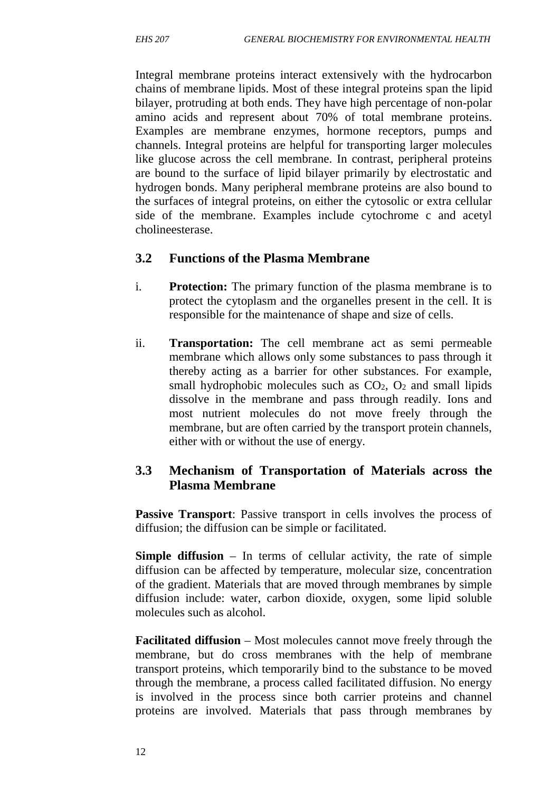Integral membrane proteins interact extensively with the hydrocarbon chains of membrane lipids. Most of these integral proteins span the lipid bilayer, protruding at both ends. They have high percentage of non-polar amino acids and represent about 70% of total membrane proteins. Examples are membrane enzymes, hormone receptors, pumps and channels. Integral proteins are helpful for transporting larger molecules like glucose across the cell membrane. In contrast, peripheral proteins are bound to the surface of lipid bilayer primarily by electrostatic and hydrogen bonds. Many peripheral membrane proteins are also bound to the surfaces of integral proteins, on either the cytosolic or extra cellular side of the membrane. Examples include cytochrome c and acetyl cholineesterase.

## **3.2 Functions of the Plasma Membrane**

- i. **Protection:** The primary function of the plasma membrane is to protect the cytoplasm and the organelles present in the cell. It is responsible for the maintenance of shape and size of cells.
- ii. **Transportation:** The cell membrane act as semi permeable membrane which allows only some substances to pass through it thereby acting as a barrier for other substances. For example, small hydrophobic molecules such as  $CO<sub>2</sub>$ ,  $O<sub>2</sub>$  and small lipids dissolve in the membrane and pass through readily. Ions and most nutrient molecules do not move freely through the membrane, but are often carried by the transport protein channels, either with or without the use of energy.

## **3.3 Mechanism of Transportation of Materials across the Plasma Membrane**

**Passive Transport**: Passive transport in cells involves the process of diffusion; the diffusion can be simple or facilitated.

**Simple diffusion** – In terms of cellular activity, the rate of simple diffusion can be affected by temperature, molecular size, concentration of the gradient. Materials that are moved through membranes by simple diffusion include: water, carbon dioxide, oxygen, some lipid soluble molecules such as alcohol.

**Facilitated diffusion** – Most molecules cannot move freely through the membrane, but do cross membranes with the help of membrane transport proteins, which temporarily bind to the substance to be moved through the membrane, a process called facilitated diffusion. No energy is involved in the process since both carrier proteins and channel proteins are involved. Materials that pass through membranes by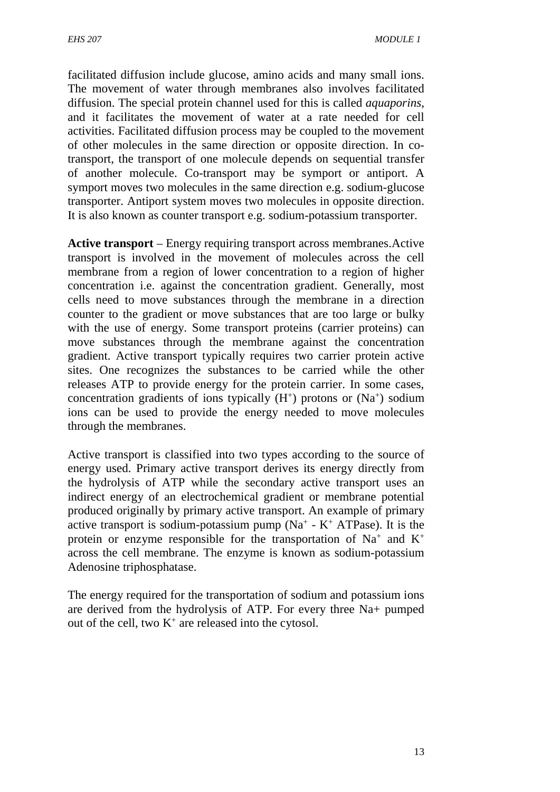facilitated diffusion include glucose, amino acids and many small ions. The movement of water through membranes also involves facilitated diffusion. The special protein channel used for this is called *aquaporins*, and it facilitates the movement of water at a rate needed for cell activities. Facilitated diffusion process may be coupled to the movement of other molecules in the same direction or opposite direction. In cotransport, the transport of one molecule depends on sequential transfer of another molecule. Co-transport may be symport or antiport. A symport moves two molecules in the same direction e.g. sodium-glucose transporter. Antiport system moves two molecules in opposite direction. It is also known as counter transport e.g. sodium-potassium transporter.

**Active transport** – Energy requiring transport across membranes.Active transport is involved in the movement of molecules across the cell membrane from a region of lower concentration to a region of higher concentration i.e. against the concentration gradient. Generally, most cells need to move substances through the membrane in a direction counter to the gradient or move substances that are too large or bulky with the use of energy. Some transport proteins (carrier proteins) can move substances through the membrane against the concentration gradient. Active transport typically requires two carrier protein active sites. One recognizes the substances to be carried while the other releases ATP to provide energy for the protein carrier. In some cases, concentration gradients of ions typically  $(H^+)$  protons or  $(Na^+)$  sodium ions can be used to provide the energy needed to move molecules through the membranes.

Active transport is classified into two types according to the source of energy used. Primary active transport derives its energy directly from the hydrolysis of ATP while the secondary active transport uses an indirect energy of an electrochemical gradient or membrane potential produced originally by primary active transport. An example of primary active transport is sodium-potassium pump ( $Na^+$  -  $K^+$  ATPase). It is the protein or enzyme responsible for the transportation of  $Na<sup>+</sup>$  and  $K<sup>+</sup>$ across the cell membrane. The enzyme is known as sodium-potassium Adenosine triphosphatase.

The energy required for the transportation of sodium and potassium ions are derived from the hydrolysis of ATP. For every three Na+ pumped out of the cell, two  $K^+$  are released into the cytosol.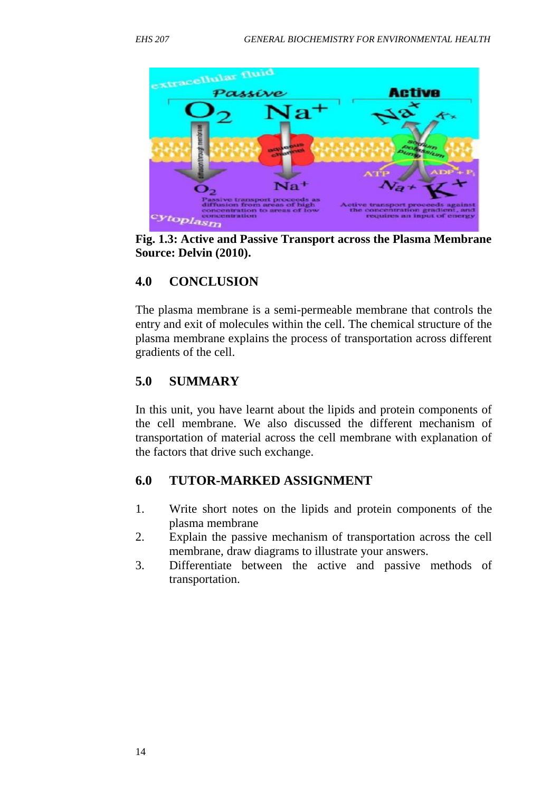

**Fig. 1.3: Active and Passive Transport across the Plasma Membrane Source: Delvin (2010).**

# **4.0 CONCLUSION**

The plasma membrane is a semi-permeable membrane that controls the entry and exit of molecules within the cell. The chemical structure of the plasma membrane explains the process of transportation across different gradients of the cell.

# **5.0 SUMMARY**

In this unit, you have learnt about the lipids and protein components of the cell membrane. We also discussed the different mechanism of transportation of material across the cell membrane with explanation of the factors that drive such exchange.

# **6.0 TUTOR-MARKED ASSIGNMENT**

- 1. Write short notes on the lipids and protein components of the plasma membrane
- 2. Explain the passive mechanism of transportation across the cell membrane, draw diagrams to illustrate your answers.
- 3. Differentiate between the active and passive methods of transportation.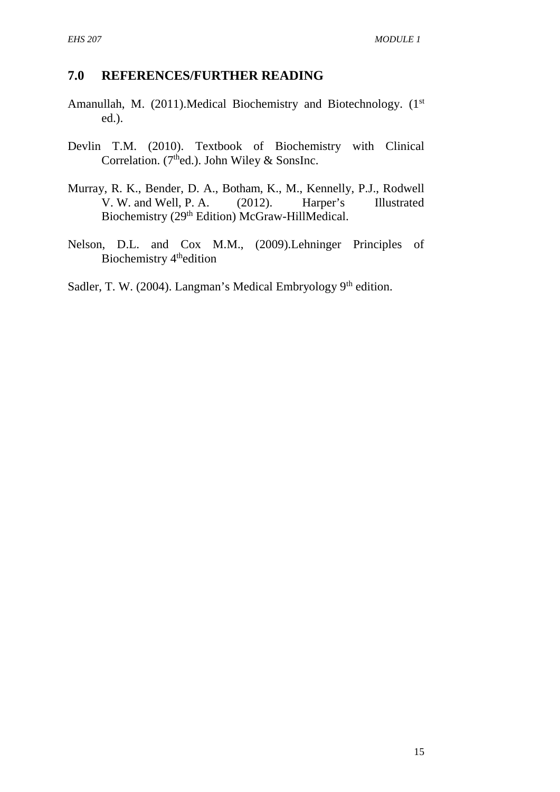#### **7.0 REFERENCES/FURTHER READING**

- Amanullah, M. (2011). Medical Biochemistry and Biotechnology. (1<sup>st</sup> ed.).
- Devlin T.M. (2010). Textbook of Biochemistry with Clinical Correlation. (7<sup>th</sup>ed.). John Wiley & SonsInc.
- Murray, R. K., Bender, D. A., Botham, K., M., Kennelly, P.J., Rodwell V. W. and Well, P. A. (2012). Harper's Illustrated Biochemistry (29<sup>th</sup> Edition) McGraw-HillMedical.
- Nelson, D.L. and Cox M.M., (2009).Lehninger Principles of Biochemistry 4<sup>th</sup>edition

Sadler, T. W. (2004). Langman's Medical Embryology  $9<sup>th</sup>$  edition.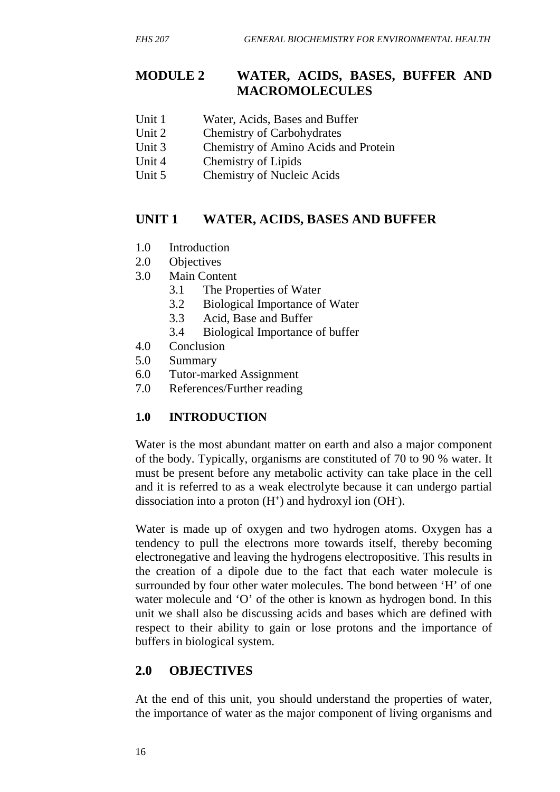## **MODULE 2 WATER, ACIDS, BASES, BUFFER AND MACROMOLECULES**

- Unit 1 Water, Acids, Bases and Buffer
- Unit 2 Chemistry of Carbohydrates
- Unit 3 Chemistry of Amino Acids and Protein
- Unit 4 Chemistry of Lipids
- Unit 5 Chemistry of Nucleic Acids

# **UNIT 1 WATER, ACIDS, BASES AND BUFFER**

- 1.0 Introduction
- 2.0 Objectives
- 3.0 Main Content
	- 3.1 The Properties of Water
	- 3.2 Biological Importance of Water
	- 3.3 Acid, Base and Buffer
	- 3.4 Biological Importance of buffer
- 4.0 Conclusion
- 5.0 Summary
- 6.0 Tutor-marked Assignment
- 7.0 References/Further reading

## **1.0 INTRODUCTION**

Water is the most abundant matter on earth and also a major component of the body. Typically, organisms are constituted of 70 to 90 % water. It must be present before any metabolic activity can take place in the cell and it is referred to as a weak electrolyte because it can undergo partial dissociation into a proton  $(H<sup>+</sup>)$  and hydroxyl ion  $(OH<sup>-</sup>)$ .

Water is made up of oxygen and two hydrogen atoms. Oxygen has a tendency to pull the electrons more towards itself, thereby becoming electronegative and leaving the hydrogens electropositive. This results in the creation of a dipole due to the fact that each water molecule is surrounded by four other water molecules. The bond between 'H' of one water molecule and 'O' of the other is known as hydrogen bond. In this unit we shall also be discussing acids and bases which are defined with respect to their ability to gain or lose protons and the importance of buffers in biological system.

# **2.0 OBJECTIVES**

At the end of this unit, you should understand the properties of water, the importance of water as the major component of living organisms and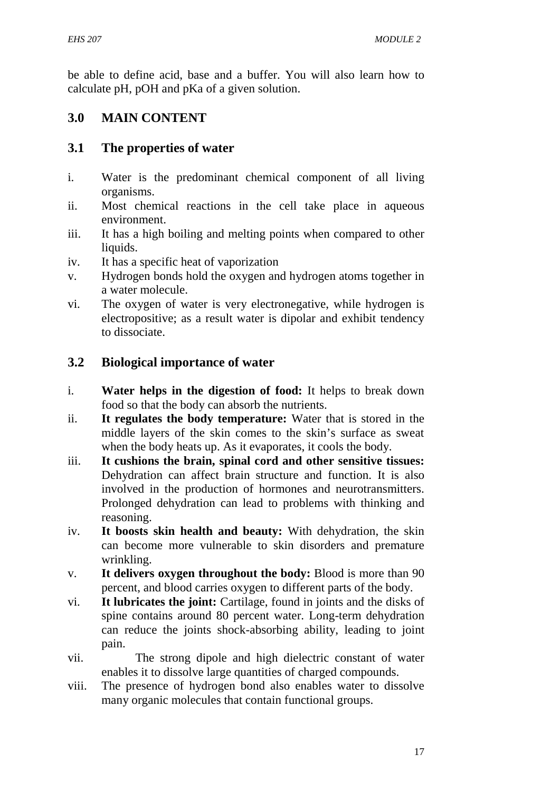be able to define acid, base and a buffer. You will also learn how to calculate pH, pOH and pKa of a given solution.

## **3.0 MAIN CONTENT**

## **3.1 The properties of water**

- i. Water is the predominant chemical component of all living organisms.
- ii. Most chemical reactions in the cell take place in aqueous environment.
- iii. It has a high boiling and melting points when compared to other liquids.
- iv. It has a specific heat of vaporization
- v. Hydrogen bonds hold the oxygen and hydrogen atoms together in a water molecule.
- vi. The oxygen of water is very electronegative, while hydrogen is electropositive; as a result water is dipolar and exhibit tendency to dissociate.

## **3.2 Biological importance of water**

- i. **Water helps in the digestion of food:** It helps to break down food so that the body can absorb the nutrients.
- ii. **It regulates the body temperature:** Water that is stored in the middle layers of the skin comes to the skin's surface as sweat when the body heats up. As it evaporates, it cools the body.
- iii. **It cushions the brain, spinal cord and other sensitive tissues:** Dehydration can affect brain structure and function. It is also involved in the production of hormones and neurotransmitters. Prolonged dehydration can lead to problems with thinking and reasoning.
- iv. **It boosts skin health and beauty:** With dehydration, the skin can become more vulnerable to skin disorders and premature wrinkling.
- v. **It delivers oxygen throughout the body:** Blood is more than 90 percent, and blood carries oxygen to different parts of the body.
- vi. **It lubricates the joint:** Cartilage, found in joints and the disks of spine contains around 80 percent water. Long-term dehydration can reduce the joints shock-absorbing ability, leading to joint pain.
- vii. The strong dipole and high dielectric constant of water enables it to dissolve large quantities of charged compounds.
- viii. The presence of hydrogen bond also enables water to dissolve many organic molecules that contain functional groups.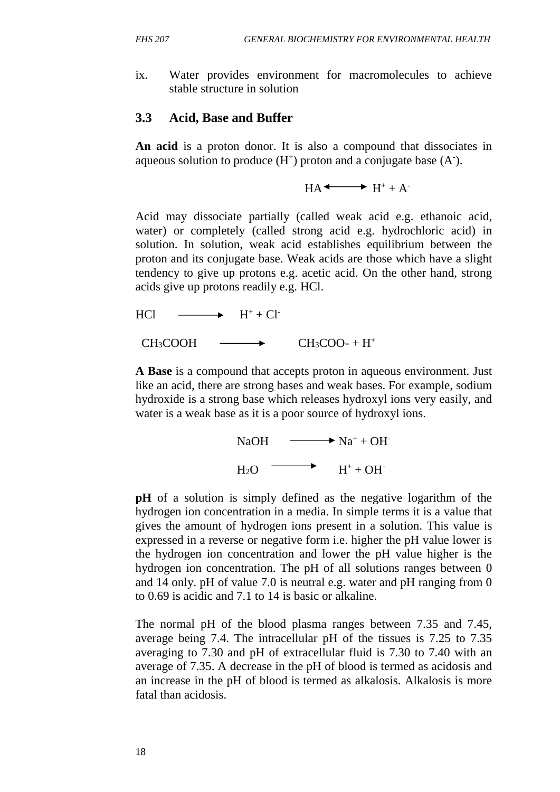ix. Water provides environment for macromolecules to achieve stable structure in solution

#### **3.3 Acid, Base and Buffer**

**An acid** is a proton donor. It is also a compound that dissociates in aqueous solution to produce  $(H^+)$  proton and a conjugate base  $(A^-)$ .

 $HA \longrightarrow H^+ + A^-$ 

Acid may dissociate partially (called weak acid e.g. ethanoic acid, water) or completely (called strong acid e.g. hydrochloric acid) in solution. In solution, weak acid establishes equilibrium between the proton and its conjugate base. Weak acids are those which have a slight tendency to give up protons e.g. acetic acid. On the other hand, strong acids give up protons readily e.g. HCl.

 $HCl \longrightarrow H^+ + Cl^-$ 

 $CH_3COOH \longrightarrow CH_3COO^- + H^+$ 

**A Base** is a compound that accepts proton in aqueous environment. Just like an acid, there are strong bases and weak bases. For example, sodium hydroxide is a strong base which releases hydroxyl ions very easily, and water is a weak base as it is a poor source of hydroxyl ions.

> $NaOH \longrightarrow Na^+ + OH^ H_2O \longrightarrow H^+ + OH^-$

**pH** of a solution is simply defined as the negative logarithm of the hydrogen ion concentration in a media. In simple terms it is a value that gives the amount of hydrogen ions present in a solution. This value is expressed in a reverse or negative form i.e. higher the pH value lower is the hydrogen ion concentration and lower the pH value higher is the hydrogen ion concentration. The pH of all solutions ranges between 0 and 14 only. pH of value 7.0 is neutral e.g. water and pH ranging from 0 to 0.69 is acidic and 7.1 to 14 is basic or alkaline.

The normal pH of the blood plasma ranges between 7.35 and 7.45, average being 7.4. The intracellular pH of the tissues is 7.25 to 7.35 averaging to 7.30 and pH of extracellular fluid is 7.30 to 7.40 with an average of 7.35. A decrease in the pH of blood is termed as acidosis and an increase in the pH of blood is termed as alkalosis. Alkalosis is more fatal than acidosis.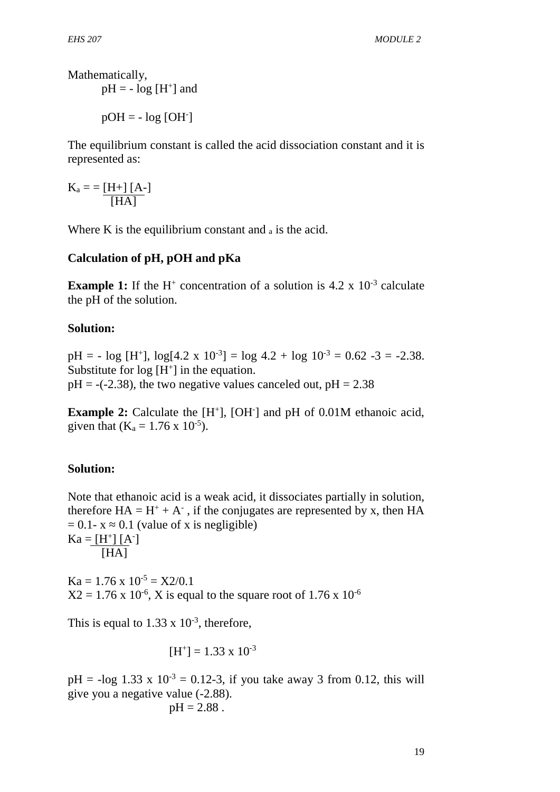Mathematically,

 $pH = -\log [H^+]$  and

 $pOH = - log [OH^{-}]$ 

The equilibrium constant is called the acid dissociation constant and it is represented as:

 $K_a = [H+][A-]$ [HA]

Where K is the equilibrium constant and  $_a$  is the acid.

#### **Calculation of pH, pOH and pKa**

**Example 1:** If the H<sup>+</sup> concentration of a solution is  $4.2 \times 10^{-3}$  calculate the pH of the solution.

#### **Solution:**

 $pH = -\log[H^+]$ ,  $\log[4.2 \times 10^{-3}] = \log 4.2 + \log 10^{-3} = 0.62 - 3 = -2.38$ . Substitute for  $log[H^+]$  in the equation.  $pH = -(-2.38)$ , the two negative values canceled out,  $pH = 2.38$ 

**Example 2:** Calculate the [H<sup>+</sup>], [OH<sup>-</sup>] and pH of 0.01M ethanoic acid, given that  $(K_a = 1.76 \times 10^{-5})$ .

#### **Solution:**

Note that ethanoic acid is a weak acid, it dissociates partially in solution, therefore  $HA = H^+ + A^-$ , if the conjugates are represented by x, then HA  $= 0.1 - x$  0.1 (value of x is negligible)  $Ka = [H^+] [A^-]$ [HA]

 $Ka = 1.76 \times 10^{-5} = X2/0.1$  $X2 = 1.76 \times 10^{-6}$ , X is equal to the square root of 1.76 x 10<sup>-6</sup>

This is equal to  $1.33 \times 10^{-3}$ , therefore,

$$
[H^+] = 1.33 \times 10^{-3}
$$

 $pH = -\log 1.33 \times 10^{-3} = 0.12 - 3$ , if you take away 3 from 0.12, this will give you a negative value (-2.88).

$$
pH = 2.88
$$
.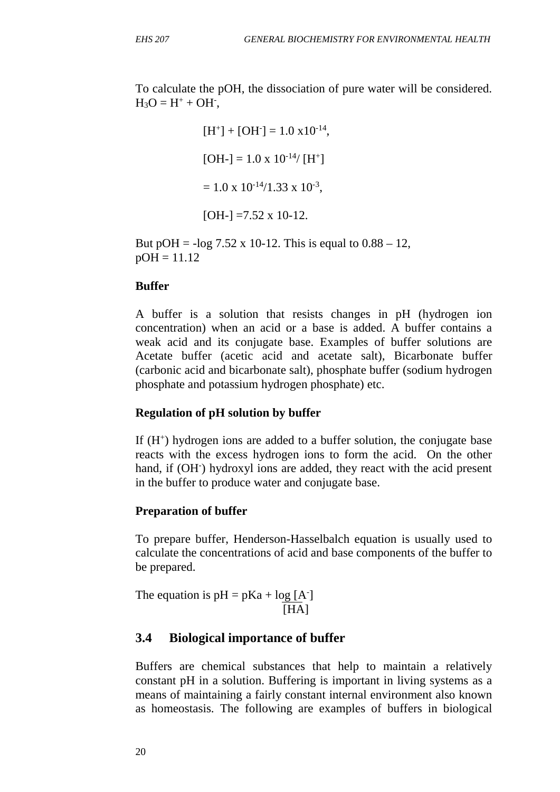To calculate the pOH, the dissociation of pure water will be considered.  $H_3O = H^+ + OH^-,$ 

$$
[H^+] + [OH^-] = 1.0 \times 10^{-14},
$$
  
\n
$$
[OH^-] = 1.0 \times 10^{-14} / [H^+]
$$
  
\n
$$
= 1.0 \times 10^{-14} / 1.33 \times 10^{-3},
$$
  
\n
$$
[OH^-] = 7.52 \times 10^{-12}.
$$

But pOH =  $-\log 7.52 \times 10^{-12}$ . This is equal to  $0.88 - 12$ ,  $pOH = 11.12$ 

#### **Buffer**

A buffer is a solution that resists changes in pH (hydrogen ion concentration) when an acid or a base is added. A buffer contains a weak acid and its conjugate base. Examples of buffer solutions are Acetate buffer (acetic acid and acetate salt), Bicarbonate buffer (carbonic acid and bicarbonate salt), phosphate buffer (sodium hydrogen phosphate and potassium hydrogen phosphate) etc.

## **Regulation of pH solution by buffer**

If (H<sup>+</sup>) hydrogen ions are added to a buffer solution, the conjugate base reacts with the excess hydrogen ions to form the acid. On the other hand, if (OH<sup>-</sup>) hydroxyl ions are added, they react with the acid present in the buffer to produce water and conjugate base.

#### **Preparation of buffer**

To prepare buffer, Henderson-Hasselbalch equation is usually used to calculate the concentrations of acid and base components of the buffer to be prepared.

The equation is  $pH = pKa + log [A^{-}]$ [HA]

## **3.4 Biological importance of buffer**

Buffers are chemical substances that help to maintain a relatively constant pH in a solution. Buffering is important in living systems as a means of maintaining a fairly constant internal environment also known as homeostasis. The following are examples of buffers in biological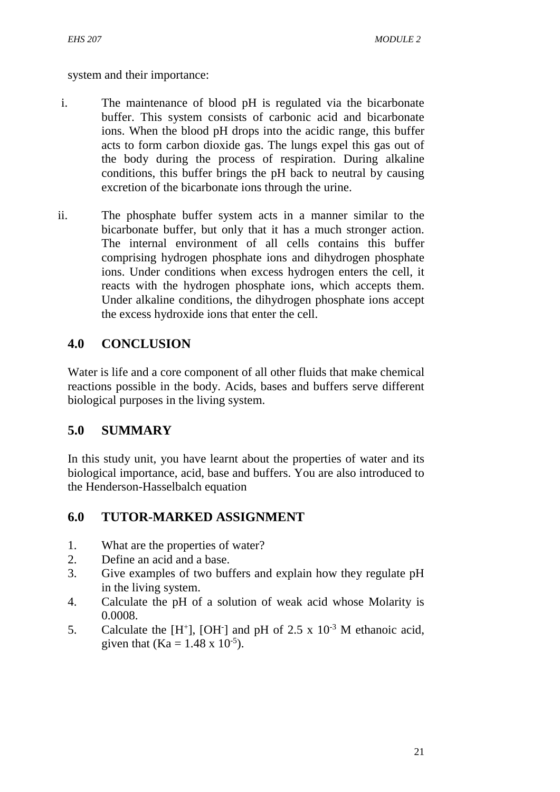system and their importance:

- i. The maintenance of blood pH is regulated via the bicarbonate buffer. This system consists of carbonic acid and bicarbonate ions. When the blood pH drops into the acidic range, this buffer acts to form carbon dioxide gas. The lungs expel this gas out of the body during the process of respiration. During alkaline conditions, this buffer brings the pH back to neutral by causing excretion of the bicarbonate ions through the urine.
- ii. The phosphate buffer system acts in a manner similar to the bicarbonate buffer, but only that it has a much stronger action. The internal environment of all cells contains this buffer comprising hydrogen phosphate ions and dihydrogen phosphate ions. Under conditions when excess hydrogen enters the cell, it reacts with the hydrogen phosphate ions, which accepts them. Under alkaline conditions, the dihydrogen phosphate ions accept the excess hydroxide ions that enter the cell.

# **4.0 CONCLUSION**

Water is life and a core component of all other fluids that make chemical reactions possible in the body. Acids, bases and buffers serve different biological purposes in the living system.

# **5.0 SUMMARY**

In this study unit, you have learnt about the properties of water and its biological importance, acid, base and buffers. You are also introduced to the Henderson-Hasselbalch equation

# **6.0 TUTOR-MARKED ASSIGNMENT**

- 1. What are the properties of water?
- 2. Define an acid and a base.
- 3. Give examples of two buffers and explain how they regulate pH in the living system.
- 4. Calculate the pH of a solution of weak acid whose Molarity is 0.0008.
- 5. Calculate the  $[H^+]$ , [OH<sup>-</sup>] and pH of 2.5 x 10<sup>-3</sup> M ethanoic acid, given that (Ka =  $1.48 \times 10^{-5}$ ).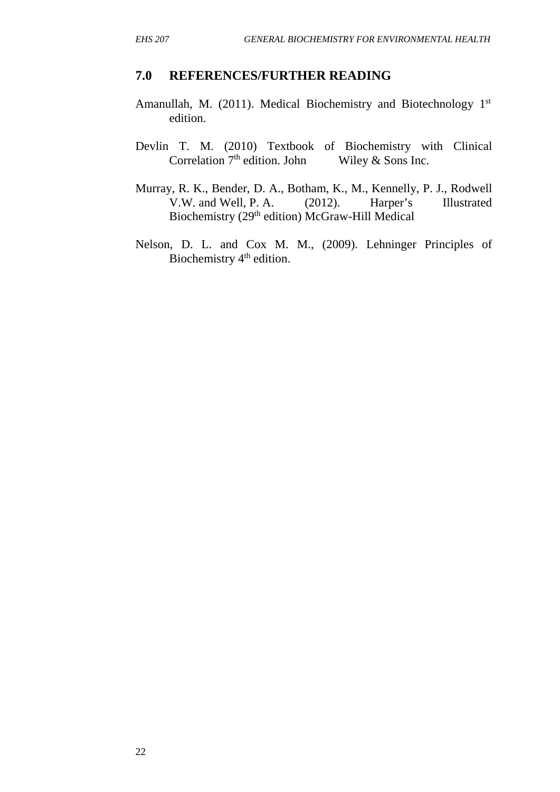# **7.0 REFERENCES/FURTHER READING**

- Amanullah, M. (2011). Medical Biochemistry and Biotechnology 1st edition.
- Devlin T. M. (2010) Textbook of Biochemistry with Clinical Correlation  $7<sup>th</sup>$  edition. John Wiley & Sons Inc.
- Murray, R. K., Bender, D. A., Botham, K., M., Kennelly, P. J., Rodwell V.W. and Well, P. A. (2012). Harper's Illustrated Biochemistry (29<sup>th</sup> edition) McGraw-Hill Medical
- Nelson, D. L. and Cox M. M., (2009). Lehninger Principles of Biochemistry  $4<sup>th</sup>$  edition.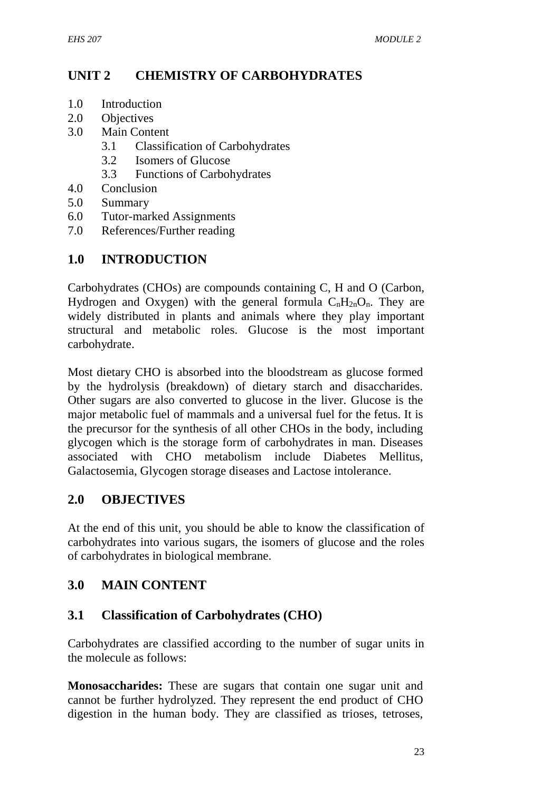## **UNIT 2 CHEMISTRY OF CARBOHYDRATES**

- 1.0 Introduction
- 2.0 Objectives
- 3.0 Main Content
	- 3.1 Classification of Carbohydrates
	- 3.2 Isomers of Glucose
	- 3.3 Functions of Carbohydrates
- 4.0 Conclusion
- 5.0 Summary
- 6.0 Tutor-marked Assignments
- 7.0 References/Further reading

## **1.0 INTRODUCTION**

Carbohydrates (CHOs) are compounds containing C, H and O (Carbon, Hydrogen and Oxygen) with the general formula  $C_nH_{2n}O_n$ . They are widely distributed in plants and animals where they play important structural and metabolic roles. Glucose is the most important carbohydrate.

Most dietary CHO is absorbed into the bloodstream as glucose formed by the hydrolysis (breakdown) of dietary starch and disaccharides. Other sugars are also converted to glucose in the liver. Glucose is the major metabolic fuel of mammals and a universal fuel for the fetus. It is the precursor for the synthesis of all other CHOs in the body, including glycogen which is the storage form of carbohydrates in man. Diseases associated with CHO metabolism include Diabetes Mellitus, Galactosemia, Glycogen storage diseases and Lactose intolerance.

#### **2.0 OBJECTIVES**

At the end of this unit, you should be able to know the classification of carbohydrates into various sugars, the isomers of glucose and the roles of carbohydrates in biological membrane.

## **3.0 MAIN CONTENT**

#### **3.1 Classification of Carbohydrates (CHO)**

Carbohydrates are classified according to the number of sugar units in the molecule as follows:

**Monosaccharides:** These are sugars that contain one sugar unit and cannot be further hydrolyzed. They represent the end product of CHO digestion in the human body. They are classified as trioses, tetroses,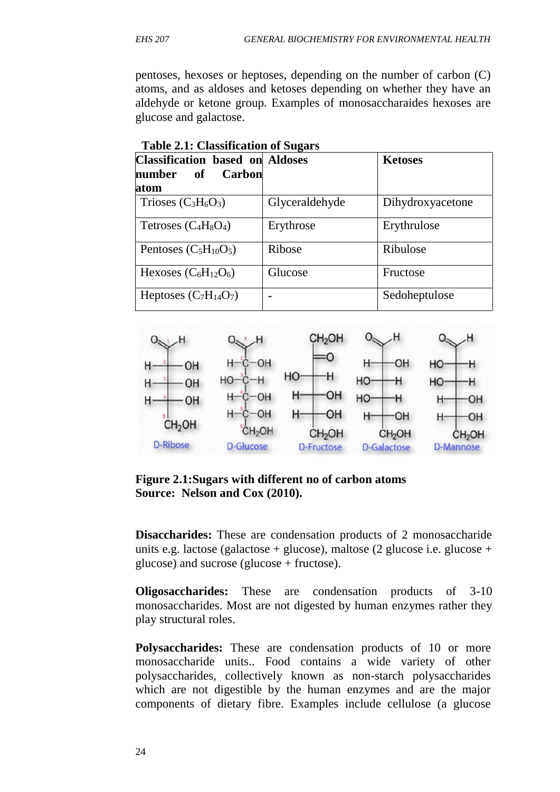pentoses, hexoses or heptoses, depending on the number of carbon (C) atoms, and as aldoses and ketoses depending on whether they have an aldehyde or ketone group. Examples of monosaccharaides hexoses are glucose and galactose.

| <b>Classification based on Aldoses</b><br>Carbon<br>of<br>number |                | <b>Ketoses</b>   |
|------------------------------------------------------------------|----------------|------------------|
| atom                                                             |                |                  |
| Trioses $(C_3H_6O_3)$                                            | Glyceraldehyde | Dihydroxyacetone |
| Tetroses $(C_4H_8O_4)$                                           | Erythrose      | Erythrulose      |
| Pentoses $(C_5H_{10}O_5)$                                        | Ribose         | Ribulose         |
| Hexoses $(C_6H_{12}O_6)$                                         | Glucose        | Fructose         |
| Heptoses $(C_7H_{14}O_7)$                                        |                | Sedoheptulose    |

**Table 2.1: Classification of Sugars**



**Figure 2.1:Sugars with different no of carbon atoms Source: Nelson and Cox (2010).**

**Disaccharides:** These are condensation products of 2 monosaccharide units e.g. lactose (galactose + glucose), maltose (2 glucose i.e. glucose + glucose) and sucrose (glucose + fructose).

**Oligosaccharides:** These are condensation products of 3-10 monosaccharides. Most are not digested by human enzymes rather they play structural roles.

**Polysaccharides:** These are condensation products of 10 or more monosaccharide units.. Food contains a wide variety of other polysaccharides, collectively known as non-starch polysaccharides which are not digestible by the human enzymes and are the major components of dietary fibre. Examples include cellulose (a glucose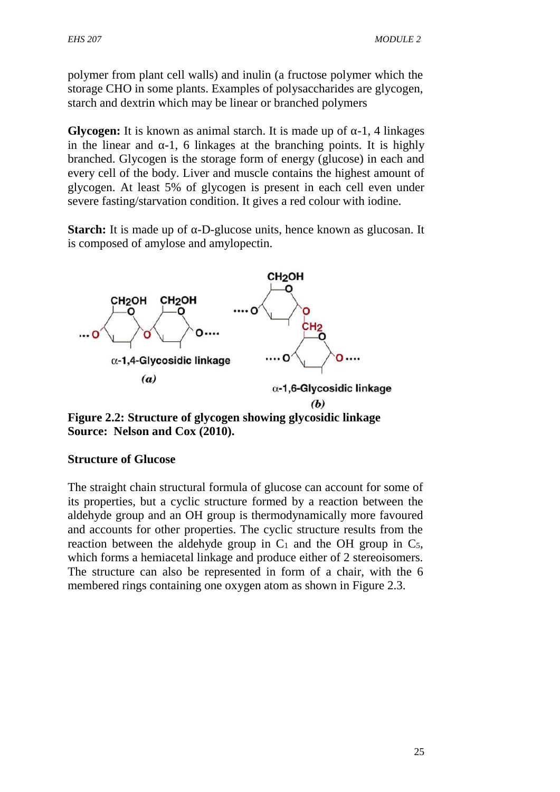polymer from plant cell walls) and inulin (a fructose polymer which the storage CHO in some plants. Examples of polysaccharides are glycogen, starch and dextrin which may be linear or branched polymers

**Glycogen:** It is known as animal starch. It is made up of  $-1$ , 4 linkages in the linear and  $-1$ , 6 linkages at the branching points. It is highly branched. Glycogen is the storage form of energy (glucose) in each and every cell of the body. Liver and muscle contains the highest amount of glycogen. At least 5% of glycogen is present in each cell even under severe fasting/starvation condition. It gives a red colour with iodine.

**Starch:** It is made up of -D-glucose units, hence known as glucosan. It is composed of amylose and amylopectin.



**Figure 2.2: Structure of glycogen showing glycosidic linkage Source: Nelson and Cox (2010).**

#### **Structure of Glucose**

The straight chain structural formula of glucose can account for some of its properties, but a cyclic structure formed by a reaction between the aldehyde group and an OH group is thermodynamically more favoured and accounts for other properties. The cyclic structure results from the reaction between the aldehyde group in  $C_1$  and the OH group in  $C_5$ , which forms a hemiacetal linkage and produce either of 2 stereoisomers. The structure can also be represented in form of a chair, with the 6 membered rings containing one oxygen atom as shown in Figure 2.3.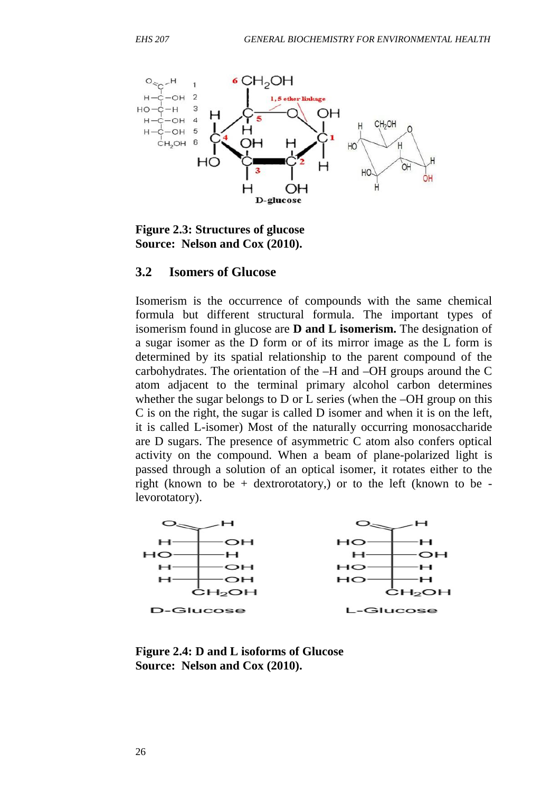

**Figure 2.3: Structures of glucose Source: Nelson and Cox (2010).**

#### **3.2 Isomers of Glucose**

Isomerism is the occurrence of compounds with the same chemical formula but different structural formula. The important types of isomerism found in glucose are **D and L isomerism.** The designation of a sugar isomer as the D form or of its mirror image as the L form is determined by its spatial relationship to the parent compound of the carbohydrates. The orientation of the –H and –OH groups around the C atom adjacent to the terminal primary alcohol carbon determines whether the sugar belongs to D or L series (when the –OH group on this C is on the right, the sugar is called D isomer and when it is on the left, it is called L-isomer) Most of the naturally occurring monosaccharide are D sugars. The presence of asymmetric C atom also confers optical activity on the compound. When a beam of plane-polarized light is passed through a solution of an optical isomer, it rotates either to the right (known to be + dextrorotatory,) or to the left (known to be levorotatory).



**Figure 2.4: D and L isoforms of Glucose Source: Nelson and Cox (2010).**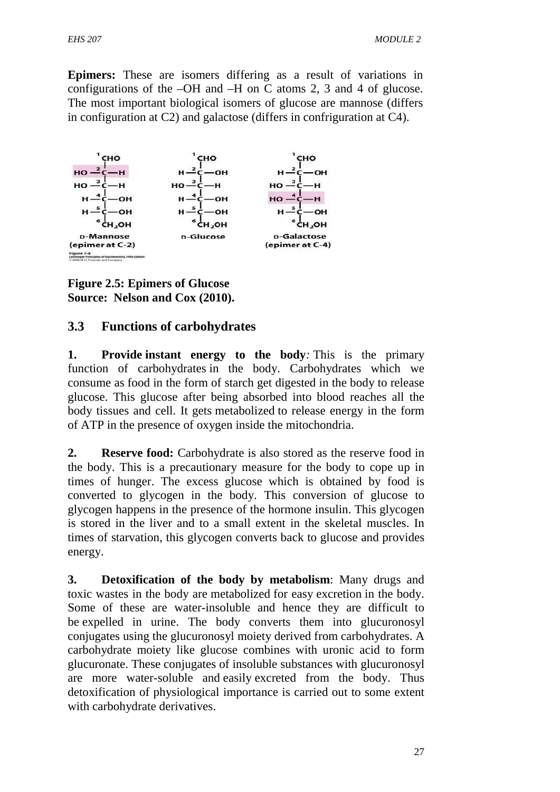**Epimers:** These are isomers differing as a result of variations in configurations of the –OH and –H on C atoms 2, 3 and 4 of glucose. The most important biological isomers of glucose are mannose (differs in configuration at C2) and galactose (differs in confriguration at C4).



**Figure 2.5: Epimers of Glucose Source: Nelson and Cox (2010).**

## **3.3 Functions of carbohydrates**

**1. Provide instant energy to the body***:* This is the primary function of carbohydrates in the body. Carbohydrates which we consume as food in the form of starch get digested in the body to release glucose. This glucose after being absorbed into blood reaches all the body tissues and cell. It gets metabolized to release energy in the form of ATP in the presence of oxygen inside the mitochondria.

**2. Reserve food:** Carbohydrate is also stored as the reserve food in the body. This is a precautionary measure for the body to cope up in times of hunger. The excess glucose which is obtained by food is converted to glycogen in the body. This conversion of glucose to glycogen happens in the presence of the hormone insulin. This glycogen is stored in the liver and to a small extent in the skeletal muscles. In times of starvation, this glycogen converts back to glucose and provides energy.

**3. Detoxification of the body by metabolism**: Many drugs and toxic wastes in the body are metabolized for easy excretion in the body. Some of these are water-insoluble and hence they are difficult to be expelled in urine. The body converts them into glucuronosyl conjugates using the glucuronosyl moiety derived from carbohydrates. A carbohydrate moiety like glucose combines with uronic acid to form glucuronate. These conjugates of insoluble substances with glucuronosyl are more water-soluble and easily excreted from the body. Thus detoxification of physiological importance is carried out to some extent with carbohydrate derivatives.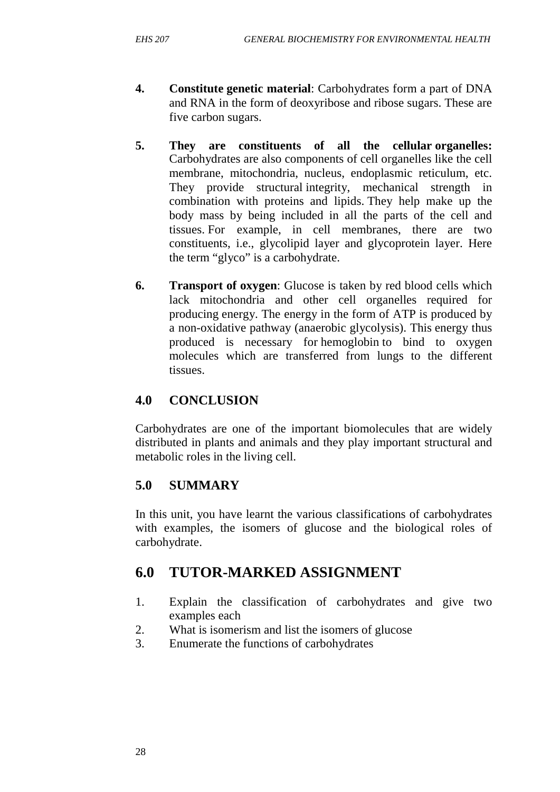- **4. Constitute genetic material**: Carbohydrates form a part of DNA and RNA in the form of deoxyribose and ribose sugars. These are five carbon sugars.
- **5. They are constituents of all the cellular organelles:** Carbohydrates are also components of cell organelles like the cell membrane, mitochondria, nucleus, endoplasmic reticulum, etc. They provide structural integrity, mechanical strength in combination with proteins and lipids. They help make up the body mass by being included in all the parts of the cell and tissues. For example, in cell membranes, there are two constituents, i.e., glycolipid layer and glycoprotein layer. Here the term "glyco" is a carbohydrate.
- **6. Transport of oxygen**: Glucose is taken by red blood cells which lack mitochondria and other cell organelles required for producing energy. The energy in the form of ATP is produced by a non-oxidative pathway (anaerobic glycolysis). This energy thus produced is necessary for hemoglobin to bind to oxygen molecules which are transferred from lungs to the different tissues.

## **4.0 CONCLUSION**

Carbohydrates are one of the important biomolecules that are widely distributed in plants and animals and they play important structural and metabolic roles in the living cell.

## **5.0 SUMMARY**

In this unit, you have learnt the various classifications of carbohydrates with examples, the isomers of glucose and the biological roles of carbohydrate.

# **6.0 TUTOR-MARKED ASSIGNMENT**

- 1. Explain the classification of carbohydrates and give two examples each
- 2. What is isomerism and list the isomers of glucose
- 3. Enumerate the functions of carbohydrates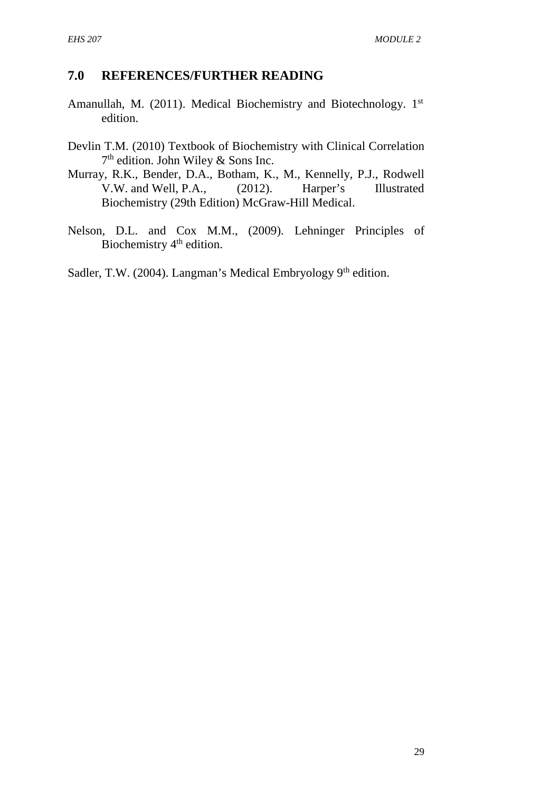## **7.0 REFERENCES/FURTHER READING**

- Amanullah, M. (2011). Medical Biochemistry and Biotechnology. 1st edition.
- Devlin T.M. (2010) Textbook of Biochemistry with Clinical Correlation 7 th edition. John Wiley & Sons Inc.
- Murray, R.K., Bender, D.A., Botham, K., M., Kennelly, P.J., Rodwell V.W. and Well, P.A., (2012). Harper's Illustrated Biochemistry (29th Edition) McGraw-Hill Medical.
- Nelson, D.L. and Cox M.M., (2009). Lehninger Principles of Biochemistry 4<sup>th</sup> edition.

Sadler, T.W. (2004). Langman's Medical Embryology  $9<sup>th</sup>$  edition.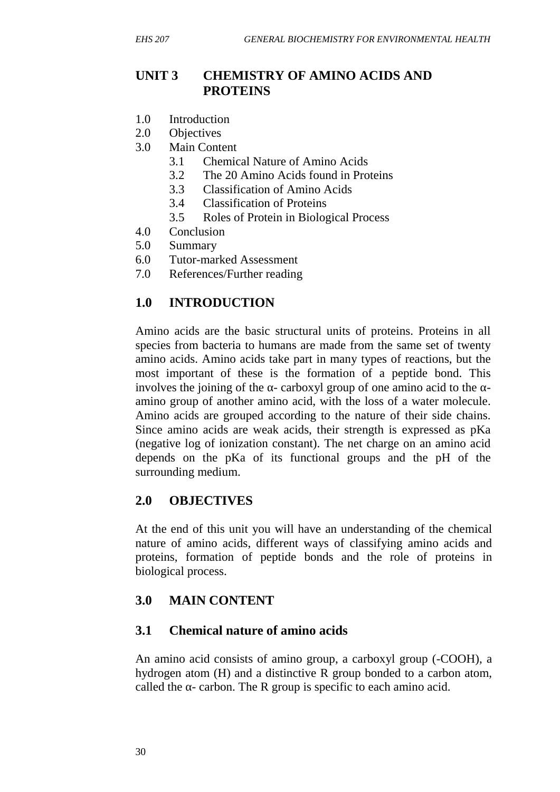## **UNIT 3 CHEMISTRY OF AMINO ACIDS AND PROTEINS**

- 1.0 Introduction
- 2.0 Objectives
- 3.0 Main Content
	- 3.1 Chemical Nature of Amino Acids
	- 3.2 The 20 Amino Acids found in Proteins
	- 3.3 Classification of Amino Acids
	- 3.4 Classification of Proteins
	- 3.5 Roles of Protein in Biological Process
- 4.0 Conclusion
- 5.0 Summary
- 6.0 Tutor-marked Assessment
- 7.0 References/Further reading

## **1.0 INTRODUCTION**

Amino acids are the basic structural units of proteins. Proteins in all species from bacteria to humans are made from the same set of twenty amino acids. Amino acids take part in many types of reactions, but the most important of these is the formation of a peptide bond. This involves the joining of the  $\sim$  carboxyl group of one amino acid to the  $\sim$ amino group of another amino acid, with the loss of a water molecule. Amino acids are grouped according to the nature of their side chains. Since amino acids are weak acids, their strength is expressed as pKa (negative log of ionization constant). The net charge on an amino acid depends on the pKa of its functional groups and the pH of the surrounding medium.

### **2.0 OBJECTIVES**

At the end of this unit you will have an understanding of the chemical nature of amino acids, different ways of classifying amino acids and proteins, formation of peptide bonds and the role of proteins in biological process.

## **3.0 MAIN CONTENT**

### **3.1 Chemical nature of amino acids**

An amino acid consists of amino group, a carboxyl group (-COOH), a hydrogen atom (H) and a distinctive R group bonded to a carbon atom, called the - carbon. The R group is specific to each amino acid.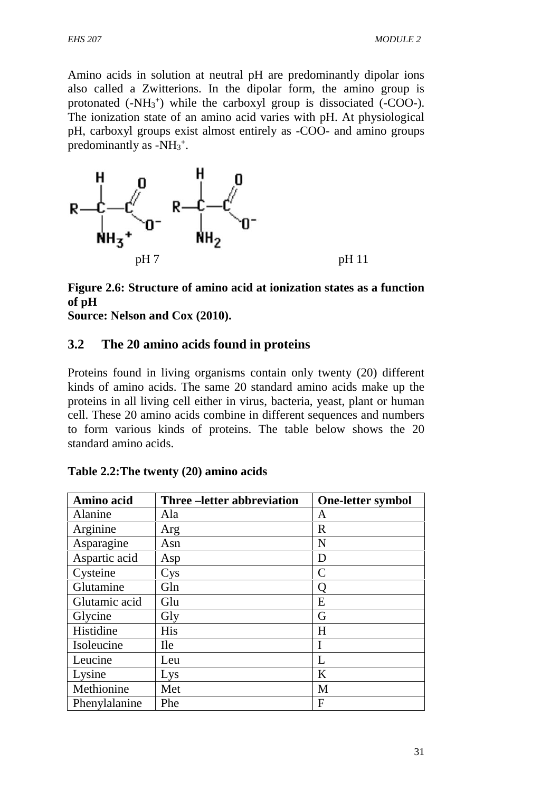Amino acids in solution at neutral pH are predominantly dipolar ions also called a Zwitterions. In the dipolar form, the amino group is protonated  $(-NH_3^+)$  while the carboxyl group is dissociated  $(-COO-)$ . The ionization state of an amino acid varies with pH. At physiological pH, carboxyl groups exist almost entirely as -COO- and amino groups predominantly as  $-NH_3^+$ .



## **Figure 2.6: Structure of amino acid at ionization states as a function of pH**

**Source: Nelson and Cox (2010).**

### **3.2 The 20 amino acids found in proteins**

Proteins found in living organisms contain only twenty (20) different kinds of amino acids. The same 20 standard amino acids make up the proteins in all living cell either in virus, bacteria, yeast, plant or human cell. These 20 amino acids combine in different sequences and numbers to form various kinds of proteins. The table below shows the 20 standard amino acids.

| Amino acid    | Three – letter abbreviation | <b>One-letter symbol</b> |
|---------------|-----------------------------|--------------------------|
| Alanine       | Ala                         | A                        |
| Arginine      | Arg                         | $\mathbf R$              |
| Asparagine    | Asn                         | N                        |
| Aspartic acid | Asp                         | D                        |
| Cysteine      | Cys                         | $\mathsf{C}$             |
| Glutamine     | Gln                         |                          |
| Glutamic acid | Glu                         | E                        |
| Glycine       | Gly                         | G                        |
| Histidine     | <b>His</b>                  | H                        |
| Isoleucine    | <b>Ile</b>                  | I                        |
| Leucine       | Leu                         | L                        |
| Lysine        | Lys                         | K                        |
| Methionine    | Met                         | M                        |
| Phenylalanine | Phe                         | F                        |

**Table 2.2:The twenty (20) amino acids**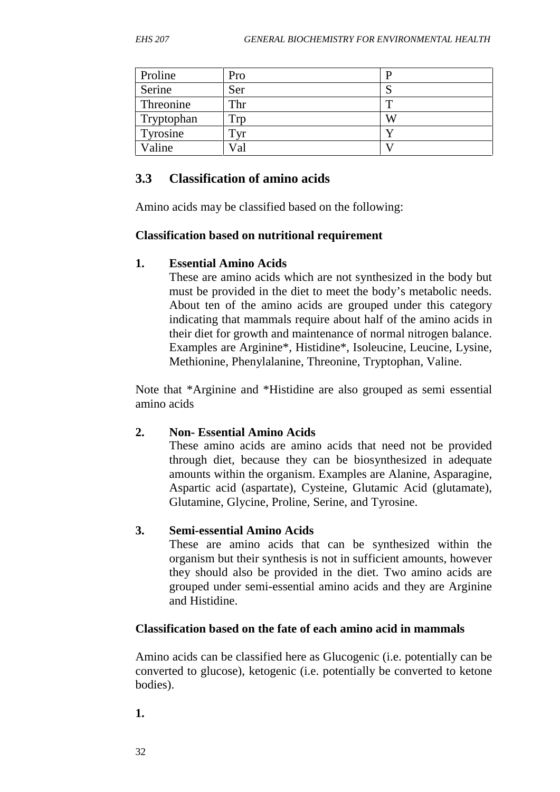| Proline    | Pro |   |
|------------|-----|---|
| Serine     | Ser |   |
| Threonine  | Thr |   |
| Tryptophan | Trp | W |
| Tyrosine   | Tvr |   |
| Valine     | Val |   |

### **3.3 Classification of amino acids**

Amino acids may be classified based on the following:

### **Classification based on nutritional requirement**

### **1. Essential Amino Acids**

These are amino acids which are not synthesized in the body but must be provided in the diet to meet the body's metabolic needs. About ten of the amino acids are grouped under this category indicating that mammals require about half of the amino acids in their diet for growth and maintenance of normal nitrogen balance. Examples are Arginine\*, Histidine\*, Isoleucine, Leucine, Lysine, Methionine, Phenylalanine, Threonine, Tryptophan, Valine.

Note that \*Arginine and \*Histidine are also grouped as semi essential amino acids

## **2. Non- Essential Amino Acids**

These amino acids are amino acids that need not be provided through diet, because they can be biosynthesized in adequate amounts within the organism. Examples are Alanine, Asparagine, Aspartic acid (aspartate), Cysteine, Glutamic Acid (glutamate), Glutamine, Glycine, Proline, Serine, and Tyrosine.

### **3. Semi-essential Amino Acids**

These are amino acids that can be synthesized within the organism but their synthesis is not in sufficient amounts, however they should also be provided in the diet. Two amino acids are grouped under semi-essential amino acids and they are Arginine and Histidine.

### **Classification based on the fate of each amino acid in mammals**

Amino acids can be classified here as Glucogenic (i.e. potentially can be converted to glucose), ketogenic (i.e. potentially be converted to ketone bodies).

**1.**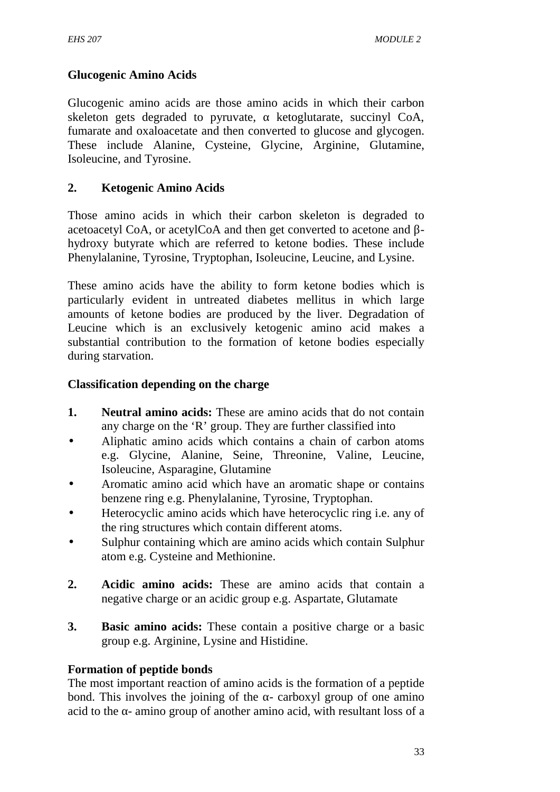### **Glucogenic Amino Acids**

Glucogenic amino acids are those amino acids in which their carbon skeleton gets degraded to pyruvate, ketoglutarate, succinyl CoA, fumarate and oxaloacetate and then converted to glucose and glycogen. These include Alanine, Cysteine, Glycine, Arginine, Glutamine, Isoleucine, and Tyrosine.

### **2. Ketogenic Amino Acids**

Those amino acids in which their carbon skeleton is degraded to acetoacetyl CoA, or acetylCoA and then get converted to acetone and hydroxy butyrate which are referred to ketone bodies. These include Phenylalanine, Tyrosine, Tryptophan, Isoleucine, Leucine, and Lysine.

These amino acids have the ability to form ketone bodies which is particularly evident in untreated diabetes mellitus in which large amounts of ketone bodies are produced by the liver. Degradation of Leucine which is an exclusively ketogenic amino acid makes a substantial contribution to the formation of ketone bodies especially during starvation.

### **Classification depending on the charge**

- **1. Neutral amino acids:** These are amino acids that do not contain any charge on the 'R' group. They are further classified into
- Aliphatic amino acids which contains a chain of carbon atoms e.g. Glycine, Alanine, Seine, Threonine, Valine, Leucine, Isoleucine, Asparagine, Glutamine
- Aromatic amino acid which have an aromatic shape or contains benzene ring e.g. Phenylalanine, Tyrosine, Tryptophan.
- Heterocyclic amino acids which have heterocyclic ring i.e. any of the ring structures which contain different atoms.
- Sulphur containing which are amino acids which contain Sulphur atom e.g. Cysteine and Methionine.
- **2. Acidic amino acids:** These are amino acids that contain a negative charge or an acidic group e.g. Aspartate, Glutamate
- **3. Basic amino acids:** These contain a positive charge or a basic group e.g. Arginine, Lysine and Histidine.

### **Formation of peptide bonds**

The most important reaction of amino acids is the formation of a peptide bond. This involves the joining of the - carboxyl group of one amino acid to the - amino group of another amino acid, with resultant loss of a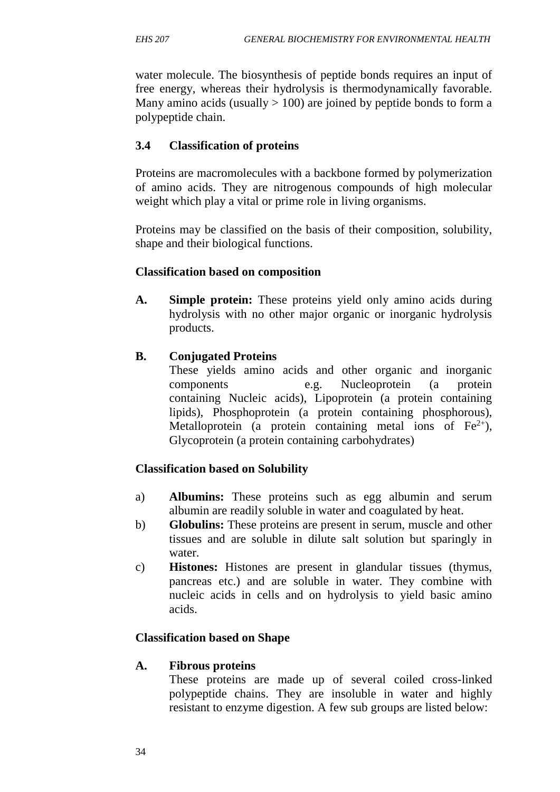water molecule. The biosynthesis of peptide bonds requires an input of free energy, whereas their hydrolysis is thermodynamically favorable. Many amino acids (usually  $> 100$ ) are joined by peptide bonds to form a polypeptide chain.

### **3.4 Classification of proteins**

Proteins are macromolecules with a backbone formed by polymerization of amino acids. They are nitrogenous compounds of high molecular weight which play a vital or prime role in living organisms.

Proteins may be classified on the basis of their composition, solubility, shape and their biological functions.

### **Classification based on composition**

**A. Simple protein:** These proteins yield only amino acids during hydrolysis with no other major organic or inorganic hydrolysis products.

### **B. Conjugated Proteins**

These yields amino acids and other organic and inorganic components e.g. Nucleoprotein (a protein containing Nucleic acids), Lipoprotein (a protein containing lipids), Phosphoprotein (a protein containing phosphorous), Metalloprotein (a protein containing metal ions of  $Fe^{2+}$ ), Glycoprotein (a protein containing carbohydrates)

### **Classification based on Solubility**

- a) **Albumins:** These proteins such as egg albumin and serum albumin are readily soluble in water and coagulated by heat.
- b) **Globulins:** These proteins are present in serum, muscle and other tissues and are soluble in dilute salt solution but sparingly in water.
- c) **Histones:** Histones are present in glandular tissues (thymus, pancreas etc.) and are soluble in water. They combine with nucleic acids in cells and on hydrolysis to yield basic amino acids.

### **Classification based on Shape**

### **A. Fibrous proteins**

These proteins are made up of several coiled cross-linked polypeptide chains. They are insoluble in water and highly resistant to enzyme digestion. A few sub groups are listed below: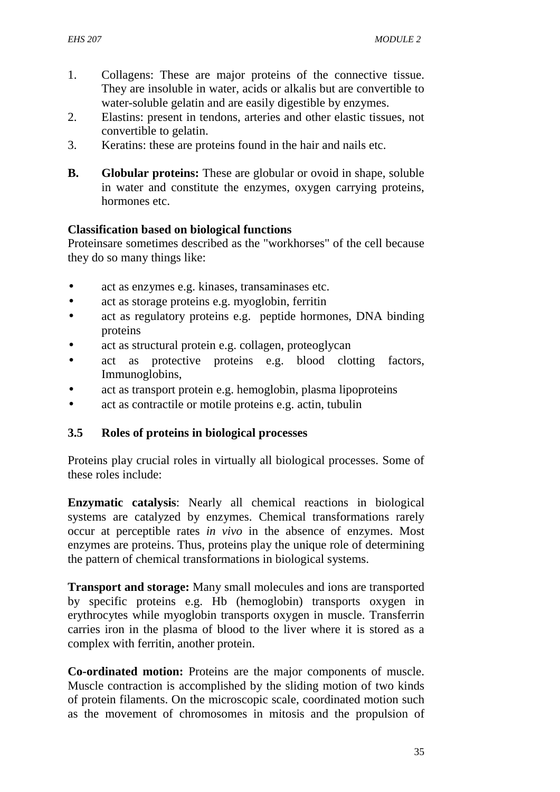- 1. Collagens: These are major proteins of the connective tissue. They are insoluble in water, acids or alkalis but are convertible to water-soluble gelatin and are easily digestible by enzymes.
- 2. Elastins: present in tendons, arteries and other elastic tissues, not convertible to gelatin.
- 3. Keratins: these are proteins found in the hair and nails etc.
- **B. Globular proteins:** These are globular or ovoid in shape, soluble in water and constitute the enzymes, oxygen carrying proteins, hormones etc.

### **Classification based on biological functions**

Proteinsare sometimes described as the "workhorses" of the cell because they do so many things like:

- act as enzymes e.g. kinases, transaminases etc.
- act as storage proteins e.g. myoglobin, ferritin
- act as regulatory proteins e.g. peptide hormones, DNA binding proteins
- act as structural protein e.g. collagen, proteoglycan
- act as protective proteins e.g. blood clotting factors, Immunoglobins,
- act as transport protein e.g. hemoglobin, plasma lipoproteins
- act as contractile or motile proteins e.g. actin, tubulin

## **3.5 Roles of proteins in biological processes**

Proteins play crucial roles in virtually all biological processes. Some of these roles include:

**Enzymatic catalysis**: Nearly all chemical reactions in biological systems are catalyzed by enzymes. Chemical transformations rarely occur at perceptible rates *in vivo* in the absence of enzymes. Most enzymes are proteins. Thus, proteins play the unique role of determining the pattern of chemical transformations in biological systems.

**Transport and storage:** Many small molecules and ions are transported by specific proteins e.g. Hb (hemoglobin) transports oxygen in erythrocytes while myoglobin transports oxygen in muscle. Transferrin carries iron in the plasma of blood to the liver where it is stored as a complex with ferritin, another protein.

**Co-ordinated motion:** Proteins are the major components of muscle. Muscle contraction is accomplished by the sliding motion of two kinds of protein filaments. On the microscopic scale, coordinated motion such as the movement of chromosomes in mitosis and the propulsion of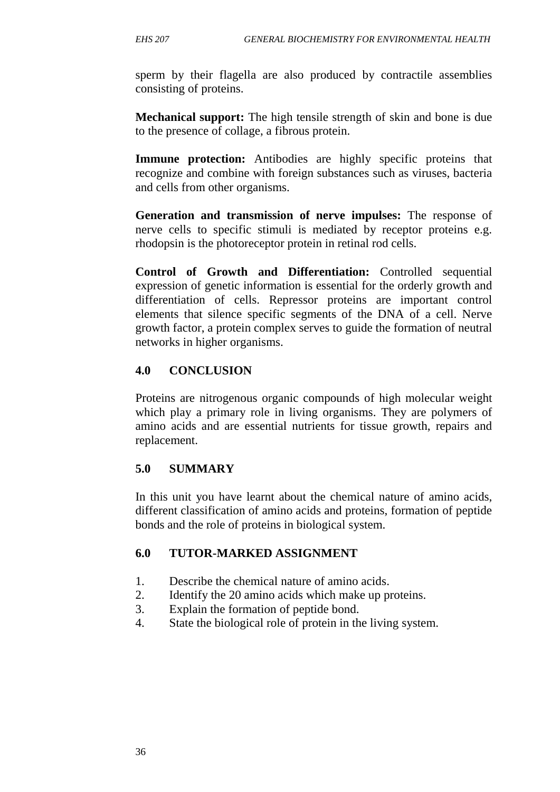sperm by their flagella are also produced by contractile assemblies consisting of proteins.

**Mechanical support:** The high tensile strength of skin and bone is due to the presence of collage, a fibrous protein.

**Immune protection:** Antibodies are highly specific proteins that recognize and combine with foreign substances such as viruses, bacteria and cells from other organisms.

**Generation and transmission of nerve impulses:** The response of nerve cells to specific stimuli is mediated by receptor proteins e.g. rhodopsin is the photoreceptor protein in retinal rod cells.

**Control of Growth and Differentiation:** Controlled sequential expression of genetic information is essential for the orderly growth and differentiation of cells. Repressor proteins are important control elements that silence specific segments of the DNA of a cell. Nerve growth factor, a protein complex serves to guide the formation of neutral networks in higher organisms.

### **4.0 CONCLUSION**

Proteins are nitrogenous organic compounds of high molecular weight which play a primary role in living organisms. They are polymers of amino acids and are essential nutrients for tissue growth, repairs and replacement.

## **5.0 SUMMARY**

In this unit you have learnt about the chemical nature of amino acids, different classification of amino acids and proteins, formation of peptide bonds and the role of proteins in biological system.

## **6.0 TUTOR-MARKED ASSIGNMENT**

- 1. Describe the chemical nature of amino acids.
- 2. Identify the 20 amino acids which make up proteins.
- 3. Explain the formation of peptide bond.
- 4. State the biological role of protein in the living system.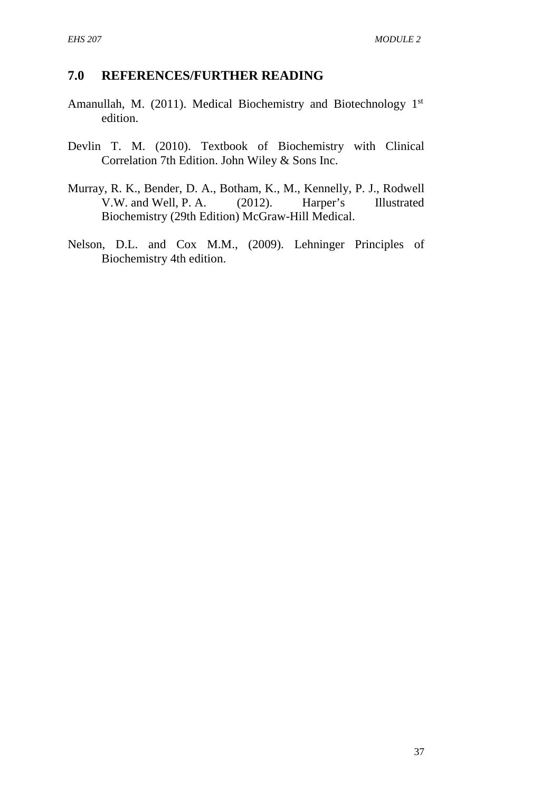### **7.0 REFERENCES/FURTHER READING**

- Amanullah, M. (2011). Medical Biochemistry and Biotechnology 1st edition.
- Devlin T. M. (2010). Textbook of Biochemistry with Clinical Correlation 7th Edition. John Wiley & Sons Inc.
- Murray, R. K., Bender, D. A., Botham, K., M., Kennelly, P. J., Rodwell V.W. and Well, P. A. (2012). Harper's Illustrated Biochemistry (29th Edition) McGraw-Hill Medical.
- Nelson, D.L. and Cox M.M., (2009). Lehninger Principles of Biochemistry 4th edition.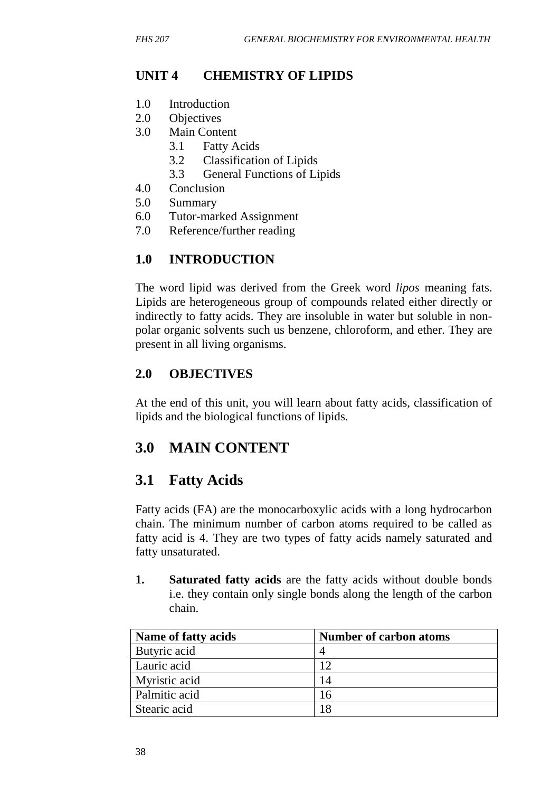# **UNIT 4 CHEMISTRY OF LIPIDS**

- 1.0 Introduction
- 2.0 Objectives
- 3.0 Main Content
	- 3.1 Fatty Acids
	- 3.2 Classification of Lipids
	- 3.3 General Functions of Lipids
- 4.0 Conclusion
- 5.0 Summary
- 6.0 Tutor-marked Assignment
- 7.0 Reference/further reading

# **1.0 INTRODUCTION**

The word lipid was derived from the Greek word *lipos* meaning fats. Lipids are heterogeneous group of compounds related either directly or indirectly to fatty acids. They are insoluble in water but soluble in non polar organic solvents such us benzene, chloroform, and ether. They are present in all living organisms.

## **2.0 OBJECTIVES**

At the end of this unit, you will learn about fatty acids, classification of lipids and the biological functions of lipids.

# **3.0 MAIN CONTENT**

# **3.1 Fatty Acids**

Fatty acids (FA) are the monocarboxylic acids with a long hydrocarbon chain. The minimum number of carbon atoms required to be called as fatty acid is 4. They are two types of fatty acids namely saturated and fatty unsaturated.

**1. Saturated fatty acids** are the fatty acids without double bonds i.e. they contain only single bonds along the length of the carbon chain.

| Name of fatty acids | <b>Number of carbon atoms</b> |
|---------------------|-------------------------------|
| Butyric acid        |                               |
| Lauric acid         | 12                            |
| Myristic acid       | 14                            |
| Palmitic acid       | 16                            |
| Stearic acid        | 18                            |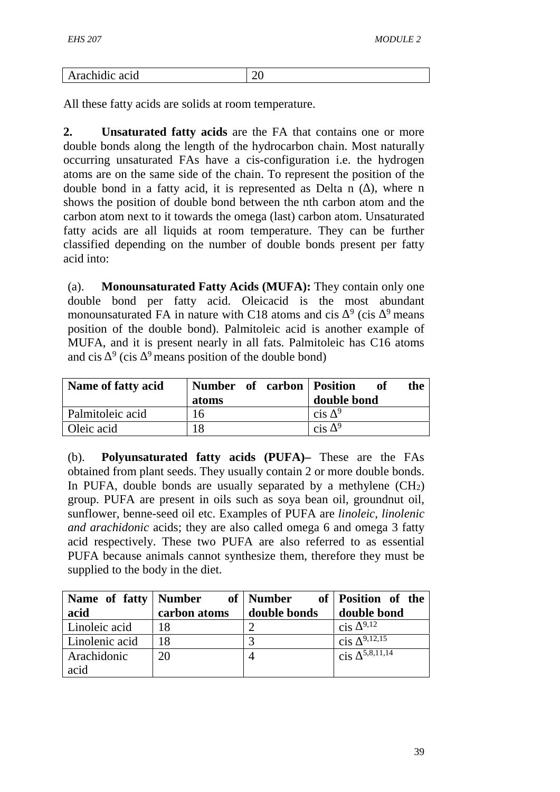| Arachidic acid | ◡ |
|----------------|---|

All these fatty acids are solids at room temperature.

**2. Unsaturated fatty acids** are the FA that contains one or more double bonds along the length of the hydrocarbon chain. Most naturally occurring unsaturated FAs have a cis-configuration i.e. the hydrogen atoms are on the same side of the chain. To represent the position of the double bond in a fatty acid, it is represented as Delta n  $($ ), where n shows the position of double bond between the nth carbon atom and the carbon atom next to it towards the omega (last) carbon atom. Unsaturated fatty acids are all liquids at room temperature. They can be further classified depending on the number of double bonds present per fatty acid into:

(a). **Monounsaturated Fatty Acids (MUFA):** They contain only one double bond per fatty acid. Oleicacid is the most abundant monounsaturated FA in nature with C18 atoms and cis  $9^9$  (cis  $9^9$  means position of the double bond). Palmitoleic acid is another example of MUFA, and it is present nearly in all fats. Palmitoleic has C16 atoms and cis  $9 \text{ (cis } 9$  means position of the double bond)

| Name of fatty acid | Number of carbon Position<br>atoms | of<br>the<br>double bond |
|--------------------|------------------------------------|--------------------------|
| Palmitoleic acid   | 16                                 | cis                      |
| Oleic acid         | 8                                  | $\operatorname{cis}$     |

(b). **Polyunsaturated fatty acids (PUFA)–** These are the FAs obtained from plant seeds. They usually contain 2 or more double bonds. In PUFA, double bonds are usually separated by a methylene  $(CH<sub>2</sub>)$ group. PUFA are present in oils such as soya bean oil, groundnut oil, sunflower, benne-seed oil etc. Examples of PUFA are *linoleic, linolenic and arachidonic* acids; they are also called omega 6 and omega 3 fatty acid respectively. These two PUFA are also referred to as essential PUFA because animals cannot synthesize them, therefore they must be supplied to the body in the diet.

|                |              |              | Name of fatty   Number of   Number of   Position of the |
|----------------|--------------|--------------|---------------------------------------------------------|
| acid           | carbon atoms | double bonds | double bond                                             |
| Linoleic acid  | 18           |              | $cis$ 9,12                                              |
| Linolenic acid | 18           |              | 9, 12, 15<br>cis                                        |
| Arachidonic    | 20           |              | 5,8,11,14<br>cis                                        |
| acid           |              |              |                                                         |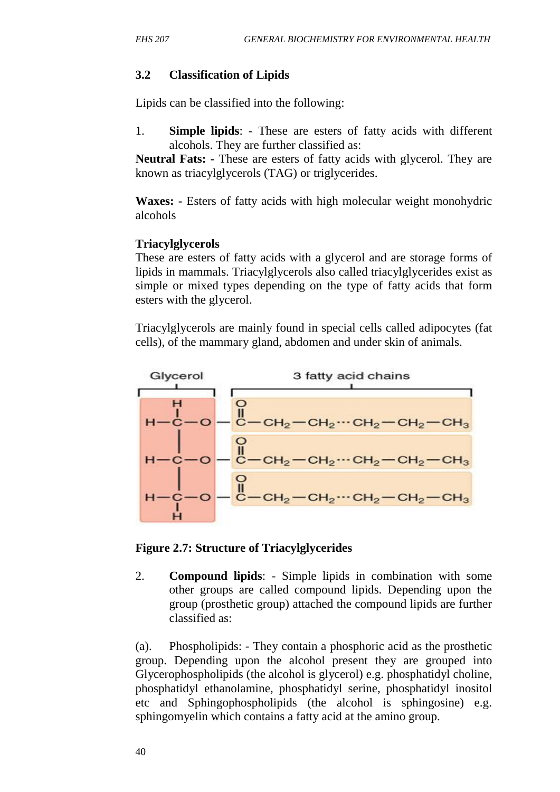### **3.2 Classification of Lipids**

Lipids can be classified into the following:

1. **Simple lipids**: - These are esters of fatty acids with different alcohols. They are further classified as:

**Neutral Fats: -** These are esters of fatty acids with glycerol. They are known as triacylglycerols (TAG) or triglycerides.

**Waxes: -** Esters of fatty acids with high molecular weight monohydric alcohols

### **Triacylglycerols**

These are esters of fatty acids with a glycerol and are storage forms of lipids in mammals. Triacylglycerols also called triacylglycerides exist as simple or mixed types depending on the type of fatty acids that form esters with the glycerol.

Triacylglycerols are mainly found in special cells called adipocytes (fat cells), of the mammary gland, abdomen and under skin of animals.



**Figure 2.7: Structure of Triacylglycerides**

2. **Compound lipids**: - Simple lipids in combination with some other groups are called compound lipids. Depending upon the group (prosthetic group) attached the compound lipids are further classified as:

(a). Phospholipids: - They contain a phosphoric acid as the prosthetic group. Depending upon the alcohol present they are grouped into Glycerophospholipids (the alcohol is glycerol) e.g. phosphatidyl choline, phosphatidyl ethanolamine, phosphatidyl serine, phosphatidyl inositol etc and Sphingophospholipids (the alcohol is sphingosine) e.g. sphingomyelin which contains a fatty acid at the amino group.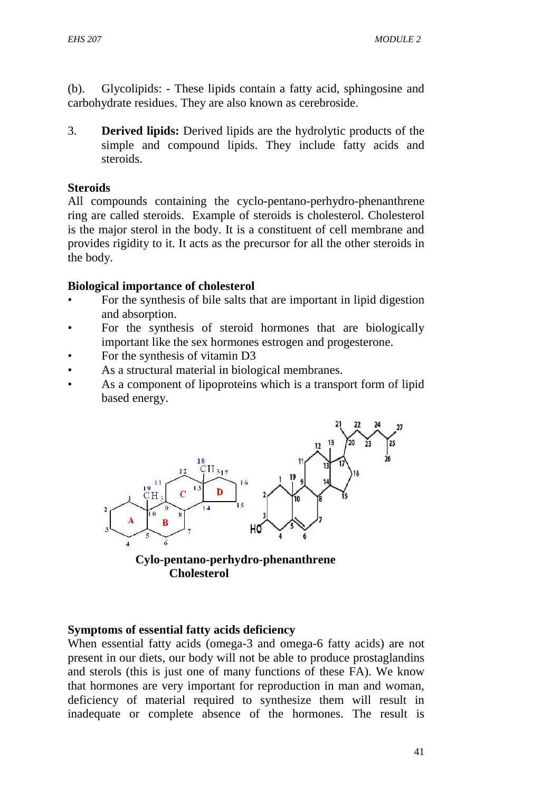(b). Glycolipids: - These lipids contain a fatty acid, sphingosine and carbohydrate residues. They are also known as cerebroside.

3. **Derived lipids:** Derived lipids are the hydrolytic products of the simple and compound lipids. They include fatty acids and steroids.

#### **Steroids**

All compounds containing the cyclo-pentano-perhydro-phenanthrene ring are called steroids. Example of steroids is cholesterol. Cholesterol is the major sterol in the body. It is a constituent of cell membrane and provides rigidity to it. It acts as the precursor for all the other steroids in the body.

#### **Biological importance of cholesterol**

- For the synthesis of bile salts that are important in lipid digestion and absorption.
- For the synthesis of steroid hormones that are biologically important like the sex hormones estrogen and progesterone.
- For the synthesis of vitamin D3
- As a structural material in biological membranes.
- As a component of lipoproteins which is a transport form of lipid based energy.



**Cholesterol**

#### **Symptoms of essential fatty acids deficiency**

When essential fatty acids (omega-3 and omega-6 fatty acids) are not present in our diets, our body will not be able to produce prostaglandins and sterols (this is just one of many functions of these FA). We know that hormones are very important for reproduction in man and woman, deficiency of material required to synthesize them will result in inadequate or complete absence of the hormones. The result is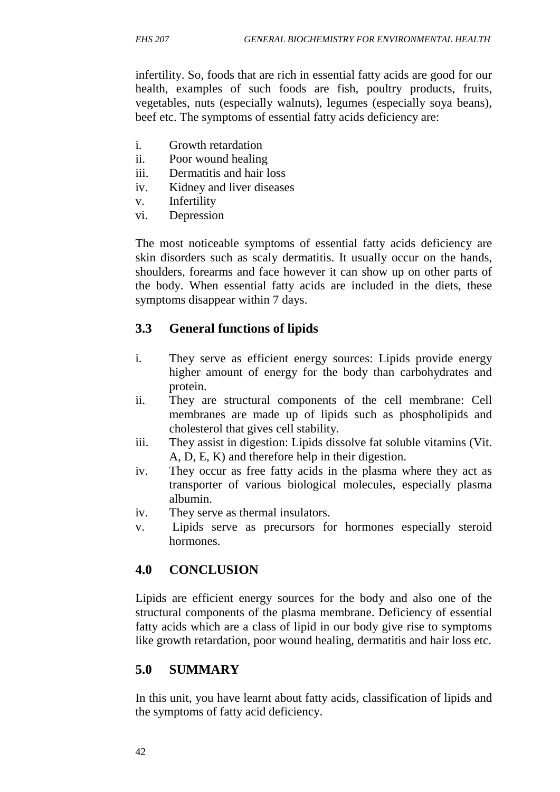infertility. So, foods that are rich in essential fatty acids are good for our health, examples of such foods are fish, poultry products, fruits, vegetables, nuts (especially walnuts), legumes (especially soya beans), beef etc. The symptoms of essential fatty acids deficiency are:

- i. Growth retardation
- ii. Poor wound healing
- iii. Dermatitis and hair loss
- iv. Kidney and liver diseases
- v. Infertility
- vi. Depression

The most noticeable symptoms of essential fatty acids deficiency are skin disorders such as scaly dermatitis. It usually occur on the hands, shoulders, forearms and face however it can show up on other parts of the body. When essential fatty acids are included in the diets, these symptoms disappear within 7 days.

## **3.3 General functions of lipids**

- i. They serve as efficient energy sources: Lipids provide energy higher amount of energy for the body than carbohydrates and protein.
- ii. They are structural components of the cell membrane: Cell membranes are made up of lipids such as phospholipids and cholesterol that gives cell stability.
- iii. They assist in digestion: Lipids dissolve fat soluble vitamins (Vit. A, D, E, K) and therefore help in their digestion.
- iv. They occur as free fatty acids in the plasma where they act as transporter of various biological molecules, especially plasma albumin.
- iv. They serve as thermal insulators.
- v. Lipids serve as precursors for hormones especially steroid hormones.

## **4.0 CONCLUSION**

Lipids are efficient energy sources for the body and also one of the structural components of the plasma membrane. Deficiency of essential fatty acids which are a class of lipid in our body give rise to symptoms like growth retardation, poor wound healing, dermatitis and hair loss etc.

## **5.0 SUMMARY**

In this unit, you have learnt about fatty acids, classification of lipids and the symptoms of fatty acid deficiency.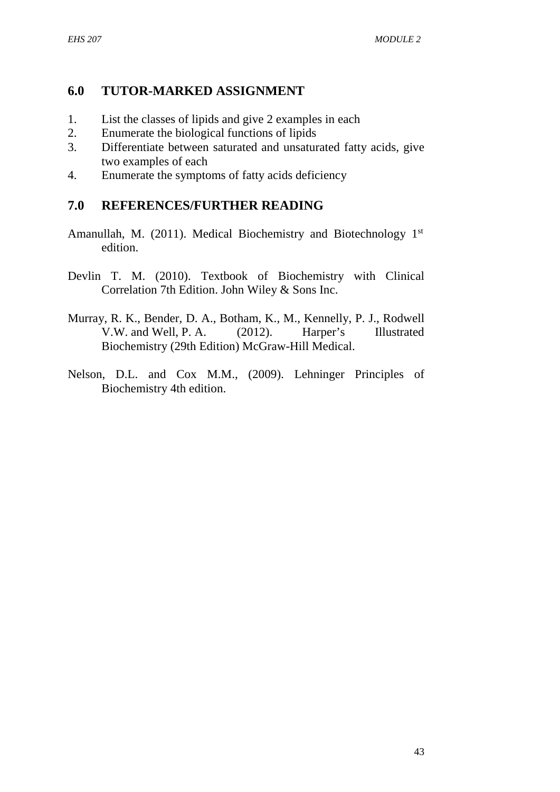## **6.0 TUTOR-MARKED ASSIGNMENT**

- 1. List the classes of lipids and give 2 examples in each
- 2. Enumerate the biological functions of lipids
- 3. Differentiate between saturated and unsaturated fatty acids, give two examples of each
- 4. Enumerate the symptoms of fatty acids deficiency

## **7.0 REFERENCES/FURTHER READING**

- Amanullah, M. (2011). Medical Biochemistry and Biotechnology 1<sup>st</sup> edition.
- Devlin T. M. (2010). Textbook of Biochemistry with Clinical Correlation 7th Edition. John Wiley & Sons Inc.
- Murray, R. K., Bender, D. A., Botham, K., M., Kennelly, P. J., Rodwell V.W. and Well, P. A. (2012). Harper's Illustrated Biochemistry (29th Edition) McGraw-Hill Medical.
- Nelson, D.L. and Cox M.M., (2009). Lehninger Principles of Biochemistry 4th edition.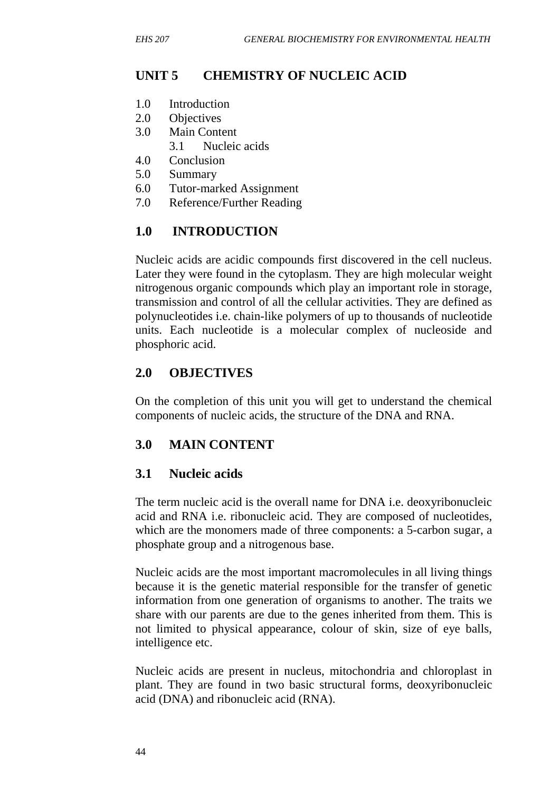# **UNIT 5 CHEMISTRY OF NUCLEIC ACID**

- 1.0 Introduction
- 2.0 Objectives
- 3.0 Main Content
	- 3.1 Nucleic acids
- 4.0 Conclusion
- 5.0 Summary
- 6.0 Tutor-marked Assignment
- 7.0 Reference/Further Reading

# **1.0 INTRODUCTION**

Nucleic acids are acidic compounds first discovered in the cell nucleus. Later they were found in the cytoplasm. They are high molecular weight nitrogenous organic compounds which play an important role in storage, transmission and control of all the cellular activities. They are defined as polynucleotides i.e. chain-like polymers of up to thousands of nucleotide units. Each nucleotide is a molecular complex of nucleoside and phosphoric acid.

# **2.0 OBJECTIVES**

On the completion of this unit you will get to understand the chemical components of nucleic acids, the structure of the DNA and RNA.

## **3.0 MAIN CONTENT**

## **3.1 Nucleic acids**

The term nucleic acid is the overall name for DNA i.e. deoxyribonucleic acid and RNA i.e. ribonucleic acid. They are composed of nucleotides, which are the monomers made of three components: a 5-carbon sugar, a phosphate group and a nitrogenous base.

Nucleic acids are the most important macromolecules in all living things because it is the genetic material responsible for the transfer of genetic information from one generation of organisms to another. The traits we share with our parents are due to the genes inherited from them. This is not limited to physical appearance, colour of skin, size of eye balls, intelligence etc.

Nucleic acids are present in nucleus, mitochondria and chloroplast in plant. They are found in two basic structural forms, deoxyribonucleic acid (DNA) and ribonucleic acid (RNA).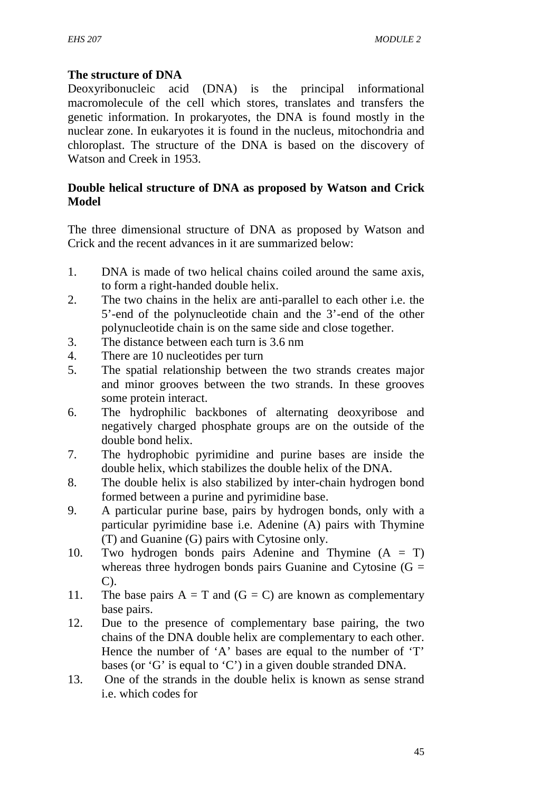## **The structure of DNA**

Deoxyribonucleic acid (DNA) is the principal informational macromolecule of the cell which stores, translates and transfers the genetic information. In prokaryotes, the DNA is found mostly in the nuclear zone. In eukaryotes it is found in the nucleus, mitochondria and chloroplast. The structure of the DNA is based on the discovery of Watson and Creek in 1953.

### **Double helical structure of DNA as proposed by Watson and Crick Model**

The three dimensional structure of DNA as proposed by Watson and Crick and the recent advances in it are summarized below:

- 1. DNA is made of two helical chains coiled around the same axis, to form a right-handed double helix.
- 2. The two chains in the helix are anti-parallel to each other i.e. the 5'-end of the polynucleotide chain and the 3'-end of the other polynucleotide chain is on the same side and close together.
- 3. The distance between each turn is 3.6 nm
- 4. There are 10 nucleotides per turn
- 5. The spatial relationship between the two strands creates major and minor grooves between the two strands. In these grooves some protein interact.
- 6. The hydrophilic backbones of alternating deoxyribose and negatively charged phosphate groups are on the outside of the double bond helix.
- 7. The hydrophobic pyrimidine and purine bases are inside the double helix, which stabilizes the double helix of the DNA.
- 8. The double helix is also stabilized by inter-chain hydrogen bond formed between a purine and pyrimidine base.
- 9. A particular purine base, pairs by hydrogen bonds, only with a particular pyrimidine base i.e. Adenine (A) pairs with Thymine (T) and Guanine (G) pairs with Cytosine only.
- 10. Two hydrogen bonds pairs Adenine and Thymine (A = T) whereas three hydrogen bonds pairs Guanine and Cytosine  $(G =$ C).
- 11. The base pairs  $A = T$  and  $(G = C)$  are known as complementary base pairs.
- 12. Due to the presence of complementary base pairing, the two chains of the DNA double helix are complementary to each other. Hence the number of 'A' bases are equal to the number of 'T' bases (or 'G' is equal to 'C') in a given double stranded DNA.
- 13. One of the strands in the double helix is known as sense strand i.e. which codes for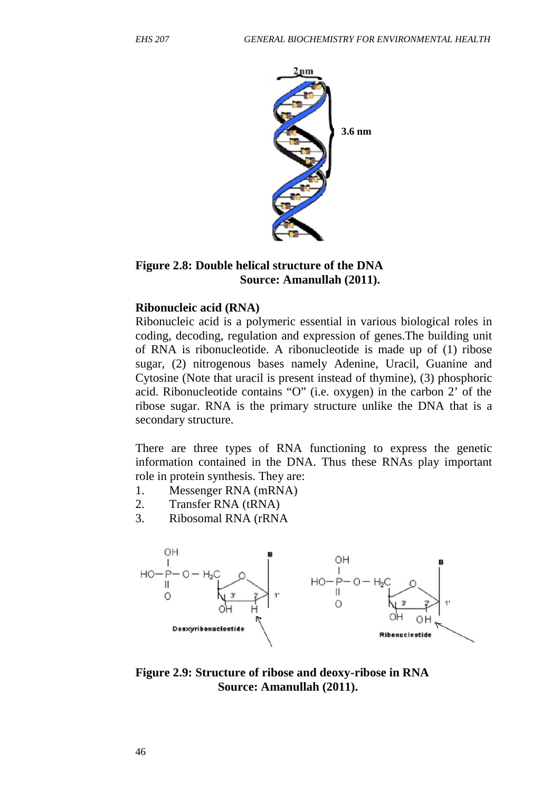

#### **Figure 2.8: Double helical structure of the DNA Source: Amanullah (2011).**

#### **Ribonucleic acid (RNA)**

Ribonucleic acid is a polymeric essential in various biological roles in coding, decoding, regulation and expression of genes.The building unit of RNA is ribonucleotide. A ribonucleotide is made up of (1) ribose sugar, (2) nitrogenous bases namely Adenine, Uracil, Guanine and Cytosine (Note that uracil is present instead of thymine), (3) phosphoric acid. Ribonucleotide contains "O" (i.e. oxygen) in the carbon 2' of the ribose sugar. RNA is the primary structure unlike the DNA that is a secondary structure.

There are three types of RNA functioning to express the genetic information contained in the DNA. Thus these RNAs play important role in protein synthesis. They are:

- 1. Messenger RNA (mRNA)
- 2. Transfer RNA (tRNA)
- 3. Ribosomal RNA (rRNA



**Figure 2.9: Structure of ribose and deoxy-ribose in RNA Source: Amanullah (2011).**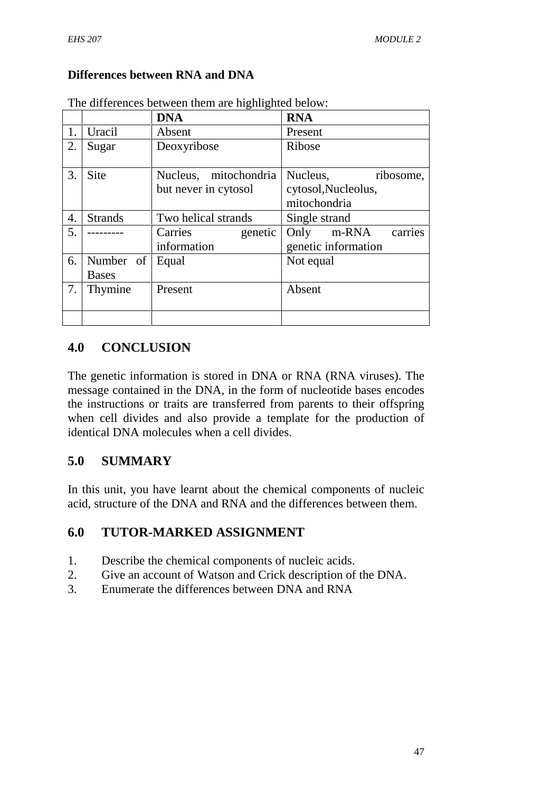## **Differences between RNA and DNA**

|    |                           | <b>DNA</b>                                    | <b>RNA</b>                                                   |  |
|----|---------------------------|-----------------------------------------------|--------------------------------------------------------------|--|
|    | Uracil                    | Absent                                        | Present                                                      |  |
| 2. | Sugar                     | Deoxyribose                                   | Ribose                                                       |  |
| 3. | <b>Site</b>               | Nucleus, mitochondria<br>but never in cytosol | Nucleus,<br>ribosome,<br>cytosol, Nucleolus,<br>mitochondria |  |
| 4. | <b>Strands</b>            | Two helical strands                           | Single strand                                                |  |
| 5. |                           | Carries<br>genetic<br>information             | Only<br>m-RNA<br>carries<br>genetic information              |  |
| 6. | Number of<br><b>Bases</b> | Equal                                         | Not equal                                                    |  |
| 7. | Thymine                   | Present                                       | Absent                                                       |  |
|    |                           |                                               |                                                              |  |

The differences between them are highlighted below:

## **4.0 CONCLUSION**

The genetic information is stored in DNA or RNA (RNA viruses). The message contained in the DNA, in the form of nucleotide bases encodes the instructions or traits are transferred from parents to their offspring when cell divides and also provide a template for the production of identical DNA molecules when a cell divides.

## **5.0 SUMMARY**

In this unit, you have learnt about the chemical components of nucleic acid, structure of the DNA and RNA and the differences between them.

## **6.0 TUTOR-MARKED ASSIGNMENT**

- 1. Describe the chemical components of nucleic acids.
- 2. Give an account of Watson and Crick description of the DNA.
- 3. Enumerate the differences between DNA and RNA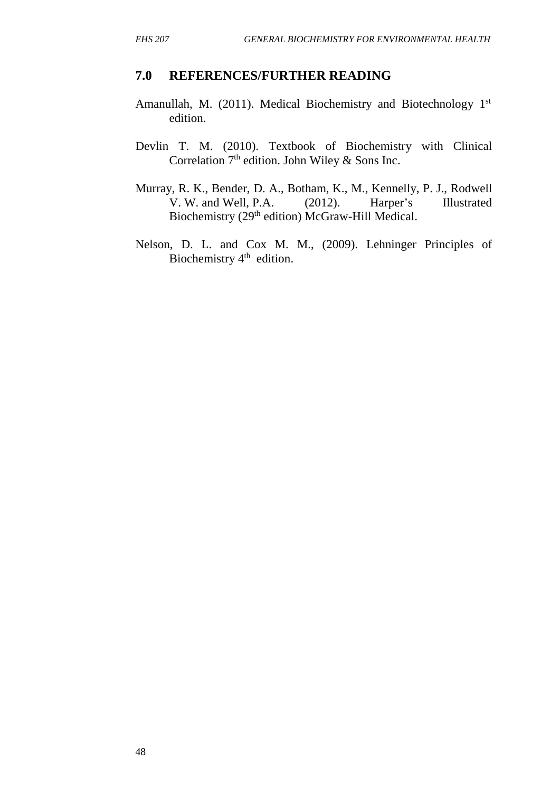#### **7.0 REFERENCES/FURTHER READING**

- Amanullah, M. (2011). Medical Biochemistry and Biotechnology 1st edition.
- Devlin T. M. (2010). Textbook of Biochemistry with Clinical Correlation  $7<sup>th</sup>$  edition. John Wiley & Sons Inc.
- Murray, R. K., Bender, D. A., Botham, K., M., Kennelly, P. J., Rodwell V. W. and Well, P.A. (2012). Harper's Illustrated Biochemistry (29<sup>th</sup> edition) McGraw-Hill Medical.
- Nelson, D. L. and Cox M. M., (2009). Lehninger Principles of Biochemistry 4<sup>th</sup> edition.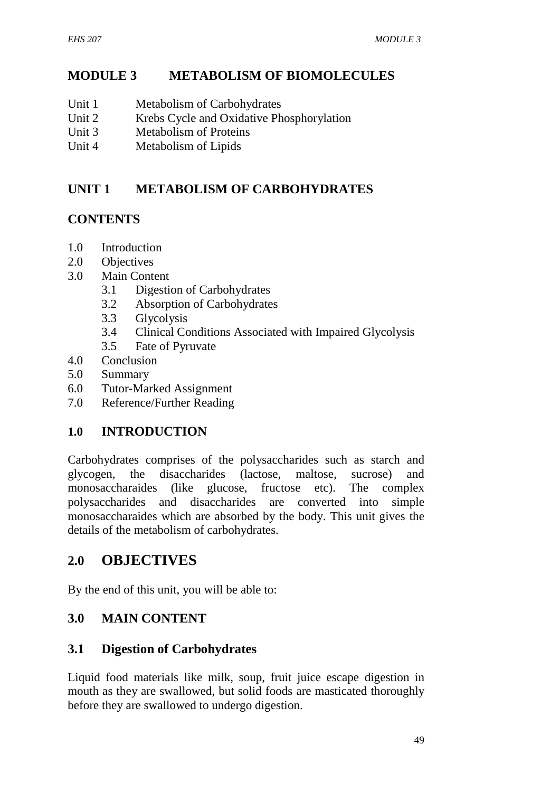# **MODULE 3 METABOLISM OF BIOMOLECULES**

- Unit 1 Metabolism of Carbohydrates
- Unit 2 Krebs Cycle and Oxidative Phosphorylation
- Unit 3 Metabolism of Proteins
- Unit 4 Metabolism of Lipids

# **UNIT 1 METABOLISM OF CARBOHYDRATES**

# **CONTENTS**

- 1.0 Introduction
- 2.0 Objectives
- 3.0 Main Content
	- 3.1 Digestion of Carbohydrates
	- 3.2 Absorption of Carbohydrates
	- 3.3 Glycolysis
	- 3.4 Clinical Conditions Associated with Impaired Glycolysis
	- 3.5 Fate of Pyruvate
- 4.0 Conclusion
- 5.0 Summary
- 6.0 Tutor-Marked Assignment
- 7.0 Reference/Further Reading

## **1.0 INTRODUCTION**

Carbohydrates comprises of the polysaccharides such as starch and glycogen, the disaccharides (lactose, maltose, sucrose) and monosaccharaides (like glucose, fructose etc). The complex polysaccharides and disaccharides are converted into simple monosaccharaides which are absorbed by the body. This unit gives the details of the metabolism of carbohydrates.

# **2.0 OBJECTIVES**

By the end of this unit, you will be able to:

## **3.0 MAIN CONTENT**

## **3.1 Digestion of Carbohydrates**

Liquid food materials like milk, soup, fruit juice escape digestion in mouth as they are swallowed, but solid foods are masticated thoroughly before they are swallowed to undergo digestion.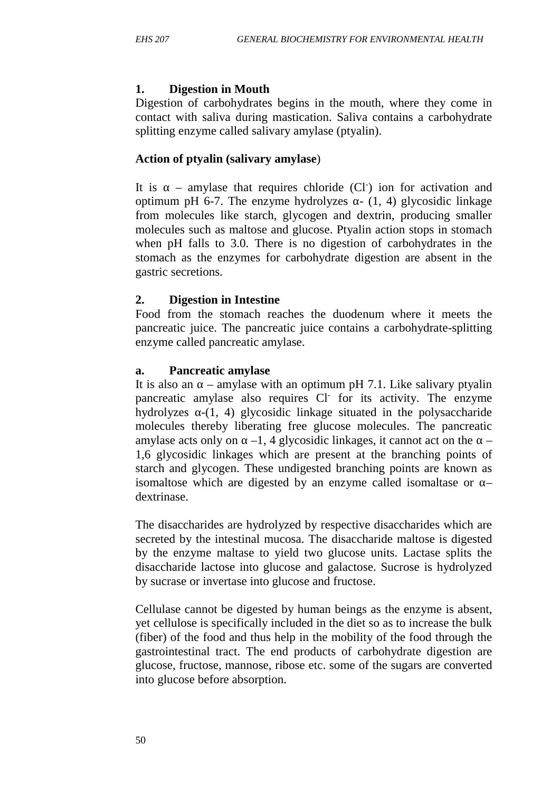#### **1. Digestion in Mouth**

Digestion of carbohydrates begins in the mouth, where they come in contact with saliva during mastication. Saliva contains a carbohydrate splitting enzyme called salivary amylase (ptyalin).

### **Action of ptyalin (salivary amylase**)

It is  $-$  amylase that requires chloride  $(Cl<sup>-</sup>)$  ion for activation and optimum pH 6-7. The enzyme hydrolyzes  $- (1, 4)$  glycosidic linkage from molecules like starch, glycogen and dextrin, producing smaller molecules such as maltose and glucose. Ptyalin action stops in stomach when pH falls to 3.0. There is no digestion of carbohydrates in the stomach as the enzymes for carbohydrate digestion are absent in the gastric secretions.

### **2. Digestion in Intestine**

Food from the stomach reaches the duodenum where it meets the pancreatic juice. The pancreatic juice contains a carbohydrate-splitting enzyme called pancreatic amylase.

### **a. Pancreatic amylase**

It is also an – amylase with an optimum pH 7.1. Like salivary ptyalin pancreatic amylase also requires Cl- for its activity. The enzyme hydrolyzes  $-(1, 4)$  glycosidic linkage situated in the polysaccharide molecules thereby liberating free glucose molecules. The pancreatic amylase acts only on  $-1$ , 4 glycosidic linkages, it cannot act on the 1,6 glycosidic linkages which are present at the branching points of starch and glycogen. These undigested branching points are known as isomaltose which are digested by an enzyme called isomaltase or dextrinase.

The disaccharides are hydrolyzed by respective disaccharides which are secreted by the intestinal mucosa. The disaccharide maltose is digested by the enzyme maltase to yield two glucose units. Lactase splits the disaccharide lactose into glucose and galactose. Sucrose is hydrolyzed by sucrase or invertase into glucose and fructose.

Cellulase cannot be digested by human beings as the enzyme is absent, yet cellulose is specifically included in the diet so as to increase the bulk (fiber) of the food and thus help in the mobility of the food through the gastrointestinal tract. The end products of carbohydrate digestion are glucose, fructose, mannose, ribose etc. some of the sugars are converted into glucose before absorption.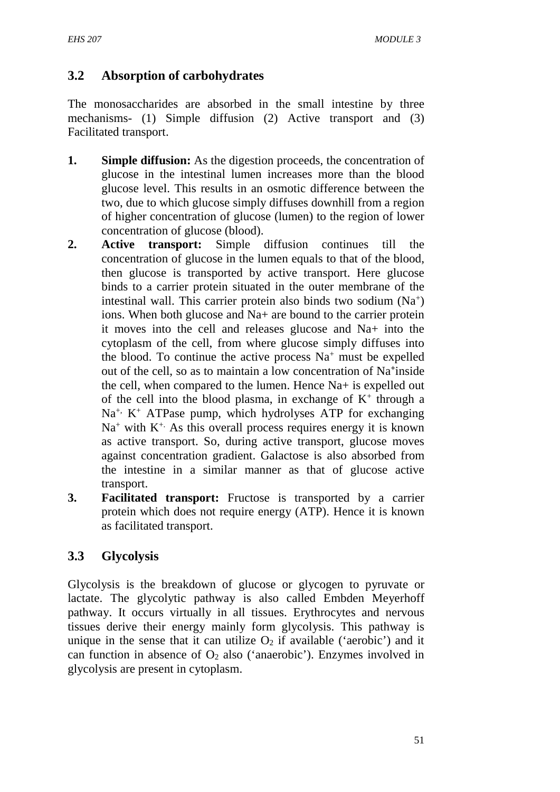## **3.2 Absorption of carbohydrates**

The monosaccharides are absorbed in the small intestine by three mechanisms- (1) Simple diffusion (2) Active transport and (3) Facilitated transport.

- **1. Simple diffusion:** As the digestion proceeds, the concentration of glucose in the intestinal lumen increases more than the blood glucose level. This results in an osmotic difference between the two, due to which glucose simply diffuses downhill from a region of higher concentration of glucose (lumen) to the region of lower concentration of glucose (blood).
- **2. Active transport:** Simple diffusion continues till the concentration of glucose in the lumen equals to that of the blood, then glucose is transported by active transport. Here glucose binds to a carrier protein situated in the outer membrane of the intestinal wall. This carrier protein also binds two sodium (Na<sup>+</sup>) ions. When both glucose and Na+ are bound to the carrier protein it moves into the cell and releases glucose and Na+ into the cytoplasm of the cell, from where glucose simply diffuses into the blood. To continue the active process  $Na<sup>+</sup>$  must be expelled out of the cell, so as to maintain a low concentration of Na**<sup>+</sup>** inside the cell, when compared to the lumen. Hence Na+ is expelled out of the cell into the blood plasma, in exchange of  $K^+$  through a  $Na<sup>+</sup>$ , K<sup>+</sup> ATPase pump, which hydrolyses ATP for exchanging  $Na<sup>+</sup>$  with  $K<sup>+</sup>$ . As this overall process requires energy it is known as active transport. So, during active transport, glucose moves against concentration gradient. Galactose is also absorbed from the intestine in a similar manner as that of glucose active transport.
- **3. Facilitated transport:** Fructose is transported by a carrier protein which does not require energy (ATP). Hence it is known as facilitated transport.

# **3.3 Glycolysis**

Glycolysis is the breakdown of glucose or glycogen to pyruvate or lactate. The glycolytic pathway is also called Embden Meyerhoff pathway. It occurs virtually in all tissues. Erythrocytes and nervous tissues derive their energy mainly form glycolysis. This pathway is unique in the sense that it can utilize  $O_2$  if available ('aerobic') and it can function in absence of  $O_2$  also ('anaerobic'). Enzymes involved in glycolysis are present in cytoplasm.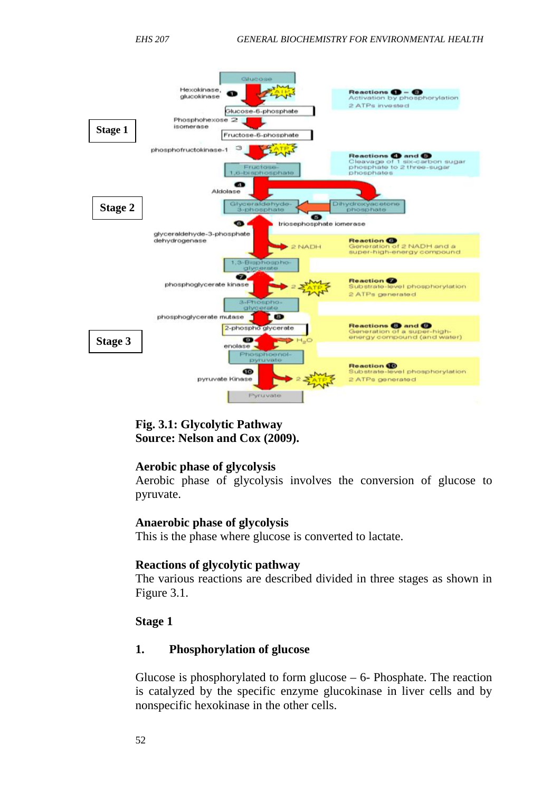

### **Fig. 3.1: Glycolytic Pathway Source: Nelson and Cox (2009).**

#### **Aerobic phase of glycolysis**

Aerobic phase of glycolysis involves the conversion of glucose to pyruvate.

#### **Anaerobic phase of glycolysis**

This is the phase where glucose is converted to lactate.

#### **Reactions of glycolytic pathway**

The various reactions are described divided in three stages as shown in Figure 3.1.

#### **Stage 1**

#### **1. Phosphorylation of glucose**

Glucose is phosphorylated to form glucose  $-6$ - Phosphate. The reaction is catalyzed by the specific enzyme glucokinase in liver cells and by nonspecific hexokinase in the other cells.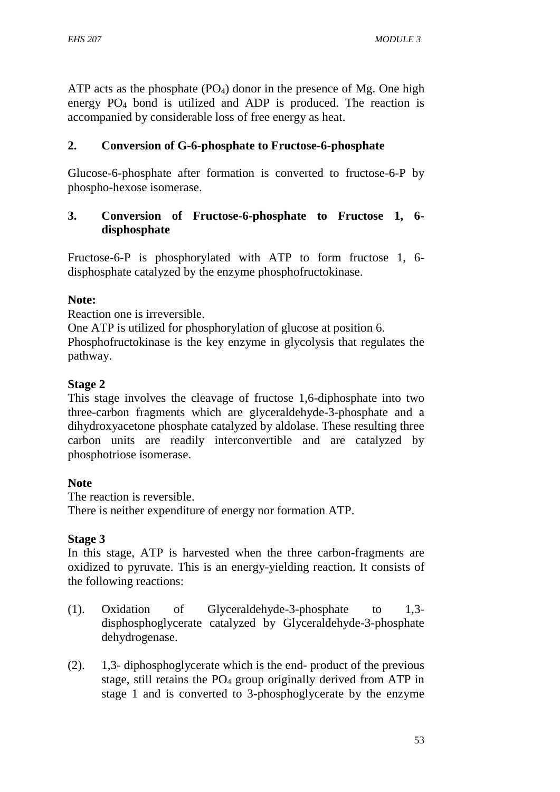ATP acts as the phosphate  $(PO<sub>4</sub>)$  donor in the presence of Mg. One high energy PO<sup>4</sup> bond is utilized and ADP is produced. The reaction is accompanied by considerable loss of free energy as heat.

### **2. Conversion of G-6-phosphate to Fructose-6-phosphate**

Glucose-6-phosphate after formation is converted to fructose-6-P by phospho-hexose isomerase.

### **3. Conversion of Fructose-6-phosphate to Fructose 1, 6 disphosphate**

Fructose-6-P is phosphorylated with ATP to form fructose 1, 6 disphosphate catalyzed by the enzyme phosphofructokinase.

### **Note:**

Reaction one is irreversible.

One ATP is utilized for phosphorylation of glucose at position 6. Phosphofructokinase is the key enzyme in glycolysis that regulates the pathway.

### **Stage 2**

This stage involves the cleavage of fructose 1,6-diphosphate into two three-carbon fragments which are glyceraldehyde-3-phosphate and a dihydroxyacetone phosphate catalyzed by aldolase. These resulting three carbon units are readily interconvertible and are catalyzed by phosphotriose isomerase.

### **Note**

The reaction is reversible. There is neither expenditure of energy nor formation ATP.

## **Stage 3**

In this stage, ATP is harvested when the three carbon-fragments are oxidized to pyruvate. This is an energy-yielding reaction. It consists of the following reactions:

- (1). Oxidation of Glyceraldehyde-3-phosphate to 1,3 disphosphoglycerate catalyzed by Glyceraldehyde-3-phosphate dehydrogenase.
- (2). 1,3- diphosphoglycerate which is the end- product of the previous stage, still retains the  $PO<sub>4</sub>$  group originally derived from ATP in stage 1 and is converted to 3-phosphoglycerate by the enzyme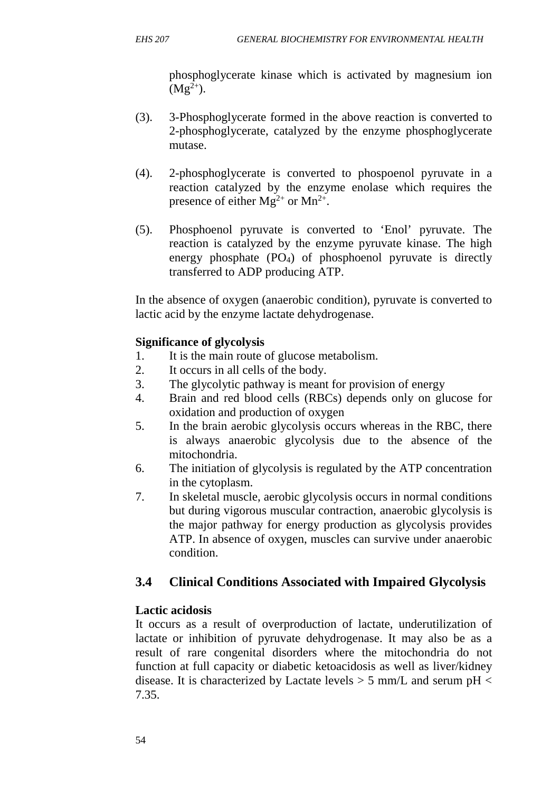phosphoglycerate kinase which is activated by magnesium ion  $(Mg^{2+}).$ 

- (3). 3-Phosphoglycerate formed in the above reaction is converted to 2-phosphoglycerate, catalyzed by the enzyme phosphoglycerate mutase.
- (4). 2-phosphoglycerate is converted to phospoenol pyruvate in a reaction catalyzed by the enzyme enolase which requires the presence of either  $Mg^{2+}$  or  $Mn^{2+}$ .
- (5). Phosphoenol pyruvate is converted to 'Enol' pyruvate. The reaction is catalyzed by the enzyme pyruvate kinase. The high energy phosphate (PO4) of phosphoenol pyruvate is directly transferred to ADP producing ATP.

In the absence of oxygen (anaerobic condition), pyruvate is converted to lactic acid by the enzyme lactate dehydrogenase.

### **Significance of glycolysis**

- 1. It is the main route of glucose metabolism.
- 2. It occurs in all cells of the body.
- 3. The glycolytic pathway is meant for provision of energy
- 4. Brain and red blood cells (RBCs) depends only on glucose for oxidation and production of oxygen
- 5. In the brain aerobic glycolysis occurs whereas in the RBC, there is always anaerobic glycolysis due to the absence of the mitochondria.
- 6. The initiation of glycolysis is regulated by the ATP concentration in the cytoplasm.
- 7. In skeletal muscle, aerobic glycolysis occurs in normal conditions but during vigorous muscular contraction, anaerobic glycolysis is the major pathway for energy production as glycolysis provides ATP. In absence of oxygen, muscles can survive under anaerobic condition.

## **3.4 Clinical Conditions Associated with Impaired Glycolysis**

### **Lactic acidosis**

It occurs as a result of overproduction of lactate, underutilization of lactate or inhibition of pyruvate dehydrogenase. It may also be as a result of rare congenital disorders where the mitochondria do not function at full capacity or diabetic ketoacidosis as well as liver/kidney disease. It is characterized by Lactate levels  $> 5$  mm/L and serum pH  $<$ 7.35.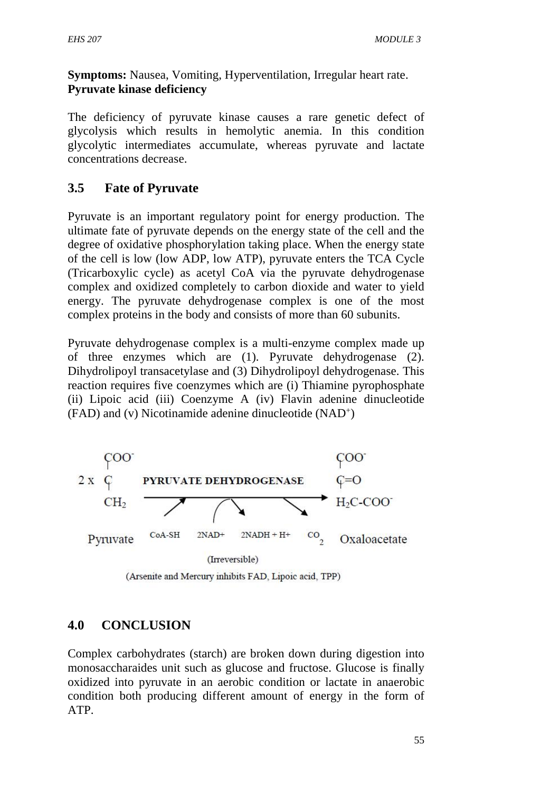**Symptoms:** Nausea, Vomiting, Hyperventilation, Irregular heart rate. **Pyruvate kinase deficiency**

The deficiency of pyruvate kinase causes a rare genetic defect of glycolysis which results in hemolytic anemia. In this condition glycolytic intermediates accumulate, whereas pyruvate and lactate concentrations decrease.

## **3.5 Fate of Pyruvate**

Pyruvate is an important regulatory point for energy production. The ultimate fate of pyruvate depends on the energy state of the cell and the degree of oxidative phosphorylation taking place. When the energy state of the cell is low (low ADP, low ATP), pyruvate enters the TCA Cycle (Tricarboxylic cycle) as acetyl CoA via the pyruvate dehydrogenase complex and oxidized completely to carbon dioxide and water to yield energy. The pyruvate dehydrogenase complex is one of the most complex proteins in the body and consists of more than 60 subunits.

Pyruvate dehydrogenase complex is a multi-enzyme complex made up of three enzymes which are (1). Pyruvate dehydrogenase (2). Dihydrolipoyl transacetylase and (3) Dihydrolipoyl dehydrogenase. This reaction requires five coenzymes which are (i) Thiamine pyrophosphate (ii) Lipoic acid (iii) Coenzyme A (iv) Flavin adenine dinucleotide (FAD) and (v) Nicotinamide adenine dinucleotide (NAD<sup>+</sup> )



(Arsenite and Mercury inhibits FAD, Lipoic acid, TPP)

## **4.0 CONCLUSION**

Complex carbohydrates (starch) are broken down during digestion into monosaccharaides unit such as glucose and fructose. Glucose is finally oxidized into pyruvate in an aerobic condition or lactate in anaerobic condition both producing different amount of energy in the form of ATP.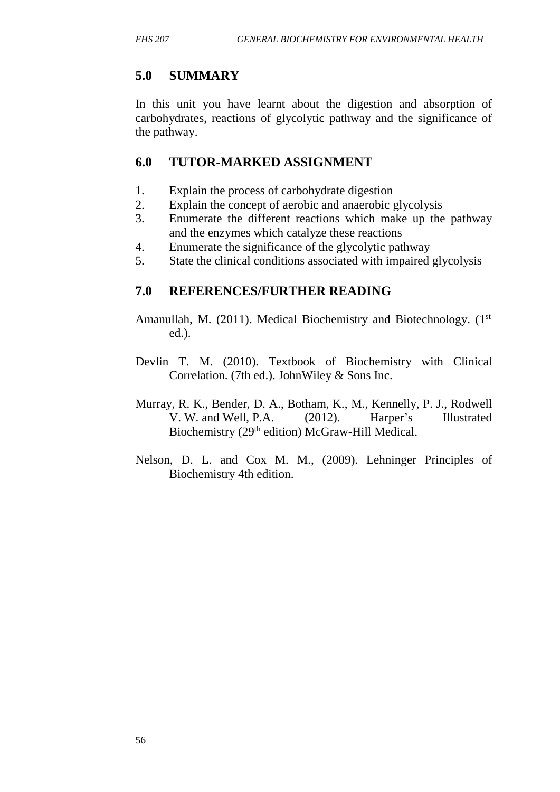# **5.0 SUMMARY**

In this unit you have learnt about the digestion and absorption of carbohydrates, reactions of glycolytic pathway and the significance of the pathway.

## **6.0 TUTOR-MARKED ASSIGNMENT**

- 1. Explain the process of carbohydrate digestion
- 2. Explain the concept of aerobic and anaerobic glycolysis
- 3. Enumerate the different reactions which make up the pathway and the enzymes which catalyze these reactions
- 4. Enumerate the significance of the glycolytic pathway
- 5. State the clinical conditions associated with impaired glycolysis

## **7.0 REFERENCES/FURTHER READING**

- Amanullah, M. (2011). Medical Biochemistry and Biotechnology. (1<sup>st</sup> ed.).
- Devlin T. M. (2010). Textbook of Biochemistry with Clinical Correlation. (7th ed.). JohnWiley & Sons Inc.
- Murray, R. K., Bender, D. A., Botham, K., M., Kennelly, P. J., Rodwell V. W. and Well, P.A. (2012). Harper's Illustrated Biochemistry (29<sup>th</sup> edition) McGraw-Hill Medical.
- Nelson, D. L. and Cox M. M., (2009). Lehninger Principles of Biochemistry 4th edition.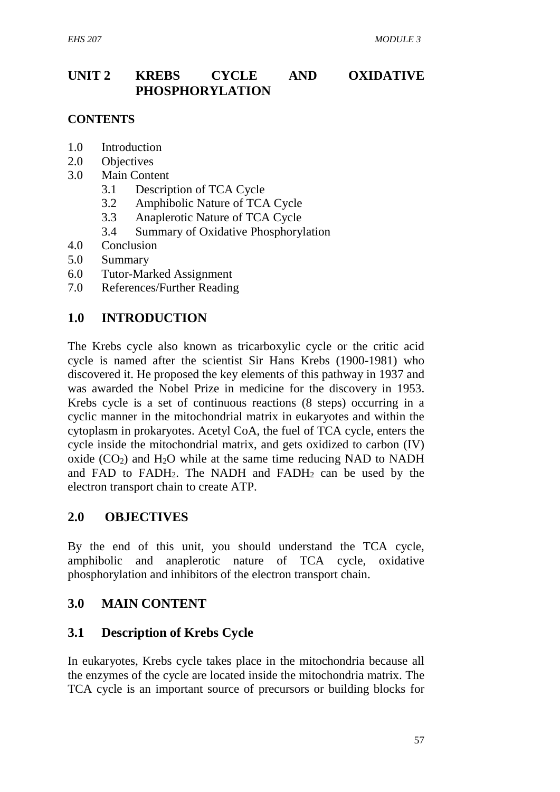## **UNIT 2 KREBS CYCLE AND OXIDATIVE PHOSPHORYLATION**

#### **CONTENTS**

- 1.0 Introduction
- 2.0 Objectives
- 3.0 Main Content
	- 3.1 Description of TCA Cycle
	- 3.2 Amphibolic Nature of TCA Cycle
	- 3.3 Anaplerotic Nature of TCA Cycle
	- 3.4 Summary of Oxidative Phosphorylation
- 4.0 Conclusion
- 5.0 Summary
- 6.0 Tutor-Marked Assignment
- 7.0 References/Further Reading

### **1.0 INTRODUCTION**

The Krebs cycle also known as tricarboxylic cycle or the critic acid cycle is named after the scientist Sir Hans Krebs (1900-1981) who discovered it. He proposed the key elements of this pathway in 1937 and was awarded the Nobel Prize in medicine for the discovery in 1953. Krebs cycle is a set of continuous reactions (8 steps) occurring in a cyclic manner in the mitochondrial matrix in eukaryotes and within the cytoplasm in prokaryotes. Acetyl CoA, the fuel of TCA cycle, enters the cycle inside the mitochondrial matrix, and gets oxidized to carbon (IV) oxide  $(CO<sub>2</sub>)$  and  $H<sub>2</sub>O$  while at the same time reducing NAD to NADH and FAD to FADH<sub>2</sub>. The NADH and FADH<sub>2</sub> can be used by the electron transport chain to create ATP.

### **2.0 OBJECTIVES**

By the end of this unit, you should understand the TCA cycle, amphibolic and anaplerotic nature of TCA cycle, oxidative phosphorylation and inhibitors of the electron transport chain.

### **3.0 MAIN CONTENT**

### **3.1 Description of Krebs Cycle**

In eukaryotes, Krebs cycle takes place in the mitochondria because all the enzymes of the cycle are located inside the mitochondria matrix. The TCA cycle is an important source of precursors or building blocks for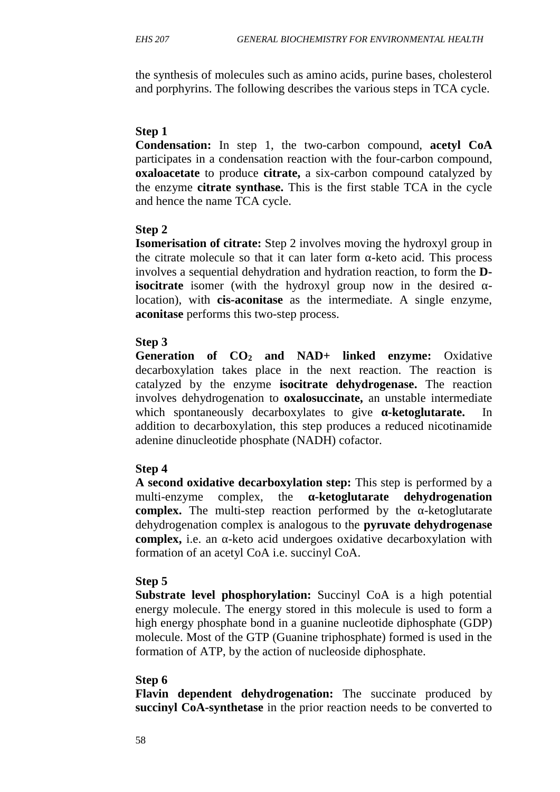the synthesis of molecules such as amino acids, purine bases, cholesterol and porphyrins. The following describes the various steps in TCA cycle.

#### **Step 1**

**Condensation:** In step 1, the two-carbon compound, **acetyl CoA** participates in a condensation reaction with the four-carbon compound, **oxaloacetate** to produce **citrate,** a six-carbon compound catalyzed by the enzyme **citrate synthase.** This is the first stable TCA in the cycle and hence the name TCA cycle.

### **Step 2**

**Isomerisation of citrate:** Step 2 involves moving the hydroxyl group in the citrate molecule so that it can later form -keto acid. This process involves a sequential dehydration and hydration reaction, to form the **Disocitrate** isomer (with the hydroxyl group now in the desired location), with **cis-aconitase** as the intermediate. A single enzyme, **aconitase** performs this two-step process.

#### **Step 3**

**Generation of CO<sup>2</sup> and NAD+ linked enzyme:** Oxidative decarboxylation takes place in the next reaction. The reaction is catalyzed by the enzyme **isocitrate dehydrogenase.** The reaction involves dehydrogenation to **oxalosuccinate,** an unstable intermediate which spontaneously decarboxylates to give **-ketoglutarate.** In addition to decarboxylation, this step produces a reduced nicotinamide adenine dinucleotide phosphate (NADH) cofactor.

### **Step 4**

**A second oxidative decarboxylation step:** This step is performed by a multi-enzyme complex, the **-ketoglutarate dehydrogenation complex.** The multi-step reaction performed by the -ketoglutarate dehydrogenation complex is analogous to the **pyruvate dehydrogenase complex,** i.e. an -keto acid undergoes oxidative decarboxylation with formation of an acetyl CoA i.e. succinyl CoA.

#### **Step 5**

**Substrate level phosphorylation:** Succinyl CoA is a high potential energy molecule. The energy stored in this molecule is used to form a high energy phosphate bond in a guanine nucleotide diphosphate (GDP) molecule. Most of the GTP (Guanine triphosphate) formed is used in the formation of ATP, by the action of nucleoside diphosphate.

#### **Step 6**

**Flavin dependent dehydrogenation:** The succinate produced by **succinyl CoA-synthetase** in the prior reaction needs to be converted to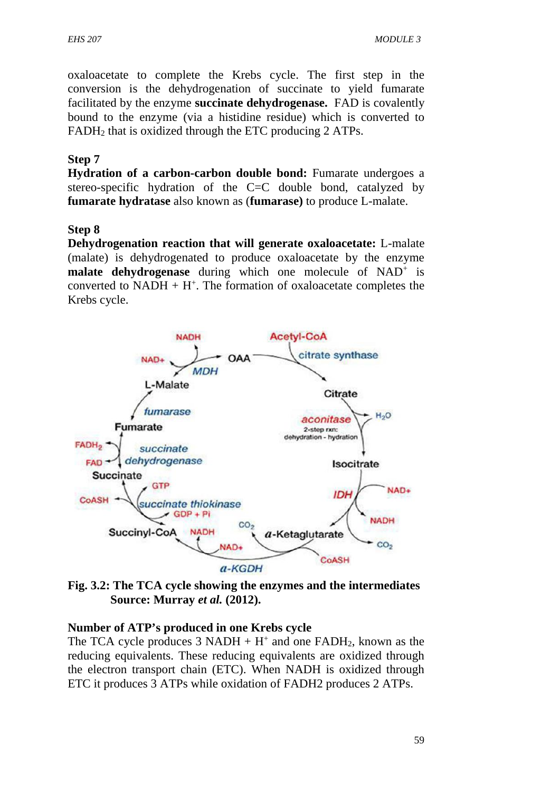oxaloacetate to complete the Krebs cycle. The first step in the conversion is the dehydrogenation of succinate to yield fumarate facilitated by the enzyme **succinate dehydrogenase.** FAD is covalently bound to the enzyme (via a histidine residue) which is converted to FADH<sup>2</sup> that is oxidized through the ETC producing 2 ATPs.

## **Step 7**

**Hydration of a carbon-carbon double bond:** Fumarate undergoes a stereo-specific hydration of the C=C double bond, catalyzed by **fumarate hydratase** also known as (**fumarase)** to produce L-malate.

### **Step 8**

**Dehydrogenation reaction that will generate oxaloacetate:** L-malate (malate) is dehydrogenated to produce oxaloacetate by the enzyme **malate dehydrogenase** during which one molecule of NAD<sup>+</sup> is converted to  $NADH + H^+$ . The formation of oxaloacetate completes the Krebs cycle.



**Fig. 3.2: The TCA cycle showing the enzymes and the intermediates Source: Murray** *et al.* **(2012).**

### **Number of ATP's produced in one Krebs cycle**

The TCA cycle produces  $3 \text{ NADH} + \text{H}^+$  and one FADH<sub>2</sub>, known as the reducing equivalents. These reducing equivalents are oxidized through the electron transport chain (ETC). When NADH is oxidized through ETC it produces 3 ATPs while oxidation of FADH2 produces 2 ATPs.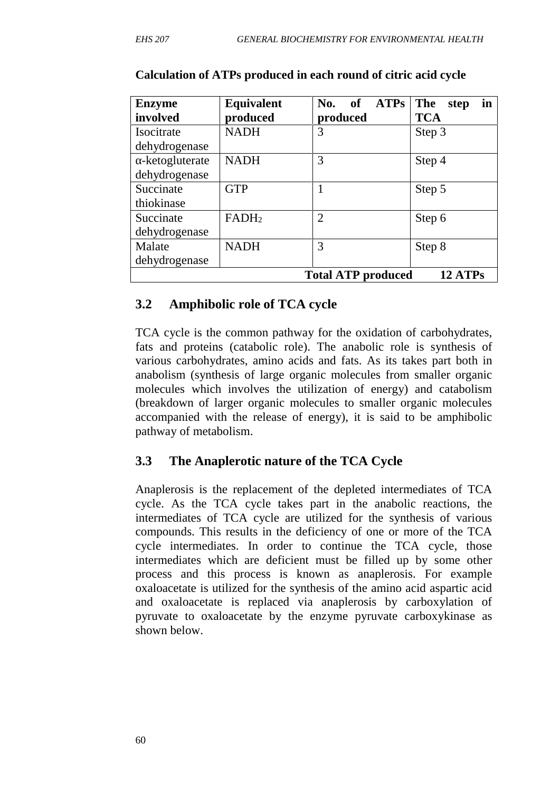| <b>Enzyme</b><br>involved       | <b>Equivalent</b><br>produced | ATPs<br>No.<br><b>of</b><br>produced | The<br>in<br>step<br><b>TCA</b> |
|---------------------------------|-------------------------------|--------------------------------------|---------------------------------|
| Isocitrate<br>dehydrogenase     | <b>NADH</b>                   | 3                                    | Step 3                          |
| -ketogluterate<br>dehydrogenase | <b>NADH</b>                   | 3                                    | Step 4                          |
| Succinate<br>thiokinase         | <b>GTP</b>                    |                                      | Step 5                          |
| Succinate<br>dehydrogenase      | FADH <sub>2</sub>             | $\overline{2}$                       | Step 6                          |
| Malate<br>dehydrogenase         | <b>NADH</b>                   | 3                                    | Step 8                          |
|                                 |                               | <b>Total ATP produced</b>            | 12 ATPs                         |

#### **Calculation of ATPs produced in each round of citric acid cycle**

#### **3.2 Amphibolic role of TCA cycle**

TCA cycle is the common pathway for the oxidation of carbohydrates, fats and proteins (catabolic role). The anabolic role is synthesis of various carbohydrates, amino acids and fats. As its takes part both in anabolism (synthesis of large organic molecules from smaller organic molecules which involves the utilization of energy) and catabolism (breakdown of larger organic molecules to smaller organic molecules accompanied with the release of energy), it is said to be amphibolic pathway of metabolism.

### **3.3 The Anaplerotic nature of the TCA Cycle**

Anaplerosis is the replacement of the depleted intermediates of TCA cycle. As the TCA cycle takes part in the anabolic reactions, the intermediates of TCA cycle are utilized for the synthesis of various compounds. This results in the deficiency of one or more of the TCA cycle intermediates. In order to continue the TCA cycle, those intermediates which are deficient must be filled up by some other process and this process is known as anaplerosis. For example oxaloacetate is utilized for the synthesis of the amino acid aspartic acid and oxaloacetate is replaced via anaplerosis by carboxylation of pyruvate to oxaloacetate by the enzyme pyruvate carboxykinase as shown below.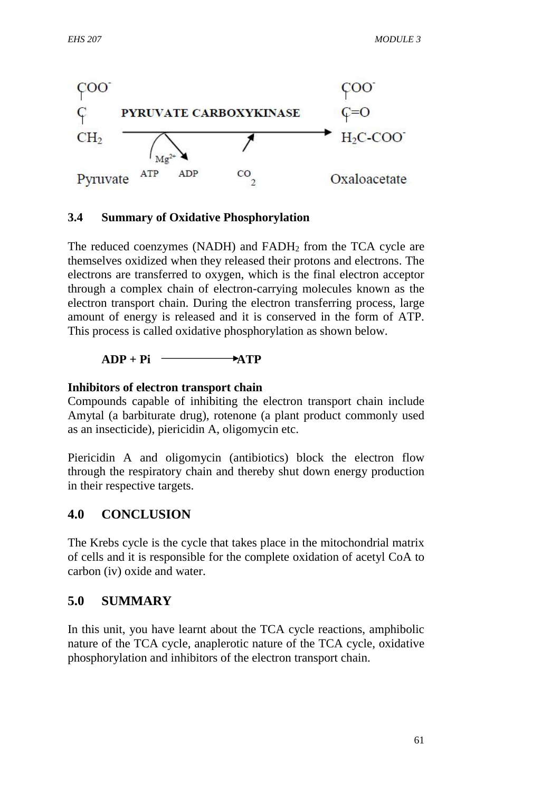

#### **3.4 Summary of Oxidative Phosphorylation**

The reduced coenzymes (NADH) and FADH<sub>2</sub> from the TCA cycle are themselves oxidized when they released their protons and electrons. The electrons are transferred to oxygen, which is the final electron acceptor through a complex chain of electron-carrying molecules known as the electron transport chain. During the electron transferring process, large amount of energy is released and it is conserved in the form of ATP. This process is called oxidative phosphorylation as shown below.

#### $ADP + Pi$   $\longrightarrow$   $ATP$

#### **Inhibitors of electron transport chain**

Compounds capable of inhibiting the electron transport chain include Amytal (a barbiturate drug), rotenone (a plant product commonly used as an insecticide), piericidin A, oligomycin etc.

Piericidin A and oligomycin (antibiotics) block the electron flow through the respiratory chain and thereby shut down energy production in their respective targets.

### **4.0 CONCLUSION**

The Krebs cycle is the cycle that takes place in the mitochondrial matrix of cells and it is responsible for the complete oxidation of acetyl CoA to carbon (iv) oxide and water.

## **5.0 SUMMARY**

In this unit, you have learnt about the TCA cycle reactions, amphibolic nature of the TCA cycle, anaplerotic nature of the TCA cycle, oxidative phosphorylation and inhibitors of the electron transport chain.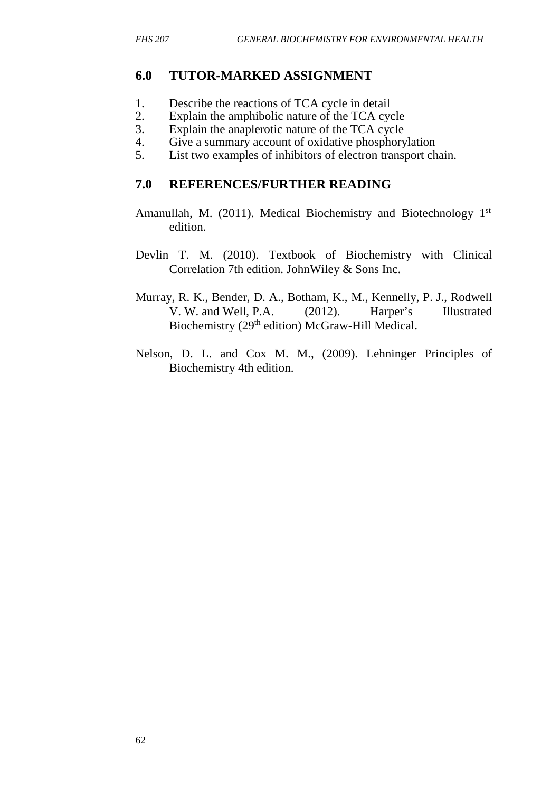### **6.0 TUTOR-MARKED ASSIGNMENT**

- 1. Describe the reactions of TCA cycle in detail
- 2. Explain the amphibolic nature of the TCA cycle
- 3. Explain the anaplerotic nature of the TCA cycle
- 4. Give a summary account of oxidative phosphorylation
- 5. List two examples of inhibitors of electron transport chain.

### **7.0 REFERENCES/FURTHER READING**

- Amanullah, M. (2011). Medical Biochemistry and Biotechnology 1<sup>st</sup> edition.
- Devlin T. M. (2010). Textbook of Biochemistry with Clinical Correlation 7th edition. JohnWiley & Sons Inc.
- Murray, R. K., Bender, D. A., Botham, K., M., Kennelly, P. J., Rodwell V. W. and Well, P.A. (2012). Harper's Illustrated Biochemistry (29<sup>th</sup> edition) McGraw-Hill Medical.
- Nelson, D. L. and Cox M. M., (2009). Lehninger Principles of Biochemistry 4th edition.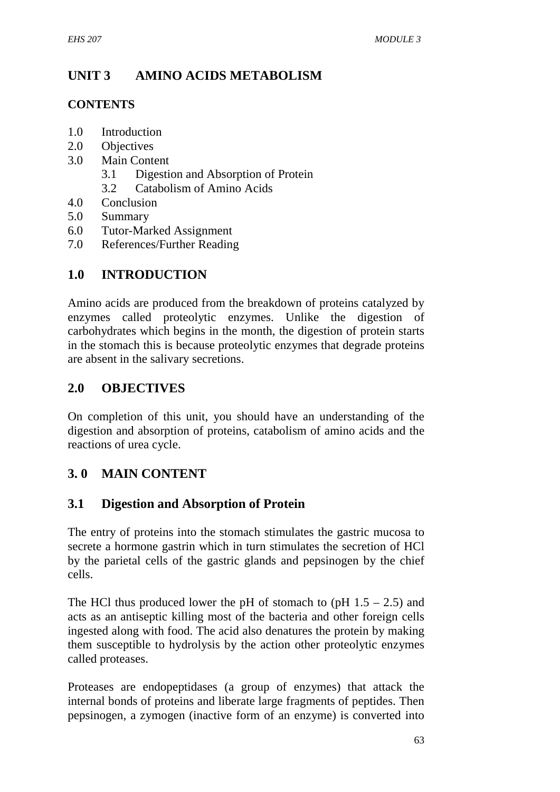## **UNIT 3 AMINO ACIDS METABOLISM**

## **CONTENTS**

- 1.0 Introduction
- 2.0 Objectives
- 3.0 Main Content
	- 3.1 Digestion and Absorption of Protein
	- 3.2 Catabolism of Amino Acids
- 4.0 Conclusion
- 5.0 Summary
- 6.0 Tutor-Marked Assignment
- 7.0 References/Further Reading

## **1.0 INTRODUCTION**

Amino acids are produced from the breakdown of proteins catalyzed by enzymes called proteolytic enzymes. Unlike the digestion of carbohydrates which begins in the month, the digestion of protein starts in the stomach this is because proteolytic enzymes that degrade proteins are absent in the salivary secretions.

## **2.0 OBJECTIVES**

On completion of this unit, you should have an understanding of the digestion and absorption of proteins, catabolism of amino acids and the reactions of urea cycle.

## **3. 0 MAIN CONTENT**

## **3.1 Digestion and Absorption of Protein**

The entry of proteins into the stomach stimulates the gastric mucosa to secrete a hormone gastrin which in turn stimulates the secretion of HCl by the parietal cells of the gastric glands and pepsinogen by the chief cells.

The HCl thus produced lower the pH of stomach to (pH  $1.5 - 2.5$ ) and acts as an antiseptic killing most of the bacteria and other foreign cells ingested along with food. The acid also denatures the protein by making them susceptible to hydrolysis by the action other proteolytic enzymes called proteases.

Proteases are endopeptidases (a group of enzymes) that attack the internal bonds of proteins and liberate large fragments of peptides. Then pepsinogen, a zymogen (inactive form of an enzyme) is converted into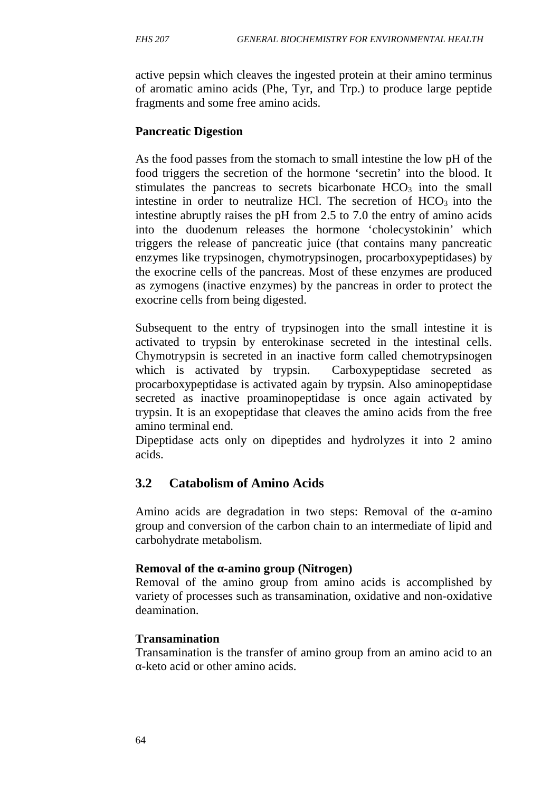active pepsin which cleaves the ingested protein at their amino terminus of aromatic amino acids (Phe, Tyr, and Trp.) to produce large peptide fragments and some free amino acids.

### **Pancreatic Digestion**

As the food passes from the stomach to small intestine the low pH of the food triggers the secretion of the hormone 'secretin' into the blood. It stimulates the pancreas to secrets bicarbonate HCO<sub>3</sub> into the small intestine in order to neutralize HCl. The secretion of  $HCO<sub>3</sub>$  into the intestine abruptly raises the pH from 2.5 to 7.0 the entry of amino acids into the duodenum releases the hormone 'cholecystokinin' which triggers the release of pancreatic juice (that contains many pancreatic enzymes like trypsinogen, chymotrypsinogen, procarboxypeptidases) by the exocrine cells of the pancreas. Most of these enzymes are produced as zymogens (inactive enzymes) by the pancreas in order to protect the exocrine cells from being digested.

Subsequent to the entry of trypsinogen into the small intestine it is activated to trypsin by enterokinase secreted in the intestinal cells. Chymotrypsin is secreted in an inactive form called chemotrypsinogen which is activated by trypsin. Carboxypeptidase secreted as procarboxypeptidase is activated again by trypsin. Also aminopeptidase secreted as inactive proaminopeptidase is once again activated by trypsin. It is an exopeptidase that cleaves the amino acids from the free amino terminal end.

Dipeptidase acts only on dipeptides and hydrolyzes it into 2 amino acids.

## **3.2 Catabolism of Amino Acids**

Amino acids are degradation in two steps: Removal of the -amino group and conversion of the carbon chain to an intermediate of lipid and carbohydrate metabolism.

### **Removal of the -amino group (Nitrogen)**

Removal of the amino group from amino acids is accomplished by variety of processes such as transamination, oxidative and non-oxidative deamination.

#### **Transamination**

Transamination is the transfer of amino group from an amino acid to an -keto acid or other amino acids.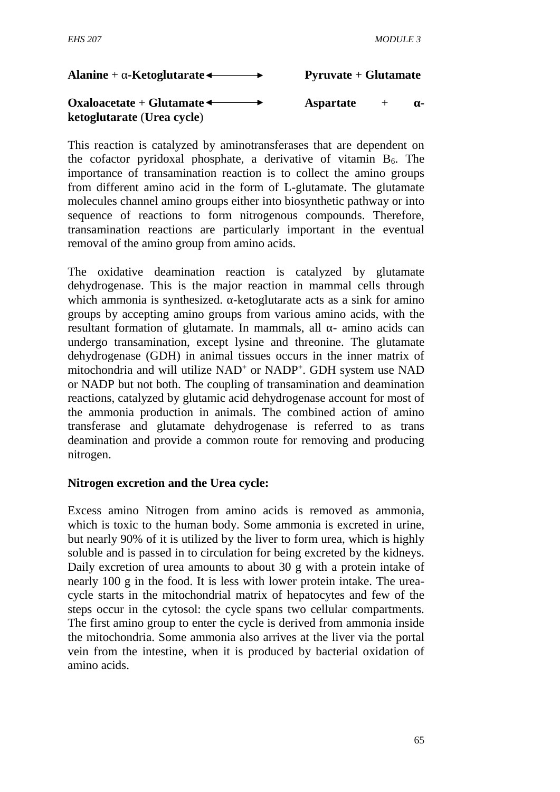### **Alanine** + **-Ketoglutarate** ← **Pyruvate** + **Glutamate**

### **Oxaloacetate** + **Glutamate**  $\leftarrow$  **Aspartate** + **ketoglutarate** (**Urea cycle**)

This reaction is catalyzed by aminotransferases that are dependent on the cofactor pyridoxal phosphate, a derivative of vitamin  $B_6$ . The importance of transamination reaction is to collect the amino groups from different amino acid in the form of L-glutamate. The glutamate molecules channel amino groups either into biosynthetic pathway or into sequence of reactions to form nitrogenous compounds. Therefore, transamination reactions are particularly important in the eventual removal of the amino group from amino acids.

The oxidative deamination reaction is catalyzed by glutamate dehydrogenase. This is the major reaction in mammal cells through which ammonia is synthesized. - ketoglutarate acts as a sink for amino groups by accepting amino groups from various amino acids, with the resultant formation of glutamate. In mammals, all - amino acids can undergo transamination, except lysine and threonine. The glutamate dehydrogenase (GDH) in animal tissues occurs in the inner matrix of mitochondria and will utilize NAD<sup>+</sup> or NADP<sup>+</sup>. GDH system use NAD or NADP but not both. The coupling of transamination and deamination reactions, catalyzed by glutamic acid dehydrogenase account for most of the ammonia production in animals. The combined action of amino transferase and glutamate dehydrogenase is referred to as trans deamination and provide a common route for removing and producing nitrogen.

#### **Nitrogen excretion and the Urea cycle:**

Excess amino Nitrogen from amino acids is removed as ammonia, which is toxic to the human body. Some ammonia is excreted in urine, but nearly 90% of it is utilized by the liver to form urea, which is highly soluble and is passed in to circulation for being excreted by the kidneys. Daily excretion of urea amounts to about 30 g with a protein intake of nearly 100 g in the food. It is less with lower protein intake. The urea cycle starts in the mitochondrial matrix of hepatocytes and few of the steps occur in the cytosol: the cycle spans two cellular compartments. The first amino group to enter the cycle is derived from ammonia inside the mitochondria. Some ammonia also arrives at the liver via the portal vein from the intestine, when it is produced by bacterial oxidation of amino acids.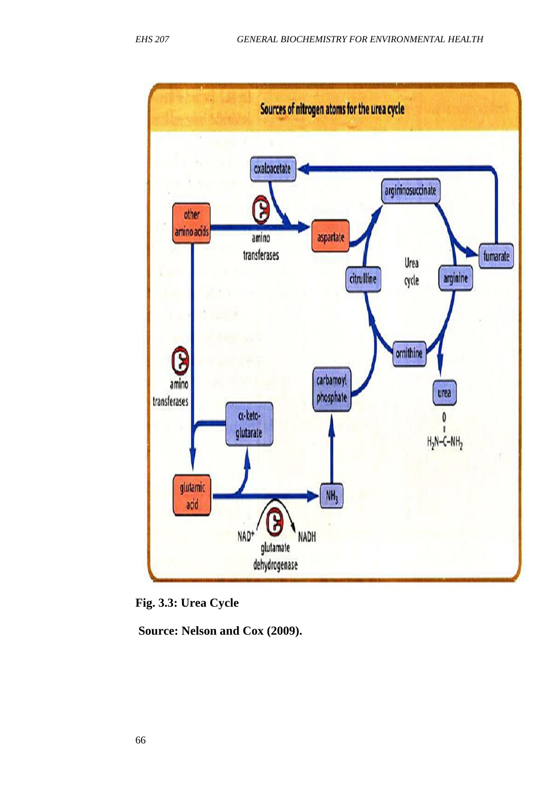



**Source: Nelson and Cox (2009).**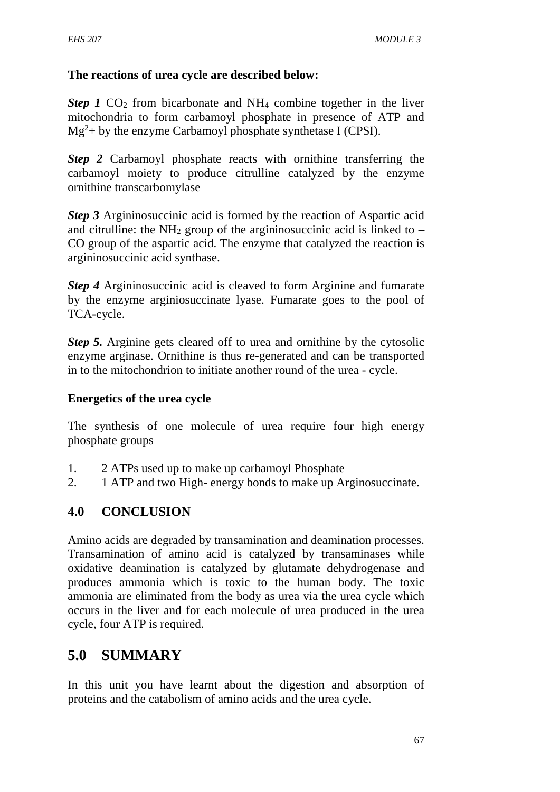## **The reactions of urea cycle are described below:**

*Step 1*  $CO<sub>2</sub>$  from bicarbonate and NH<sub>4</sub> combine together in the liver mitochondria to form carbamoyl phosphate in presence of ATP and  $Mg<sup>2</sup>$ + by the enzyme Carbamoyl phosphate synthetase I (CPSI).

*Step 2* Carbamoyl phosphate reacts with ornithine transferring the carbamoyl moiety to produce citrulline catalyzed by the enzyme ornithine transcarbomylase

**Step 3** Argininosuccinic acid is formed by the reaction of Aspartic acid and citrulline: the  $NH_2$  group of the argininosuccinic acid is linked to – CO group of the aspartic acid. The enzyme that catalyzed the reaction is argininosuccinic acid synthase.

*Step 4* Argininosuccinic acid is cleaved to form Arginine and fumarate by the enzyme arginiosuccinate lyase. Fumarate goes to the pool of TCA-cycle.

*Step 5.* Arginine gets cleared off to urea and ornithine by the cytosolic enzyme arginase. Ornithine is thus re-generated and can be transported in to the mitochondrion to initiate another round of the urea - cycle.

### **Energetics of the urea cycle**

The synthesis of one molecule of urea require four high energy phosphate groups

- 1. 2 ATPs used up to make up carbamoyl Phosphate
- 2. 1 ATP and two High- energy bonds to make up Arginosuccinate.

## **4.0 CONCLUSION**

Amino acids are degraded by transamination and deamination processes. Transamination of amino acid is catalyzed by transaminases while oxidative deamination is catalyzed by glutamate dehydrogenase and produces ammonia which is toxic to the human body. The toxic ammonia are eliminated from the body as urea via the urea cycle which occurs in the liver and for each molecule of urea produced in the urea cycle, four ATP is required.

## **5.0 SUMMARY**

In this unit you have learnt about the digestion and absorption of proteins and the catabolism of amino acids and the urea cycle.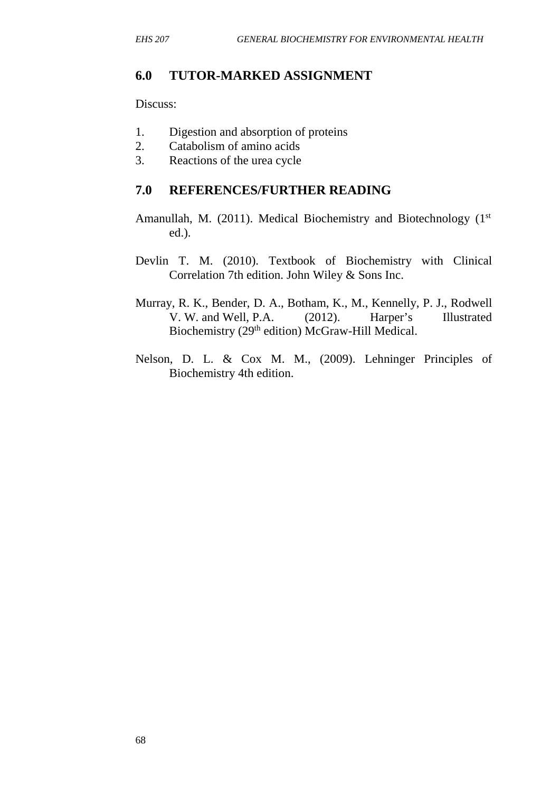### **6.0 TUTOR-MARKED ASSIGNMENT**

Discuss:

- 1. Digestion and absorption of proteins
- 2. Catabolism of amino acids
- 3. Reactions of the urea cycle

### **7.0 REFERENCES/FURTHER READING**

- Amanullah, M. (2011). Medical Biochemistry and Biotechnology (1<sup>st</sup> ed.).
- Devlin T. M. (2010). Textbook of Biochemistry with Clinical Correlation 7th edition. John Wiley & Sons Inc.
- Murray, R. K., Bender, D. A., Botham, K., M., Kennelly, P. J., Rodwell V. W. and Well, P.A. (2012). Harper's Illustrated Biochemistry (29<sup>th</sup> edition) McGraw-Hill Medical.
- Nelson, D. L. & Cox M. M., (2009). Lehninger Principles of Biochemistry 4th edition.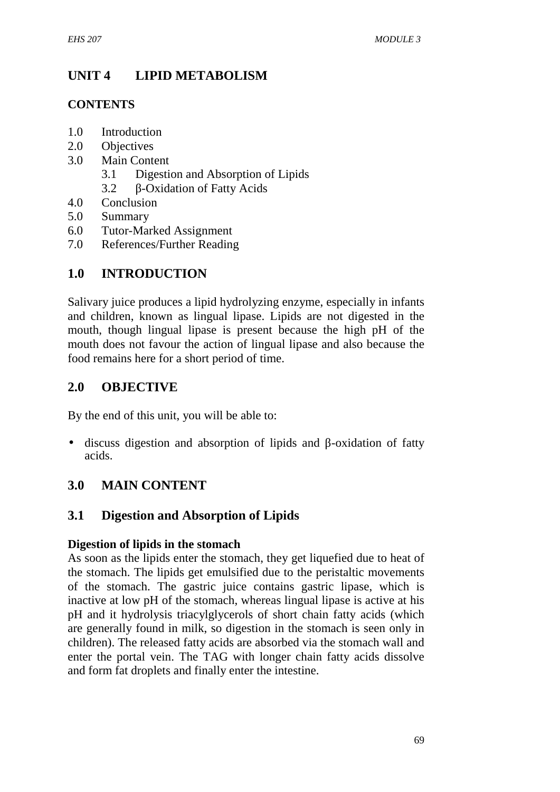## **UNIT 4 LIPID METABOLISM**

## **CONTENTS**

- 1.0 Introduction
- 2.0 Objectives
- 3.0 Main Content
	- 3.1 Digestion and Absorption of Lipids
	- 3.2 -Oxidation of Fatty Acids
- 4.0 Conclusion
- 5.0 Summary
- 6.0 Tutor-Marked Assignment
- 7.0 References/Further Reading

## **1.0 INTRODUCTION**

Salivary juice produces a lipid hydrolyzing enzyme, especially in infants and children, known as lingual lipase. Lipids are not digested in the mouth, though lingual lipase is present because the high pH of the mouth does not favour the action of lingual lipase and also because the food remains here for a short period of time.

## **2.0 OBJECTIVE**

By the end of this unit, you will be able to:

• discuss digestion and absorption of lipids and -oxidation of fatty acids.

## **3.0 MAIN CONTENT**

## **3.1 Digestion and Absorption of Lipids**

### **Digestion of lipids in the stomach**

As soon as the lipids enter the stomach, they get liquefied due to heat of the stomach. The lipids get emulsified due to the peristaltic movements of the stomach. The gastric juice contains gastric lipase, which is inactive at low pH of the stomach, whereas lingual lipase is active at his pH and it hydrolysis triacylglycerols of short chain fatty acids (which are generally found in milk, so digestion in the stomach is seen only in children). The released fatty acids are absorbed via the stomach wall and enter the portal vein. The TAG with longer chain fatty acids dissolve and form fat droplets and finally enter the intestine.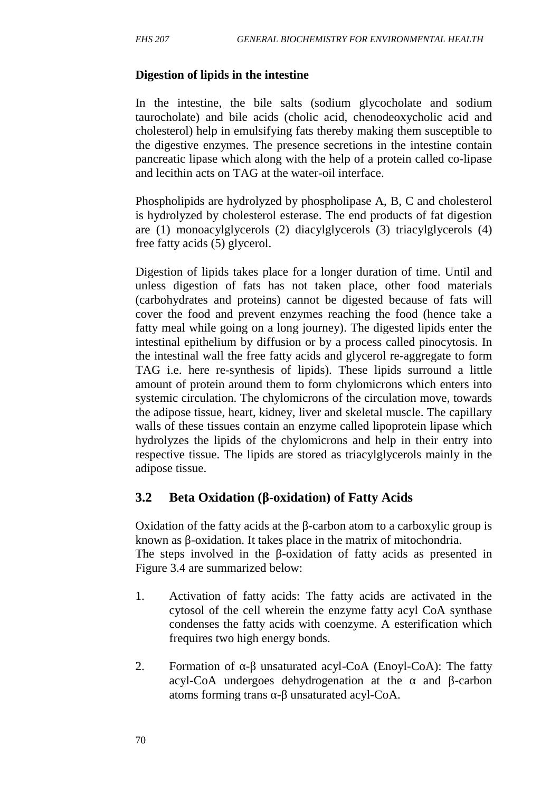### **Digestion of lipids in the intestine**

In the intestine, the bile salts (sodium glycocholate and sodium taurocholate) and bile acids (cholic acid, chenodeoxycholic acid and cholesterol) help in emulsifying fats thereby making them susceptible to the digestive enzymes. The presence secretions in the intestine contain pancreatic lipase which along with the help of a protein called co-lipase and lecithin acts on TAG at the water-oil interface.

Phospholipids are hydrolyzed by phospholipase A, B, C and cholesterol is hydrolyzed by cholesterol esterase. The end products of fat digestion are (1) monoacylglycerols (2) diacylglycerols (3) triacylglycerols (4) free fatty acids (5) glycerol.

Digestion of lipids takes place for a longer duration of time. Until and unless digestion of fats has not taken place, other food materials (carbohydrates and proteins) cannot be digested because of fats will cover the food and prevent enzymes reaching the food (hence take a fatty meal while going on a long journey). The digested lipids enter the intestinal epithelium by diffusion or by a process called pinocytosis. In the intestinal wall the free fatty acids and glycerol re-aggregate to form TAG i.e. here re-synthesis of lipids). These lipids surround a little amount of protein around them to form chylomicrons which enters into systemic circulation. The chylomicrons of the circulation move, towards the adipose tissue, heart, kidney, liver and skeletal muscle. The capillary walls of these tissues contain an enzyme called lipoprotein lipase which hydrolyzes the lipids of the chylomicrons and help in their entry into respective tissue. The lipids are stored as triacylglycerols mainly in the adipose tissue.

## **3.2 Beta Oxidation (β-oxidation) of Fatty Acids**

Oxidation of the fatty acids at the -carbon atom to a carboxylic group is known as -oxidation. It takes place in the matrix of mitochondria.

The steps involved in the -oxidation of fatty acids as presented in Figure 3.4 are summarized below:

- 1. Activation of fatty acids: The fatty acids are activated in the cytosol of the cell wherein the enzyme fatty acyl CoA synthase condenses the fatty acids with coenzyme. A esterification which frequires two high energy bonds.
- 2. Formation of unsaturated acyl-CoA (Enoyl-CoA): The fatty acyl-CoA undergoes dehydrogenation at the and -carbon atoms forming trans - unsaturated acyl-CoA.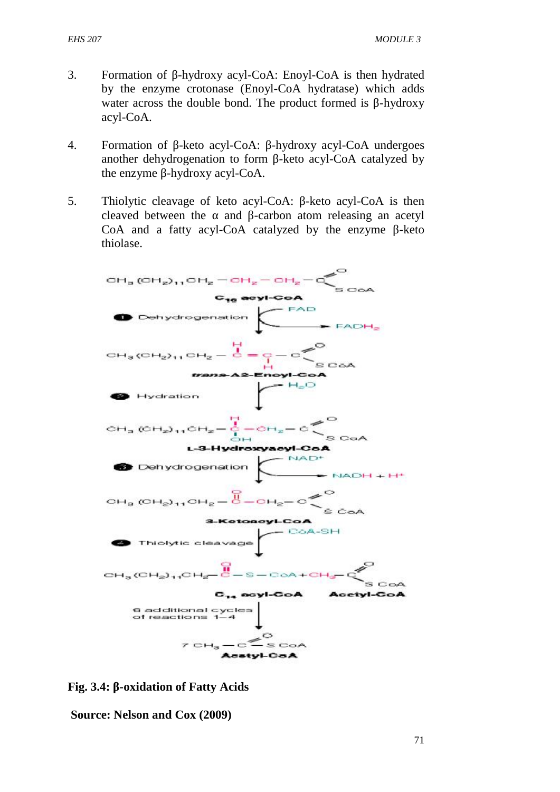- 3. Formation of -hydroxy acyl-CoA: Enoyl-CoA is then hydrated by the enzyme crotonase (Enoyl-CoA hydratase) which adds water across the double bond. The product formed is -hydroxy acyl-CoA.
- 4. Formation of -keto acyl-CoA: -hydroxy acyl-CoA undergoes another dehydrogenation to form -keto acyl-CoA catalyzed by the enzyme -hydroxy acyl-CoA.
- 5. Thiolytic cleavage of keto acyl-CoA: -keto acyl-CoA is then cleaved between the and -carbon atom releasing an acetyl CoA and a fatty acyl-CoA catalyzed by the enzyme -keto thiolase.



**Fig. 3.4:** -oxidation of Fatty Acids

**Source: Nelson and Cox (2009)**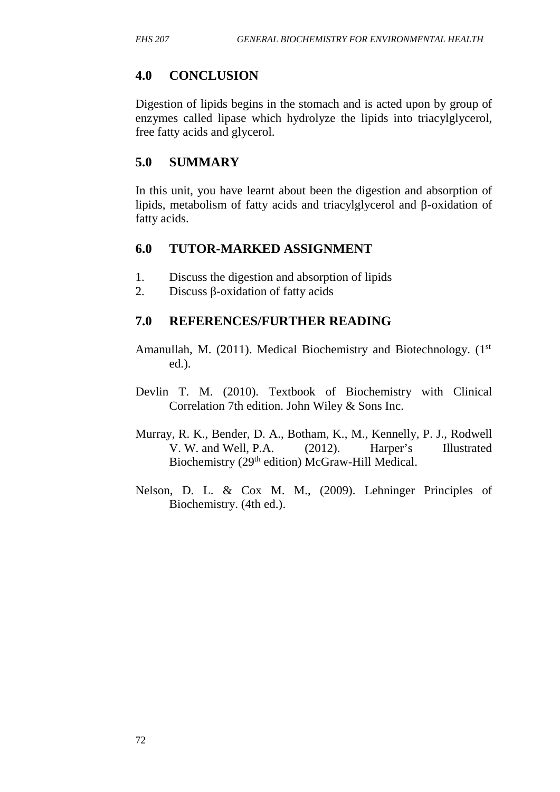## **4.0 CONCLUSION**

Digestion of lipids begins in the stomach and is acted upon by group of enzymes called lipase which hydrolyze the lipids into triacylglycerol, free fatty acids and glycerol.

## **5.0 SUMMARY**

In this unit, you have learnt about been the digestion and absorption of lipids, metabolism of fatty acids and triacylglycerol and -oxidation of fatty acids.

## **6.0 TUTOR-MARKED ASSIGNMENT**

- 1. Discuss the digestion and absorption of lipids
- 2. Discuss -oxidation of fatty acids

## **7.0 REFERENCES/FURTHER READING**

- Amanullah, M. (2011). Medical Biochemistry and Biotechnology. (1<sup>st</sup> ed.).
- Devlin T. M. (2010). Textbook of Biochemistry with Clinical Correlation 7th edition. John Wiley & Sons Inc.
- Murray, R. K., Bender, D. A., Botham, K., M., Kennelly, P. J., Rodwell V. W. and Well, P.A. (2012). Harper's Illustrated Biochemistry (29<sup>th</sup> edition) McGraw-Hill Medical.
- Nelson, D. L. & Cox M. M., (2009). Lehninger Principles of Biochemistry. (4th ed.).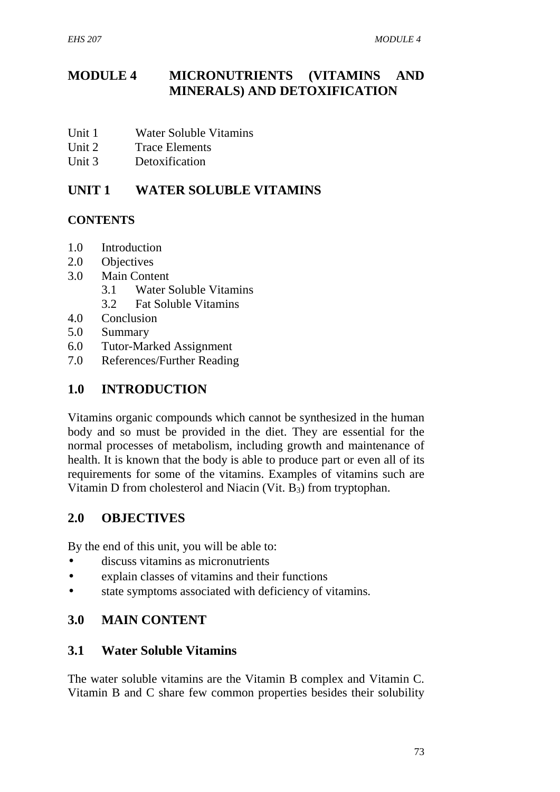## **MODULE 4 MICRONUTRIENTS (VITAMINS AND MINERALS) AND DETOXIFICATION**

- Unit 1 Water Soluble Vitamins
- Unit 2 Trace Elements
- Unit 3 Detoxification

## **UNIT 1 WATER SOLUBLE VITAMINS**

### **CONTENTS**

- 1.0 Introduction
- 2.0 Objectives
- 3.0 Main Content
	- 3.1 Water Soluble Vitamins
	- 3.2 Fat Soluble Vitamins
- 4.0 Conclusion
- 5.0 Summary
- 6.0 Tutor-Marked Assignment
- 7.0 References/Further Reading

## **1.0 INTRODUCTION**

Vitamins organic compounds which cannot be synthesized in the human body and so must be provided in the diet. They are essential for the normal processes of metabolism, including growth and maintenance of health. It is known that the body is able to produce part or even all of its requirements for some of the vitamins. Examples of vitamins such are Vitamin D from cholesterol and Niacin (Vit. B3) from tryptophan.

## **2.0 OBJECTIVES**

By the end of this unit, you will be able to:

- discuss vitamins as micronutrients
- explain classes of vitamins and their functions
- state symptoms associated with deficiency of vitamins.

### **3.0 MAIN CONTENT**

### **3.1 Water Soluble Vitamins**

The water soluble vitamins are the Vitamin B complex and Vitamin C. Vitamin B and C share few common properties besides their solubility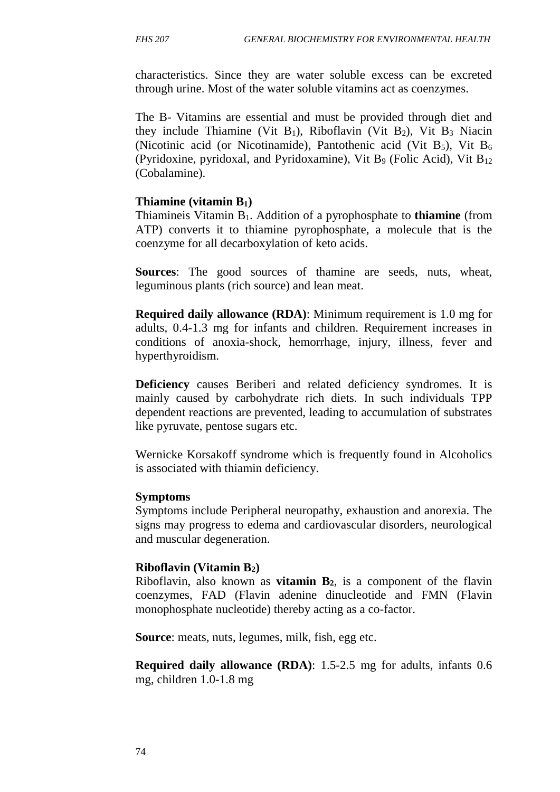characteristics. Since they are water soluble excess can be excreted through urine. Most of the water soluble vitamins act as coenzymes.

The B- Vitamins are essential and must be provided through diet and they include Thiamine (Vit  $B_1$ ), Riboflavin (Vit  $B_2$ ), Vit  $B_3$  Niacin (Nicotinic acid (or Nicotinamide), Pantothenic acid (Vit  $B_5$ ), Vit  $B_6$ (Pyridoxine, pyridoxal, and Pyridoxamine), Vit B<sub>9</sub> (Folic Acid), Vit B<sub>12</sub> (Cobalamine).

#### **Thiamine (vitamin B1)**

Thiamineis Vitamin B1. Addition of a pyrophosphate to **thiamine** (from ATP) converts it to thiamine pyrophosphate, a molecule that is the coenzyme for all decarboxylation of keto acids.

**Sources**: The good sources of thamine are seeds, nuts, wheat, leguminous plants (rich source) and lean meat.

**Required daily allowance (RDA)**: Minimum requirement is 1.0 mg for adults, 0.4-1.3 mg for infants and children. Requirement increases in conditions of anoxia-shock, hemorrhage, injury, illness, fever and hyperthyroidism.

**Deficiency** causes Beriberi and related deficiency syndromes. It is mainly caused by carbohydrate rich diets. In such individuals TPP dependent reactions are prevented, leading to accumulation of substrates like pyruvate, pentose sugars etc.

Wernicke Korsakoff syndrome which is frequently found in Alcoholics is associated with thiamin deficiency.

#### **Symptoms**

Symptoms include Peripheral neuropathy, exhaustion and anorexia. The signs may progress to edema and cardiovascular disorders, neurological and muscular degeneration.

#### **Riboflavin (Vitamin B2)**

Riboflavin, also known as **vitamin B2**, is a component of the flavin coenzymes, FAD (Flavin adenine dinucleotide and FMN (Flavin monophosphate nucleotide) thereby acting as a co-factor.

**Source**: meats, nuts, legumes, milk, fish, egg etc.

**Required daily allowance (RDA)**: 1.5-2.5 mg for adults, infants 0.6 mg, children 1.0-1.8 mg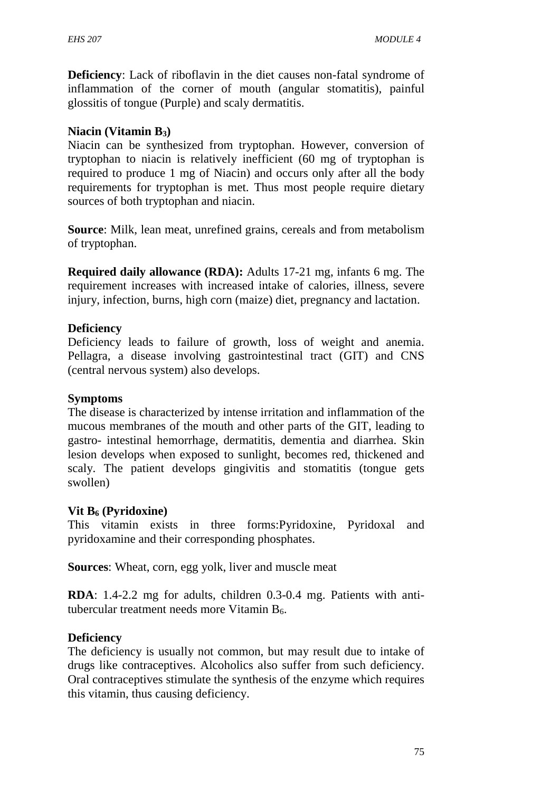**Deficiency**: Lack of riboflavin in the diet causes non-fatal syndrome of inflammation of the corner of mouth (angular stomatitis), painful glossitis of tongue (Purple) and scaly dermatitis.

#### **Niacin (Vitamin B3)**

Niacin can be synthesized from tryptophan. However, conversion of tryptophan to niacin is relatively inefficient (60 mg of tryptophan is required to produce 1 mg of Niacin) and occurs only after all the body requirements for tryptophan is met. Thus most people require dietary sources of both tryptophan and niacin.

**Source**: Milk, lean meat, unrefined grains, cereals and from metabolism of tryptophan.

**Required daily allowance (RDA):** Adults 17-21 mg, infants 6 mg. The requirement increases with increased intake of calories, illness, severe injury, infection, burns, high corn (maize) diet, pregnancy and lactation.

### **Deficiency**

Deficiency leads to failure of growth, loss of weight and anemia. Pellagra, a disease involving gastrointestinal tract (GIT) and CNS (central nervous system) also develops.

#### **Symptoms**

The disease is characterized by intense irritation and inflammation of the mucous membranes of the mouth and other parts of the GIT, leading to gastro- intestinal hemorrhage, dermatitis, dementia and diarrhea. Skin lesion develops when exposed to sunlight, becomes red, thickened and scaly. The patient develops gingivitis and stomatitis (tongue gets swollen)

#### **Vit B<sup>6</sup> (Pyridoxine)**

This vitamin exists in three forms:Pyridoxine, Pyridoxal and pyridoxamine and their corresponding phosphates.

**Sources**: Wheat, corn, egg yolk, liver and muscle meat

**RDA**: 1.4-2.2 mg for adults, children 0.3-0.4 mg. Patients with antitubercular treatment needs more Vitamin B6.

#### **Deficiency**

The deficiency is usually not common, but may result due to intake of drugs like contraceptives. Alcoholics also suffer from such deficiency. Oral contraceptives stimulate the synthesis of the enzyme which requires this vitamin, thus causing deficiency.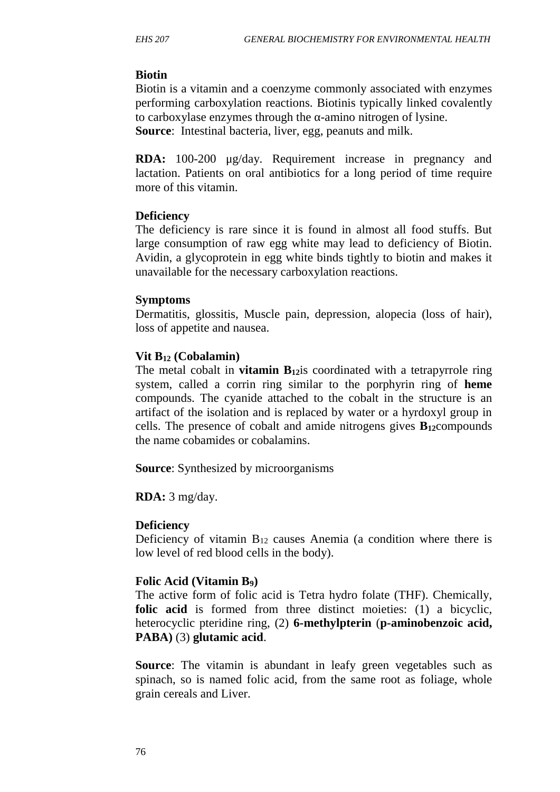### **Biotin**

Biotin is a vitamin and a coenzyme commonly associated with enzymes performing carboxylation reactions. Biotinis typically linked covalently to carboxylase enzymes through the -amino nitrogen of lysine. **Source**: Intestinal bacteria, liver, egg, peanuts and milk.

**RDA:** 100-200 μg/day. Requirement increase in pregnancy and lactation. Patients on oral antibiotics for a long period of time require more of this vitamin.

### **Deficiency**

The deficiency is rare since it is found in almost all food stuffs. But large consumption of raw egg white may lead to deficiency of Biotin. Avidin, a glycoprotein in egg white binds tightly to biotin and makes it unavailable for the necessary carboxylation reactions.

### **Symptoms**

Dermatitis, glossitis, Muscle pain, depression, alopecia (loss of hair), loss of appetite and nausea.

### **Vit B<sup>12</sup> (Cobalamin)**

The metal cobalt in **vitamin B**<sub>12</sub> is coordinated with a tetrapyrrole ring system, called a corrin ring similar to the porphyrin ring of **heme** compounds. The cyanide attached to the cobalt in the structure is an artifact of the isolation and is replaced by water or a hyrdoxyl group in cells. The presence of cobalt and amide nitrogens gives  $B_{12}$ compounds the name cobamides or cobalamins.

**Source**: Synthesized by microorganisms

**RDA:** 3 mg/day.

## **Deficiency**

Deficiency of vitamin  $B_{12}$  causes Anemia (a condition where there is low level of red blood cells in the body).

### **Folic Acid (Vitamin B9)**

The active form of folic acid is Tetra hydro folate (THF). Chemically, **folic acid** is formed from three distinct moieties: (1) a bicyclic, heterocyclic pteridine ring, (2) **6-methylpterin** (**p-aminobenzoic acid, PABA)** (3) **glutamic acid**.

**Source:** The vitamin is abundant in leafy green vegetables such as spinach, so is named folic acid, from the same root as foliage, whole grain cereals and Liver.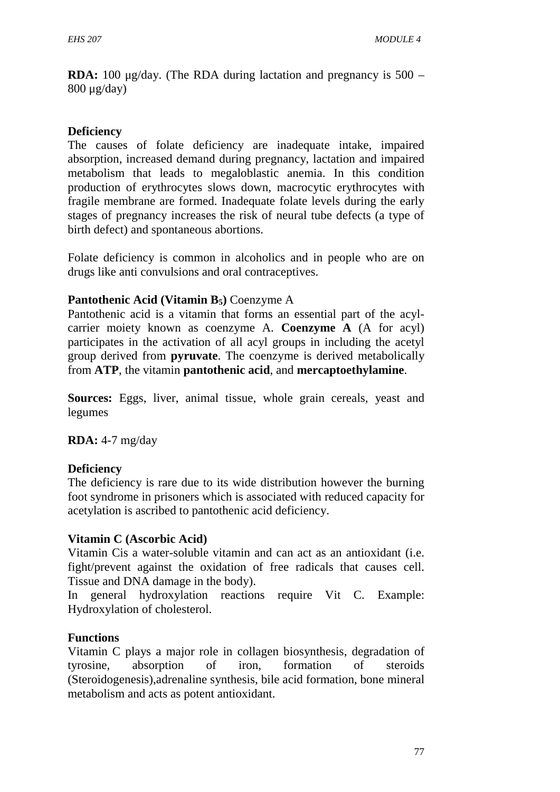**RDA:** 100 μg/day. (The RDA during lactation and pregnancy is 500 – 800 μg/day)

#### **Deficiency**

The causes of folate deficiency are inadequate intake, impaired absorption, increased demand during pregnancy, lactation and impaired metabolism that leads to megaloblastic anemia. In this condition production of erythrocytes slows down, macrocytic erythrocytes with fragile membrane are formed. Inadequate folate levels during the early stages of pregnancy increases the risk of neural tube defects (a type of birth defect) and spontaneous abortions.

Folate deficiency is common in alcoholics and in people who are on drugs like anti convulsions and oral contraceptives.

#### **Pantothenic Acid (Vitamin B5)** Coenzyme A

Pantothenic acid is a vitamin that forms an essential part of the acyl carrier moiety known as coenzyme A. **Coenzyme A** (A for acyl) participates in the activation of all acyl groups in including the acetyl group derived from **pyruvate**. The coenzyme is derived metabolically from **ATP**, the vitamin **pantothenic acid**, and **mercaptoethylamine**.

**Sources:** Eggs, liver, animal tissue, whole grain cereals, yeast and legumes

**RDA:** 4-7 mg/day

#### **Deficiency**

The deficiency is rare due to its wide distribution however the burning foot syndrome in prisoners which is associated with reduced capacity for acetylation is ascribed to pantothenic acid deficiency.

#### **Vitamin C (Ascorbic Acid)**

Vitamin Cis a water-soluble vitamin and can act as an antioxidant (i.e. fight/prevent against the oxidation of free radicals that causes cell. Tissue and DNA damage in the body).

In general hydroxylation reactions require Vit C. Example: Hydroxylation of cholesterol.

#### **Functions**

Vitamin C plays a major role in collagen biosynthesis, degradation of tyrosine, absorption of iron, formation of steroids (Steroidogenesis),adrenaline synthesis, bile acid formation, bone mineral metabolism and acts as potent antioxidant.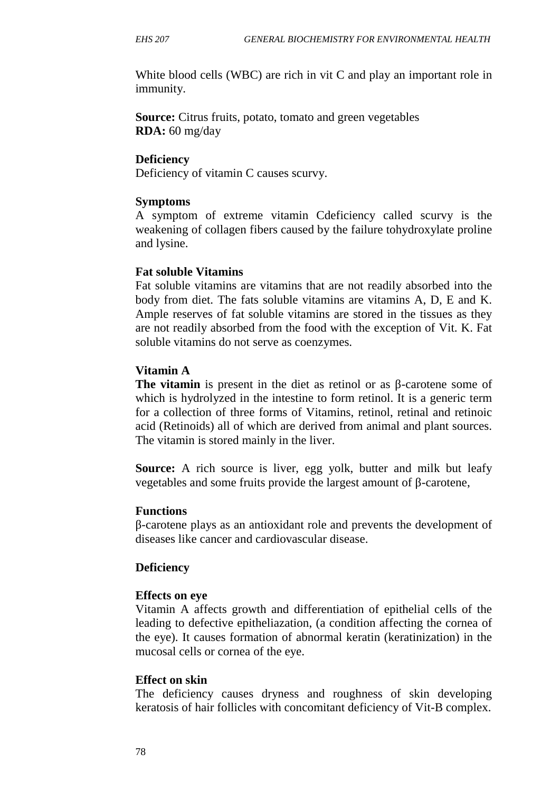White blood cells (WBC) are rich in vit C and play an important role in immunity.

**Source:** Citrus fruits, potato, tomato and green vegetables **RDA:** 60 mg/day

#### **Deficiency**

Deficiency of vitamin C causes scurvy.

#### **Symptoms**

A symptom of extreme vitamin Cdeficiency called scurvy is the weakening of collagen fibers caused by the failure tohydroxylate proline and lysine.

#### **Fat soluble Vitamins**

Fat soluble vitamins are vitamins that are not readily absorbed into the body from diet. The fats soluble vitamins are vitamins A, D, E and K. Ample reserves of fat soluble vitamins are stored in the tissues as they are not readily absorbed from the food with the exception of Vit. K. Fat soluble vitamins do not serve as coenzymes.

#### **Vitamin A**

**The vitamin** is present in the diet as retinol or as -carotene some of which is hydrolyzed in the intestine to form retinol. It is a generic term for a collection of three forms of Vitamins, retinol, retinal and retinoic acid (Retinoids) all of which are derived from animal and plant sources. The vitamin is stored mainly in the liver.

**Source:** A rich source is liver, egg yolk, butter and milk but leafy vegetables and some fruits provide the largest amount of -carotene,

#### **Functions**

-carotene plays as an antioxidant role and prevents the development of diseases like cancer and cardiovascular disease.

#### **Deficiency**

#### **Effects on eye**

Vitamin A affects growth and differentiation of epithelial cells of the leading to defective epitheliazation, (a condition affecting the cornea of the eye). It causes formation of abnormal keratin (keratinization) in the mucosal cells or cornea of the eye.

#### **Effect on skin**

The deficiency causes dryness and roughness of skin developing keratosis of hair follicles with concomitant deficiency of Vit-B complex.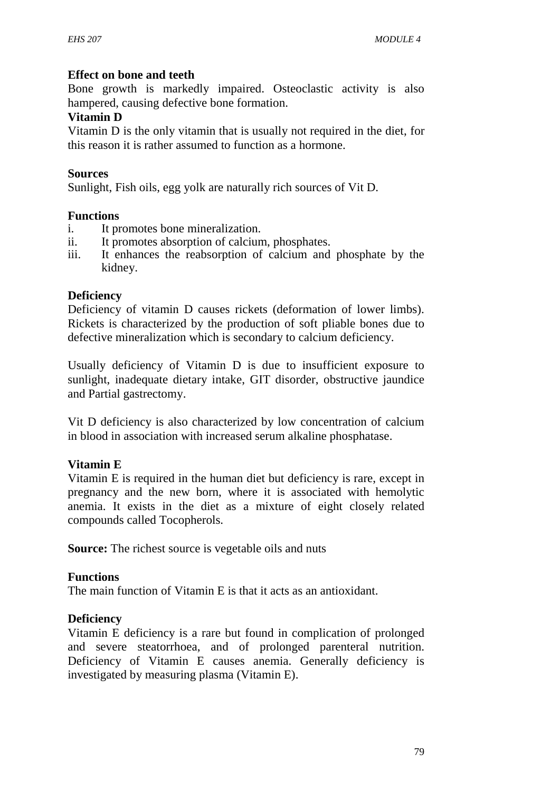#### **Effect on bone and teeth**

Bone growth is markedly impaired. Osteoclastic activity is also hampered, causing defective bone formation.

#### **Vitamin D**

Vitamin D is the only vitamin that is usually not required in the diet, for this reason it is rather assumed to function as a hormone.

#### **Sources**

Sunlight, Fish oils, egg yolk are naturally rich sources of Vit D.

#### **Functions**

- i. It promotes bone mineralization.
- ii. It promotes absorption of calcium, phosphates.
- iii. It enhances the reabsorption of calcium and phosphate by the kidney.

#### **Deficiency**

Deficiency of vitamin D causes rickets (deformation of lower limbs). Rickets is characterized by the production of soft pliable bones due to defective mineralization which is secondary to calcium deficiency.

Usually deficiency of Vitamin D is due to insufficient exposure to sunlight, inadequate dietary intake, GIT disorder, obstructive jaundice and Partial gastrectomy.

Vit D deficiency is also characterized by low concentration of calcium in blood in association with increased serum alkaline phosphatase.

#### **Vitamin E**

Vitamin E is required in the human diet but deficiency is rare, except in pregnancy and the new born, where it is associated with hemolytic anemia. It exists in the diet as a mixture of eight closely related compounds called Tocopherols.

**Source:** The richest source is vegetable oils and nuts

#### **Functions**

The main function of Vitamin E is that it acts as an antioxidant.

### **Deficiency**

Vitamin E deficiency is a rare but found in complication of prolonged and severe steatorrhoea, and of prolonged parenteral nutrition. Deficiency of Vitamin E causes anemia. Generally deficiency is investigated by measuring plasma (Vitamin E).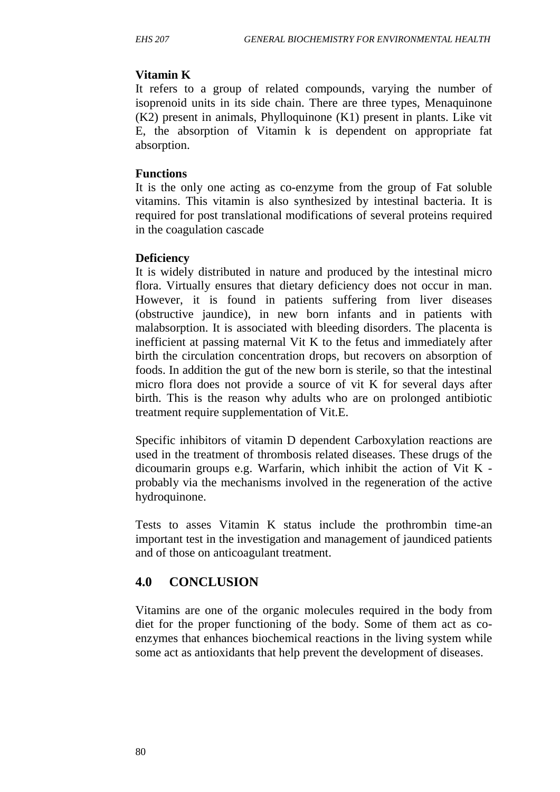## **Vitamin K**

It refers to a group of related compounds, varying the number of isoprenoid units in its side chain. There are three types, Menaquinone (K2) present in animals, Phylloquinone (K1) present in plants. Like vit E, the absorption of Vitamin k is dependent on appropriate fat absorption.

### **Functions**

It is the only one acting as co-enzyme from the group of Fat soluble vitamins. This vitamin is also synthesized by intestinal bacteria. It is required for post translational modifications of several proteins required in the coagulation cascade

### **Deficiency**

It is widely distributed in nature and produced by the intestinal micro flora. Virtually ensures that dietary deficiency does not occur in man. However, it is found in patients suffering from liver diseases (obstructive jaundice), in new born infants and in patients with malabsorption. It is associated with bleeding disorders. The placenta is inefficient at passing maternal Vit K to the fetus and immediately after birth the circulation concentration drops, but recovers on absorption of foods. In addition the gut of the new born is sterile, so that the intestinal micro flora does not provide a source of vit K for several days after birth. This is the reason why adults who are on prolonged antibiotic treatment require supplementation of Vit.E.

Specific inhibitors of vitamin D dependent Carboxylation reactions are used in the treatment of thrombosis related diseases. These drugs of the dicoumarin groups e.g. Warfarin, which inhibit the action of Vit K probably via the mechanisms involved in the regeneration of the active hydroquinone.

Tests to asses Vitamin K status include the prothrombin time-an important test in the investigation and management of jaundiced patients and of those on anticoagulant treatment.

## **4.0 CONCLUSION**

Vitamins are one of the organic molecules required in the body from diet for the proper functioning of the body. Some of them act as co enzymes that enhances biochemical reactions in the living system while some act as antioxidants that help prevent the development of diseases.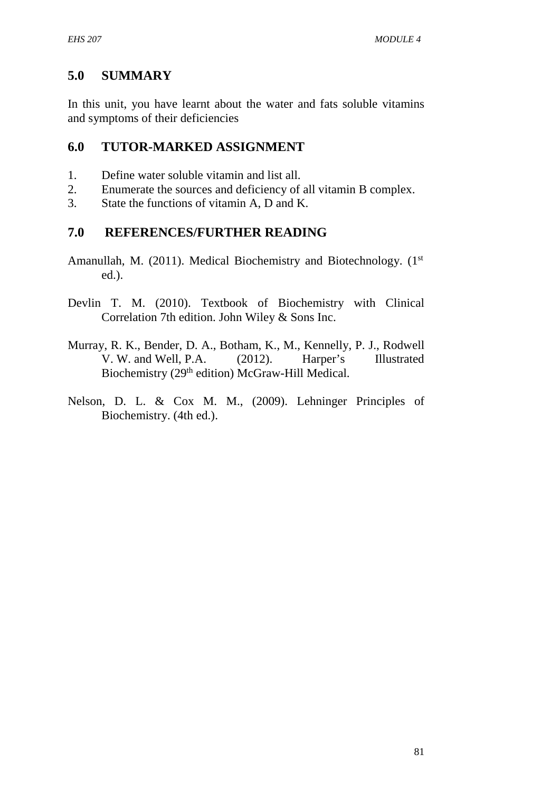## **5.0 SUMMARY**

In this unit, you have learnt about the water and fats soluble vitamins and symptoms of their deficiencies

## **6.0 TUTOR-MARKED ASSIGNMENT**

- 1. Define water soluble vitamin and list all.
- 2. Enumerate the sources and deficiency of all vitamin B complex.
- 3. State the functions of vitamin A, D and K.

### **7.0 REFERENCES/FURTHER READING**

- Amanullah, M. (2011). Medical Biochemistry and Biotechnology. (1<sup>st</sup>) ed.).
- Devlin T. M. (2010). Textbook of Biochemistry with Clinical Correlation 7th edition. John Wiley & Sons Inc.
- Murray, R. K., Bender, D. A., Botham, K., M., Kennelly, P. J., Rodwell V. W. and Well, P.A. (2012). Harper's Illustrated Biochemistry (29<sup>th</sup> edition) McGraw-Hill Medical.
- Nelson, D. L. & Cox M. M., (2009). Lehninger Principles of Biochemistry. (4th ed.).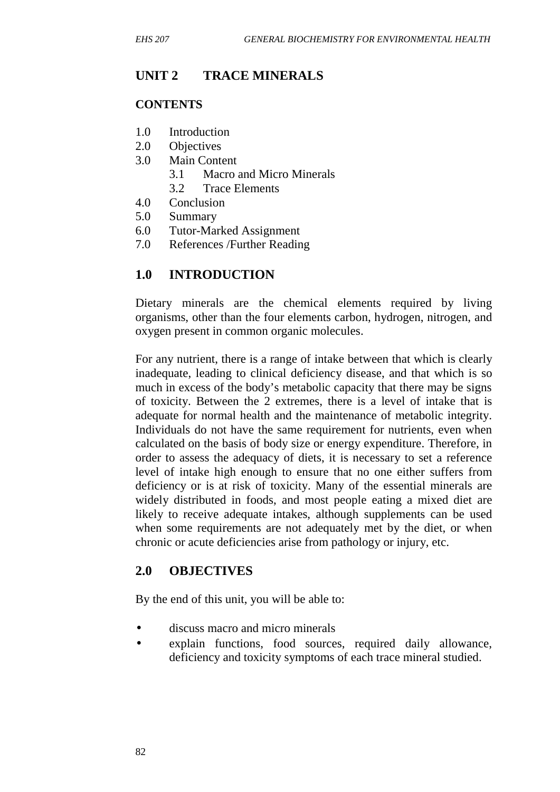## **UNIT 2 TRACE MINERALS**

### **CONTENTS**

- 1.0 Introduction
- 2.0 Objectives
- 3.0 Main Content
	- 3.1 Macro and Micro Minerals
	- 3.2 Trace Elements
- 4.0 Conclusion
- 5.0 Summary
- 6.0 Tutor-Marked Assignment
- 7.0 References /Further Reading

## **1.0 INTRODUCTION**

Dietary minerals are the chemical elements required by living organisms, other than the four elements carbon, hydrogen, nitrogen, and oxygen present in common organic molecules.

For any nutrient, there is a range of intake between that which is clearly inadequate, leading to clinical deficiency disease, and that which is so much in excess of the body's metabolic capacity that there may be signs of toxicity. Between the 2 extremes, there is a level of intake that is adequate for normal health and the maintenance of metabolic integrity. Individuals do not have the same requirement for nutrients, even when calculated on the basis of body size or energy expenditure. Therefore, in order to assess the adequacy of diets, it is necessary to set a reference level of intake high enough to ensure that no one either suffers from deficiency or is at risk of toxicity. Many of the essential minerals are widely distributed in foods, and most people eating a mixed diet are likely to receive adequate intakes, although supplements can be used when some requirements are not adequately met by the diet, or when chronic or acute deficiencies arise from pathology or injury, etc.

## **2.0 OBJECTIVES**

By the end of this unit, you will be able to:

- discuss macro and micro minerals
- explain functions, food sources, required daily allowance, deficiency and toxicity symptoms of each trace mineral studied.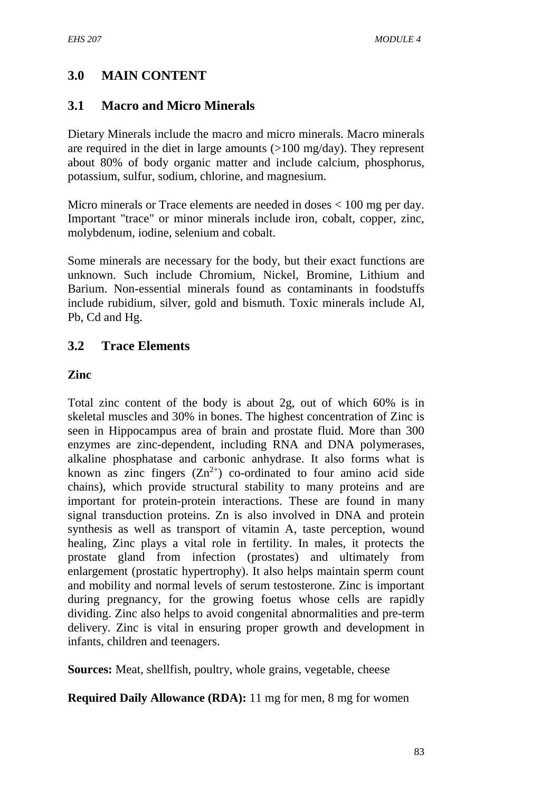## **3.0 MAIN CONTENT**

### **3.1 Macro and Micro Minerals**

Dietary Minerals include the macro and micro minerals. Macro minerals are required in the diet in large amounts (>100 mg/day). They represent about 80% of body organic matter and include calcium, phosphorus, potassium, sulfur, sodium, chlorine, and magnesium.

Micro minerals or Trace elements are needed in doses < 100 mg per day. Important "trace" or minor minerals include iron, cobalt, copper, zinc, molybdenum, iodine, selenium and cobalt.

Some minerals are necessary for the body, but their exact functions are unknown. Such include Chromium, Nickel, Bromine, Lithium and Barium. Non-essential minerals found as contaminants in foodstuffs include rubidium, silver, gold and bismuth. Toxic minerals include Al, Pb, Cd and Hg.

## **3.2 Trace Elements**

#### **Zinc**

Total zinc content of the body is about 2g, out of which 60% is in skeletal muscles and 30% in bones. The highest concentration of Zinc is seen in Hippocampus area of brain and prostate fluid. More than 300 enzymes are zinc-dependent, including RNA and DNA polymerases, alkaline phosphatase and carbonic anhydrase. It also forms what is known as zinc fingers  $(Zn^{2+})$  co-ordinated to four amino acid side chains), which provide structural stability to many proteins and are important for protein-protein interactions. These are found in many signal transduction proteins. Zn is also involved in DNA and protein synthesis as well as transport of vitamin A, taste perception, wound healing, Zinc plays a vital role in fertility. In males, it protects the prostate gland from infection (prostates) and ultimately from enlargement (prostatic hypertrophy). It also helps maintain sperm count and mobility and normal levels of serum testosterone. Zinc is important during pregnancy, for the growing foetus whose cells are rapidly dividing. Zinc also helps to avoid congenital abnormalities and pre-term delivery. Zinc is vital in ensuring proper growth and development in infants, children and teenagers.

**Sources:** Meat, shellfish, poultry, whole grains, vegetable, cheese

**Required Daily Allowance (RDA):** 11 mg for men, 8 mg for women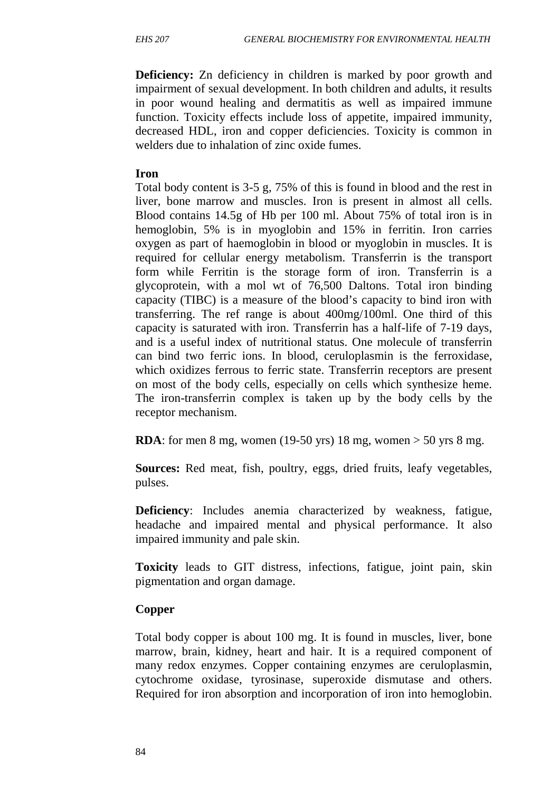**Deficiency:** Zn deficiency in children is marked by poor growth and impairment of sexual development. In both children and adults, it results in poor wound healing and dermatitis as well as impaired immune function. Toxicity effects include loss of appetite, impaired immunity, decreased HDL, iron and copper deficiencies. Toxicity is common in welders due to inhalation of zinc oxide fumes.

#### **Iron**

Total body content is 3-5 g, 75% of this is found in blood and the rest in liver, bone marrow and muscles. Iron is present in almost all cells. Blood contains 14.5g of Hb per 100 ml. About 75% of total iron is in hemoglobin, 5% is in myoglobin and 15% in ferritin. Iron carries oxygen as part of haemoglobin in blood or myoglobin in muscles. It is required for cellular energy metabolism. Transferrin is the transport form while Ferritin is the storage form of iron. Transferrin is a glycoprotein, with a mol wt of 76,500 Daltons. Total iron binding capacity (TIBC) is a measure of the blood's capacity to bind iron with transferring. The ref range is about 400mg/100ml. One third of this capacity is saturated with iron. Transferrin has a half-life of 7-19 days, and is a useful index of nutritional status. One molecule of transferrin can bind two ferric ions. In blood, ceruloplasmin is the ferroxidase, which oxidizes ferrous to ferric state. Transferrin receptors are present on most of the body cells, especially on cells which synthesize heme. The iron-transferrin complex is taken up by the body cells by the receptor mechanism.

**RDA**: for men 8 mg, women (19-50 yrs) 18 mg, women > 50 yrs 8 mg.

**Sources:** Red meat, fish, poultry, eggs, dried fruits, leafy vegetables, pulses.

**Deficiency**: Includes anemia characterized by weakness, fatigue, headache and impaired mental and physical performance. It also impaired immunity and pale skin.

**Toxicity** leads to GIT distress, infections, fatigue, joint pain, skin pigmentation and organ damage.

## **Copper**

Total body copper is about 100 mg. It is found in muscles, liver, bone marrow, brain, kidney, heart and hair. It is a required component of many redox enzymes. Copper containing enzymes are ceruloplasmin, cytochrome oxidase, tyrosinase, superoxide dismutase and others. Required for iron absorption and incorporation of iron into hemoglobin.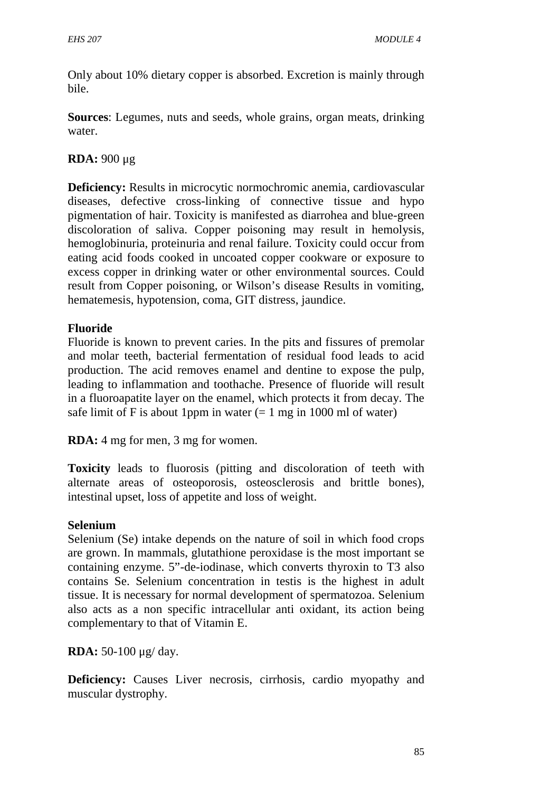Only about 10% dietary copper is absorbed. Excretion is mainly through bile.

**Sources**: Legumes, nuts and seeds, whole grains, organ meats, drinking water.

**RDA:** 900 μg

**Deficiency:** Results in microcytic normochromic anemia, cardiovascular diseases, defective cross-linking of connective tissue and hypo pigmentation of hair. Toxicity is manifested as diarrohea and blue-green discoloration of saliva. Copper poisoning may result in hemolysis, hemoglobinuria, proteinuria and renal failure. Toxicity could occur from eating acid foods cooked in uncoated copper cookware or exposure to excess copper in drinking water or other environmental sources. Could result from Copper poisoning, or Wilson's disease Results in vomiting, hematemesis, hypotension, coma, GIT distress, jaundice.

### **Fluoride**

Fluoride is known to prevent caries. In the pits and fissures of premolar and molar teeth, bacterial fermentation of residual food leads to acid production. The acid removes enamel and dentine to expose the pulp, leading to inflammation and toothache. Presence of fluoride will result in a fluoroapatite layer on the enamel, which protects it from decay. The safe limit of F is about 1ppm in water  $(= 1 \text{ mg in } 1000 \text{ ml of water})$ 

**RDA:** 4 mg for men, 3 mg for women.

**Toxicity** leads to fluorosis (pitting and discoloration of teeth with alternate areas of osteoporosis, osteosclerosis and brittle bones), intestinal upset, loss of appetite and loss of weight.

### **Selenium**

Selenium (Se) intake depends on the nature of soil in which food crops are grown. In mammals, glutathione peroxidase is the most important se containing enzyme. 5"-de-iodinase, which converts thyroxin to T3 also contains Se. Selenium concentration in testis is the highest in adult tissue. It is necessary for normal development of spermatozoa. Selenium also acts as a non specific intracellular anti oxidant, its action being complementary to that of Vitamin E.

**RDA:** 50-100 μg/ day.

**Deficiency:** Causes Liver necrosis, cirrhosis, cardio myopathy and muscular dystrophy.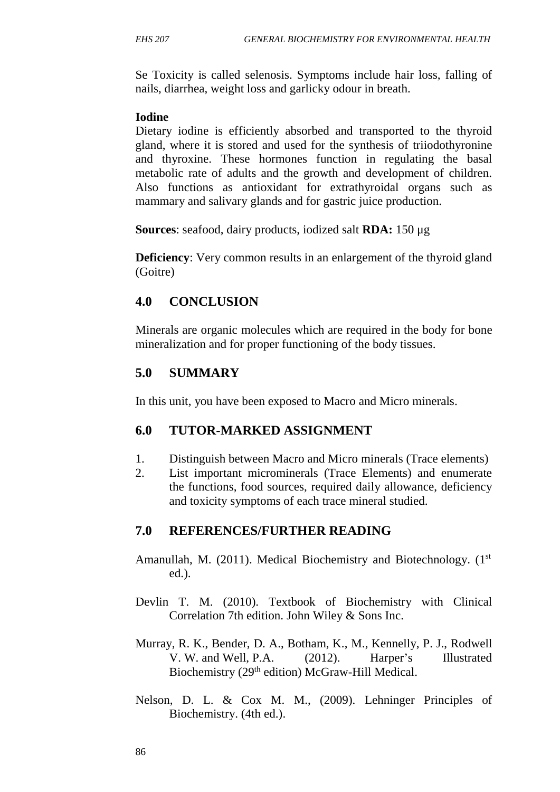Se Toxicity is called selenosis. Symptoms include hair loss, falling of nails, diarrhea, weight loss and garlicky odour in breath.

#### **Iodine**

Dietary iodine is efficiently absorbed and transported to the thyroid gland, where it is stored and used for the synthesis of triiodothyronine and thyroxine. These hormones function in regulating the basal metabolic rate of adults and the growth and development of children. Also functions as antioxidant for extrathyroidal organs such as mammary and salivary glands and for gastric juice production.

**Sources**: seafood, dairy products, iodized salt **RDA:** 150 μg

**Deficiency**: Very common results in an enlargement of the thyroid gland (Goitre)

## **4.0 CONCLUSION**

Minerals are organic molecules which are required in the body for bone mineralization and for proper functioning of the body tissues.

## **5.0 SUMMARY**

In this unit, you have been exposed to Macro and Micro minerals.

## **6.0 TUTOR-MARKED ASSIGNMENT**

- 1. Distinguish between Macro and Micro minerals (Trace elements)
- 2. List important microminerals (Trace Elements) and enumerate the functions, food sources, required daily allowance, deficiency and toxicity symptoms of each trace mineral studied.

## **7.0 REFERENCES/FURTHER READING**

- Amanullah, M. (2011). Medical Biochemistry and Biotechnology. (1<sup>st</sup>) ed.).
- Devlin T. M. (2010). Textbook of Biochemistry with Clinical Correlation 7th edition. John Wiley & Sons Inc.
- Murray, R. K., Bender, D. A., Botham, K., M., Kennelly, P. J., Rodwell V. W. and Well, P.A. (2012). Harper's Illustrated Biochemistry (29<sup>th</sup> edition) McGraw-Hill Medical.
- Nelson, D. L. & Cox M. M., (2009). Lehninger Principles of Biochemistry. (4th ed.).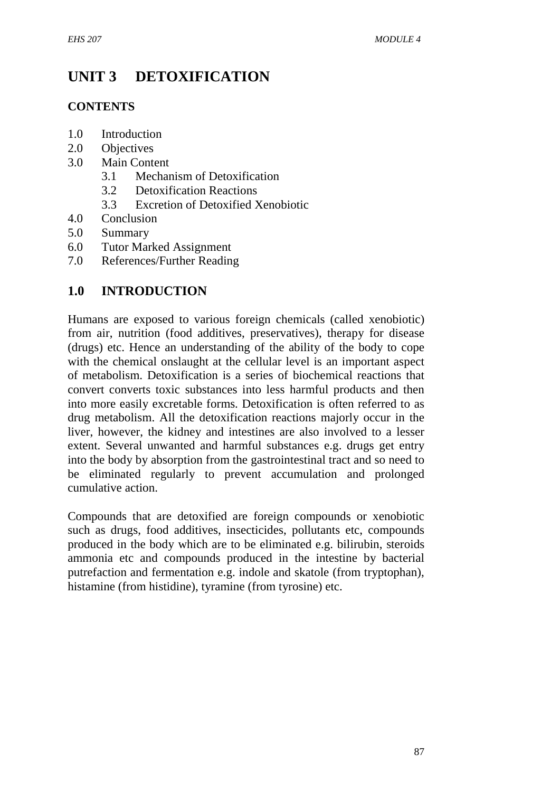# **UNIT 3 DETOXIFICATION**

### **CONTENTS**

- 1.0 Introduction
- 2.0 Objectives
- 3.0 Main Content
	- 3.1 Mechanism of Detoxification
	- 3.2 Detoxification Reactions
	- 3.3 Excretion of Detoxified Xenobiotic
- 4.0 Conclusion
- 5.0 Summary
- 6.0 Tutor Marked Assignment
- 7.0 References/Further Reading

## **1.0 INTRODUCTION**

Humans are exposed to various foreign chemicals (called xenobiotic) from air, nutrition (food additives, preservatives), therapy for disease (drugs) etc. Hence an understanding of the ability of the body to cope with the chemical onslaught at the cellular level is an important aspect of metabolism. Detoxification is a series of biochemical reactions that convert converts toxic substances into less harmful products and then into more easily excretable forms. Detoxification is often referred to as drug metabolism. All the detoxification reactions majorly occur in the liver, however, the kidney and intestines are also involved to a lesser extent. Several unwanted and harmful substances e.g. drugs get entry into the body by absorption from the gastrointestinal tract and so need to be eliminated regularly to prevent accumulation and prolonged cumulative action.

Compounds that are detoxified are foreign compounds or xenobiotic such as drugs, food additives, insecticides, pollutants etc, compounds produced in the body which are to be eliminated e.g. bilirubin, steroids ammonia etc and compounds produced in the intestine by bacterial putrefaction and fermentation e.g. indole and skatole (from tryptophan), histamine (from histidine), tyramine (from tyrosine) etc.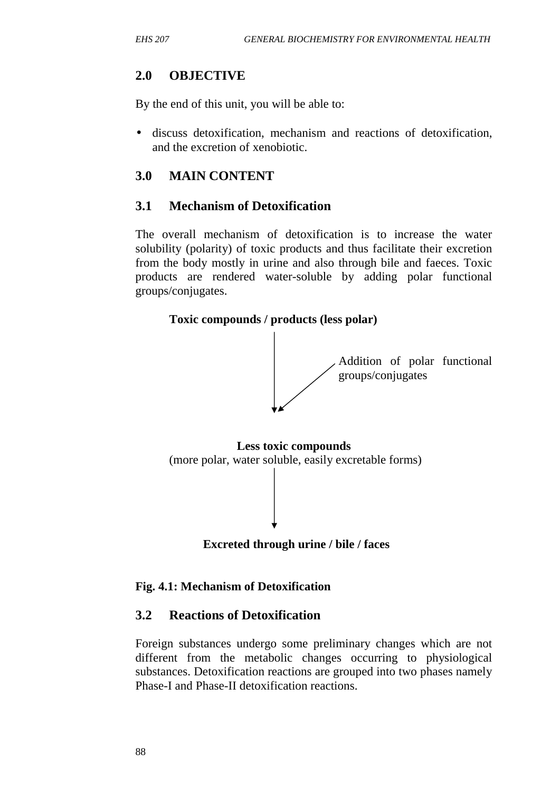## **2.0 OBJECTIVE**

By the end of this unit, you will be able to:

 discuss detoxification, mechanism and reactions of detoxification, and the excretion of xenobiotic.

## **3.0 MAIN CONTENT**

## **3.1 Mechanism of Detoxification**

The overall mechanism of detoxification is to increase the water solubility (polarity) of toxic products and thus facilitate their excretion from the body mostly in urine and also through bile and faeces. Toxic products are rendered water-soluble by adding polar functional groups/conjugates.





### **Fig. 4.1: Mechanism of Detoxification**

## **3.2 Reactions of Detoxification**

Foreign substances undergo some preliminary changes which are not different from the metabolic changes occurring to physiological substances. Detoxification reactions are grouped into two phases namely Phase-I and Phase-II detoxification reactions.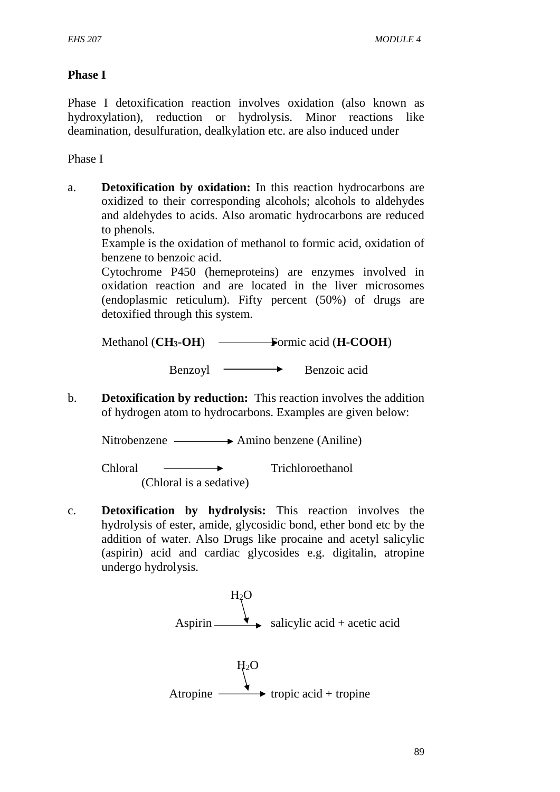### **Phase I**

Phase I detoxification reaction involves oxidation (also known as hydroxylation), reduction or hydrolysis. Minor reactions like deamination, desulfuration, dealkylation etc. are also induced under

Phase I

a. **Detoxification by oxidation:** In this reaction hydrocarbons are oxidized to their corresponding alcohols; alcohols to aldehydes and aldehydes to acids. Also aromatic hydrocarbons are reduced to phenols.

Example is the oxidation of methanol to formic acid, oxidation of benzene to benzoic acid.

Cytochrome P450 (hemeproteins) are enzymes involved in oxidation reaction and are located in the liver microsomes (endoplasmic reticulum). Fifty percent (50%) of drugs are detoxified through this system.

Methanol (**CH3-OH**) Formic acid (**H-COOH**)

Benzoyl Benzoic acid

b. **Detoxification by reduction:** This reaction involves the addition of hydrogen atom to hydrocarbons. Examples are given below:

Nitrobenzene  $\longrightarrow$  Amino benzene (Aniline)

Chloral — **Trichloroethanol** (Chloral is a sedative)

c. **Detoxification by hydrolysis:** This reaction involves the hydrolysis of ester, amide, glycosidic bond, ether bond etc by the addition of water. Also Drugs like procaine and acetyl salicylic (aspirin) acid and cardiac glycosides e.g. digitalin, atropine undergo hydrolysis.

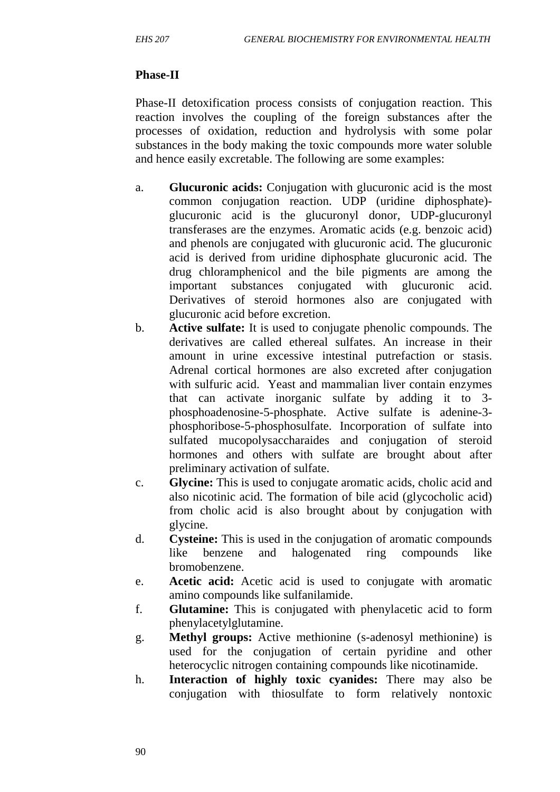## **Phase-II**

Phase-II detoxification process consists of conjugation reaction. This reaction involves the coupling of the foreign substances after the processes of oxidation, reduction and hydrolysis with some polar substances in the body making the toxic compounds more water soluble and hence easily excretable. The following are some examples:

- a. **Glucuronic acids:** Conjugation with glucuronic acid is the most common conjugation reaction. UDP (uridine diphosphate) glucuronic acid is the glucuronyl donor, UDP-glucuronyl transferases are the enzymes. Aromatic acids (e.g. benzoic acid) and phenols are conjugated with glucuronic acid. The glucuronic acid is derived from uridine diphosphate glucuronic acid. The drug chloramphenicol and the bile pigments are among the important substances conjugated with glucuronic acid. Derivatives of steroid hormones also are conjugated with glucuronic acid before excretion.
- b. **Active sulfate:** It is used to conjugate phenolic compounds. The derivatives are called ethereal sulfates. An increase in their amount in urine excessive intestinal putrefaction or stasis. Adrenal cortical hormones are also excreted after conjugation with sulfuric acid. Yeast and mammalian liver contain enzymes that can activate inorganic sulfate by adding it to 3 phosphoadenosine-5-phosphate. Active sulfate is adenine-3 phosphoribose-5-phosphosulfate. Incorporation of sulfate into sulfated mucopolysaccharaides and conjugation of steroid hormones and others with sulfate are brought about after preliminary activation of sulfate.
- c. **Glycine:** This is used to conjugate aromatic acids, cholic acid and also nicotinic acid. The formation of bile acid (glycocholic acid) from cholic acid is also brought about by conjugation with glycine.
- d. **Cysteine:** This is used in the conjugation of aromatic compounds like benzene and halogenated ring compounds like bromobenzene.
- e. **Acetic acid:** Acetic acid is used to conjugate with aromatic amino compounds like sulfanilamide.
- f. **Glutamine:** This is conjugated with phenylacetic acid to form phenylacetylglutamine.
- g. **Methyl groups:** Active methionine (s-adenosyl methionine) is used for the conjugation of certain pyridine and other heterocyclic nitrogen containing compounds like nicotinamide.
- h. **Interaction of highly toxic cyanides:** There may also be conjugation with thiosulfate to form relatively nontoxic